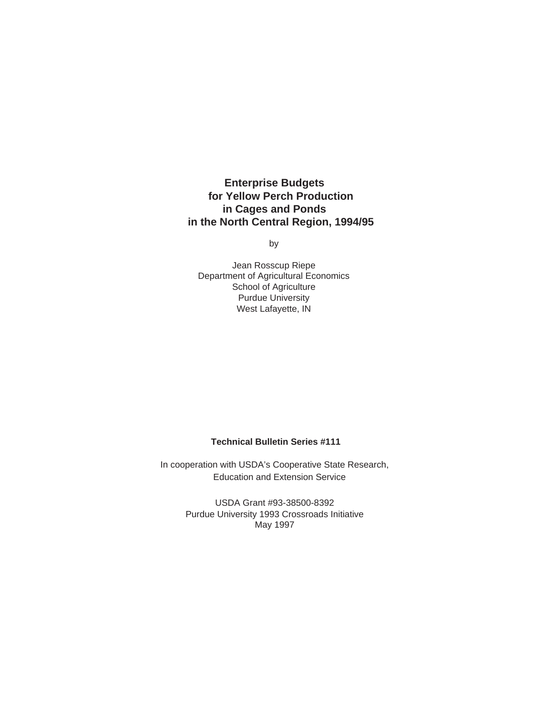**Enterprise Budgets for Yellow Perch Production in Cages and Ponds in the North Central Region, 1994/95**

by

Jean Rosscup Riepe Department of Agricultural Economics School of Agriculture Purdue University West Lafayette, IN

#### **Technical Bulletin Series #111**

In cooperation with USDA's Cooperative State Research, Education and Extension Service

> USDA Grant #93-38500-8392 Purdue University 1993 Crossroads Initiative May 1997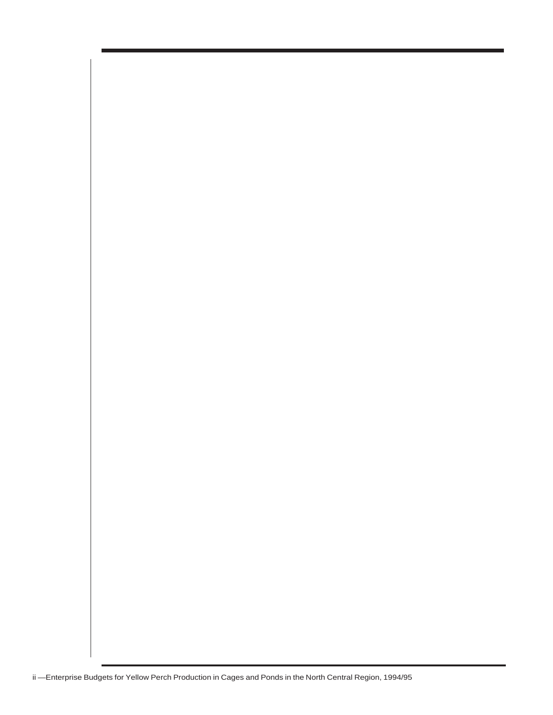ii —Enterprise Budgets for Yellow Perch Production in Cages and Ponds in the North Central Region, 1994/95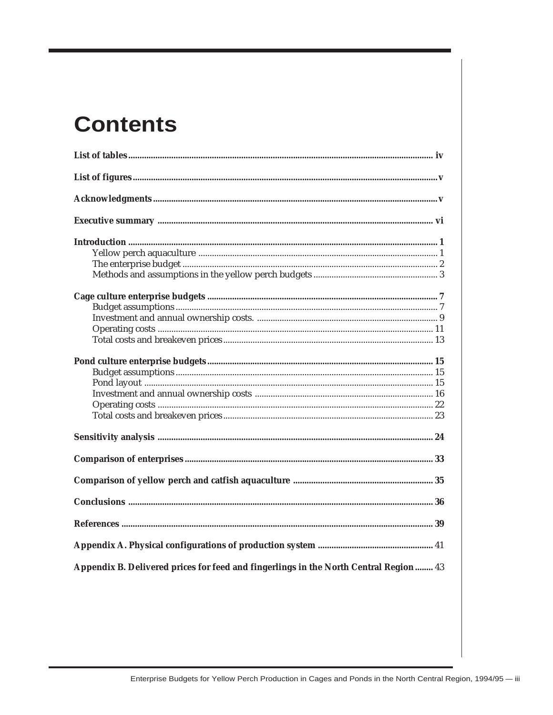## **Contents**

| Appendix B. Delivered prices for feed and fingerlings in the North Central Region 43 |
|--------------------------------------------------------------------------------------|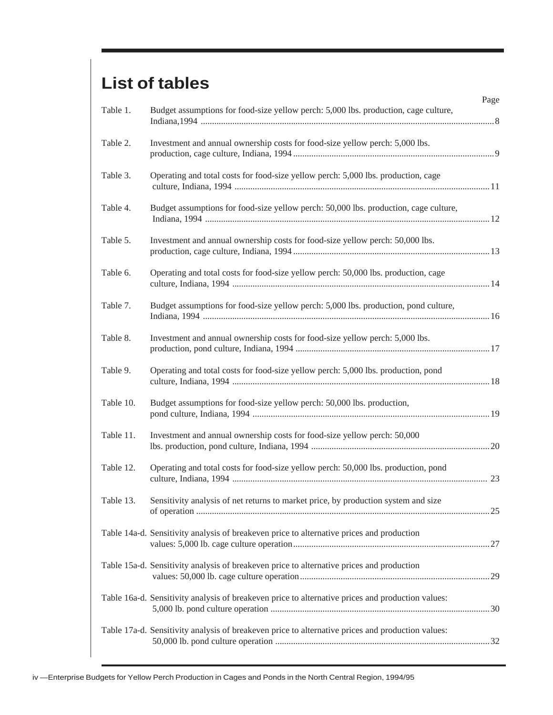### **List of tables**

| Table 1.  | Budget assumptions for food-size yellow perch: 5,000 lbs. production, cage culture,               | Page |
|-----------|---------------------------------------------------------------------------------------------------|------|
| Table 2.  | Investment and annual ownership costs for food-size yellow perch: 5,000 lbs.                      |      |
| Table 3.  | Operating and total costs for food-size yellow perch: 5,000 lbs. production, cage                 |      |
| Table 4.  | Budget assumptions for food-size yellow perch: 50,000 lbs. production, cage culture,              |      |
| Table 5.  | Investment and annual ownership costs for food-size yellow perch: 50,000 lbs.                     |      |
| Table 6.  | Operating and total costs for food-size yellow perch: 50,000 lbs. production, cage                |      |
| Table 7.  | Budget assumptions for food-size yellow perch: 5,000 lbs. production, pond culture,               |      |
| Table 8.  | Investment and annual ownership costs for food-size yellow perch: 5,000 lbs.                      |      |
| Table 9.  | Operating and total costs for food-size yellow perch: 5,000 lbs. production, pond                 |      |
| Table 10. | Budget assumptions for food-size yellow perch: 50,000 lbs. production,                            |      |
| Table 11. | Investment and annual ownership costs for food-size yellow perch: 50,000                          |      |
| Table 12. | Operating and total costs for food-size yellow perch: 50,000 lbs. production, pond                |      |
| Table 13. | Sensitivity analysis of net returns to market price, by production system and size                |      |
|           | Table 14a-d. Sensitivity analysis of breakeven price to alternative prices and production         |      |
|           | Table 15a-d. Sensitivity analysis of breakeven price to alternative prices and production         |      |
|           | Table 16a-d. Sensitivity analysis of breakeven price to alternative prices and production values: |      |
|           | Table 17a-d. Sensitivity analysis of breakeven price to alternative prices and production values: |      |
|           |                                                                                                   |      |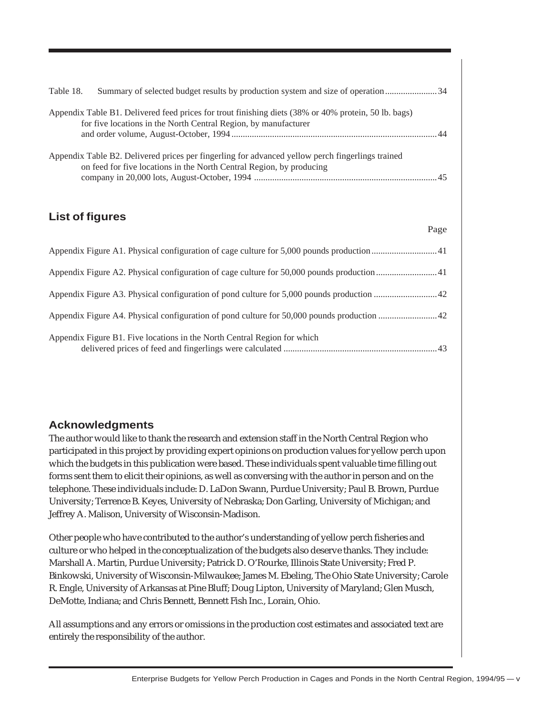| Table 18. | Summary of selected budget results by production system and size of operation34                                                                                          |
|-----------|--------------------------------------------------------------------------------------------------------------------------------------------------------------------------|
|           | Appendix Table B1. Delivered feed prices for trout finishing diets (38% or 40% protein, 50 lb. bags)<br>for five locations in the North Central Region, by manufacturer  |
|           | Appendix Table B2. Delivered prices per fingerling for advanced yellow perch fingerlings trained<br>on feed for five locations in the North Central Region, by producing |

### **List of figures**

| Appendix Figure B1. Five locations in the North Central Region for which |  |
|--------------------------------------------------------------------------|--|

Page

#### **Acknowledgments**

The author would like to thank the research and extension staff in the North Central Region who participated in this project by providing expert opinions on production values for yellow perch upon which the budgets in this publication were based. These individuals spent valuable time filling out forms sent them to elicit their opinions, as well as conversing with the author in person and on the telephone. These individuals include: D. LaDon Swann, Purdue University; Paul B. Brown, Purdue University; Terrence B. Keyes, University of Nebraska; Don Garling, University of Michigan; and Jeffrey A. Malison, University of Wisconsin-Madison.

Other people who have contributed to the author's understanding of yellow perch fisheries and culture or who helped in the conceptualization of the budgets also deserve thanks. They include: Marshall A. Martin, Purdue University; Patrick D. O'Rourke, Illinois State University; Fred P. Binkowski, University of Wisconsin-Milwaukee; James M. Ebeling, The Ohio State University; Carole R. Engle, University of Arkansas at Pine Bluff; Doug Lipton, University of Maryland; Glen Musch, DeMotte, Indiana; and Chris Bennett, Bennett Fish Inc., Lorain, Ohio.

All assumptions and any errors or omissions in the production cost estimates and associated text are entirely the responsibility of the author.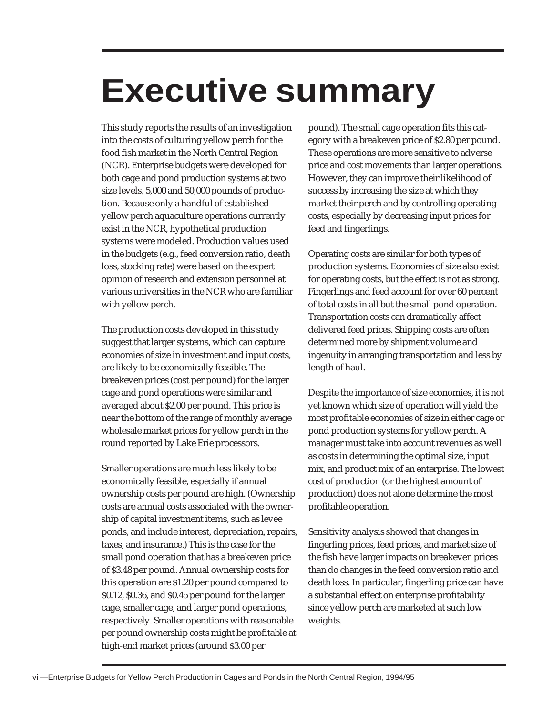# **Executive summary**

This study reports the results of an investigation into the costs of culturing yellow perch for the food fish market in the North Central Region (NCR). Enterprise budgets were developed for both cage and pond production systems at two size levels, 5,000 and 50,000 pounds of production. Because only a handful of established yellow perch aquaculture operations currently exist in the NCR, hypothetical production systems were modeled. Production values used in the budgets (e.g., feed conversion ratio, death loss, stocking rate) were based on the expert opinion of research and extension personnel at various universities in the NCR who are familiar with yellow perch.

The production costs developed in this study suggest that larger systems, which can capture economies of size in investment and input costs, are likely to be economically feasible. The breakeven prices (cost per pound) for the larger cage and pond operations were similar and averaged about \$2.00 per pound. This price is near the bottom of the range of monthly average wholesale market prices for yellow perch in the round reported by Lake Erie processors.

Smaller operations are much less likely to be economically feasible, especially if annual ownership costs per pound are high. (Ownership costs are annual costs associated with the ownership of capital investment items, such as levee ponds, and include interest, depreciation, repairs, taxes, and insurance.) This is the case for the small pond operation that has a breakeven price of \$3.48 per pound. Annual ownership costs for this operation are \$1.20 per pound compared to \$0.12, \$0.36, and \$0.45 per pound for the larger cage, smaller cage, and larger pond operations, respectively. Smaller operations with reasonable per pound ownership costs might be profitable at high-end market prices (around \$3.00 per

pound). The small cage operation fits this category with a breakeven price of \$2.80 per pound. These operations are more sensitive to adverse price and cost movements than larger operations. However, they can improve their likelihood of success by increasing the size at which they market their perch and by controlling operating costs, especially by decreasing input prices for feed and fingerlings.

Operating costs are similar for both types of production systems. Economies of size also exist for operating costs, but the effect is not as strong. Fingerlings and feed account for over 60 percent of total costs in all but the small pond operation. Transportation costs can dramatically affect delivered feed prices. Shipping costs are often determined more by shipment volume and ingenuity in arranging transportation and less by length of haul.

Despite the importance of size economies, it is not yet known which size of operation will yield the most profitable economies of size in either cage or pond production systems for yellow perch. A manager must take into account revenues as well as costs in determining the optimal size, input mix, and product mix of an enterprise. The lowest cost of production (or the highest amount of production) does not alone determine the most profitable operation.

Sensitivity analysis showed that changes in fingerling prices, feed prices, and market size of the fish have larger impacts on breakeven prices than do changes in the feed conversion ratio and death loss. In particular, fingerling price can have a substantial effect on enterprise profitability since yellow perch are marketed at such low weights.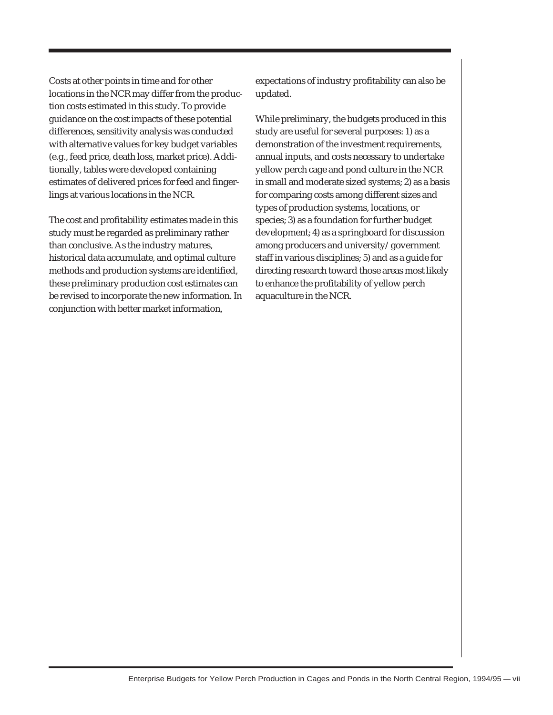Costs at other points in time and for other locations in the NCR may differ from the production costs estimated in this study. To provide guidance on the cost impacts of these potential differences, sensitivity analysis was conducted with alternative values for key budget variables (e.g., feed price, death loss, market price). Additionally, tables were developed containing estimates of delivered prices for feed and fingerlings at various locations in the NCR.

The cost and profitability estimates made in this study must be regarded as preliminary rather than conclusive. As the industry matures, historical data accumulate, and optimal culture methods and production systems are identified, these preliminary production cost estimates can be revised to incorporate the new information. In conjunction with better market information,

expectations of industry profitability can also be updated.

While preliminary, the budgets produced in this study are useful for several purposes: 1) as a demonstration of the investment requirements, annual inputs, and costs necessary to undertake yellow perch cage and pond culture in the NCR in small and moderate sized systems; 2) as a basis for comparing costs among different sizes and types of production systems, locations, or species; 3) as a foundation for further budget development; 4) as a springboard for discussion among producers and university/government staff in various disciplines; 5) and as a guide for directing research toward those areas most likely to enhance the profitability of yellow perch aquaculture in the NCR.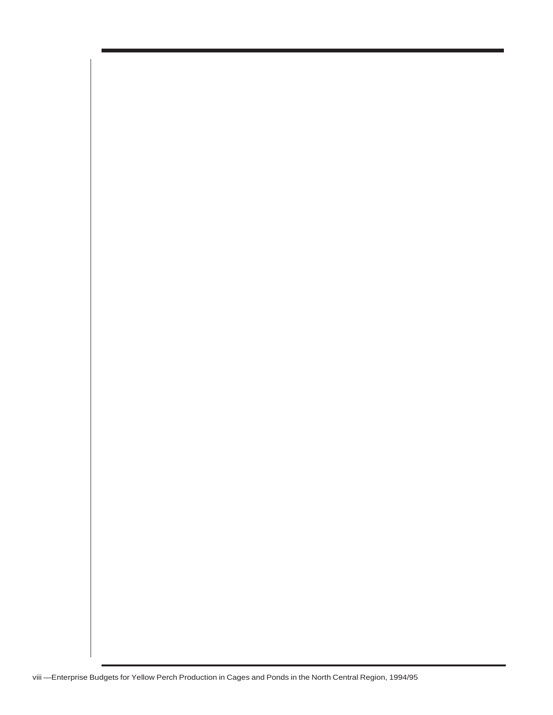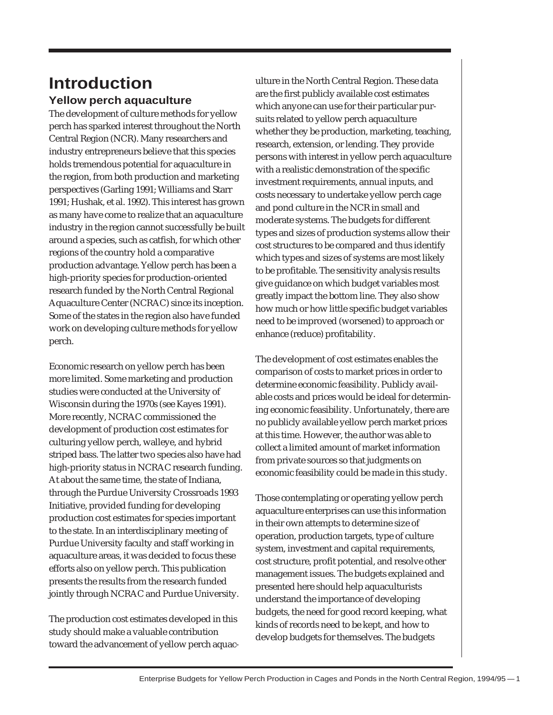### **Introduction Yellow perch aquaculture**

The development of culture methods for yellow perch has sparked interest throughout the North Central Region (NCR). Many researchers and industry entrepreneurs believe that this species holds tremendous potential for aquaculture in the region, from both production and marketing perspectives (Garling 1991; Williams and Starr 1991; Hushak, et al. 1992). This interest has grown as many have come to realize that an aquaculture industry in the region cannot successfully be built around a species, such as catfish, for which other regions of the country hold a comparative production advantage. Yellow perch has been a high-priority species for production-oriented research funded by the North Central Regional Aquaculture Center (NCRAC) since its inception. Some of the states in the region also have funded work on developing culture methods for yellow perch.

Economic research on yellow perch has been more limited. Some marketing and production studies were conducted at the University of Wisconsin during the 1970s (see Kayes 1991). More recently, NCRAC commissioned the development of production cost estimates for culturing yellow perch, walleye, and hybrid striped bass. The latter two species also have had high-priority status in NCRAC research funding. At about the same time, the state of Indiana, through the Purdue University Crossroads 1993 Initiative, provided funding for developing production cost estimates for species important to the state. In an interdisciplinary meeting of Purdue University faculty and staff working in aquaculture areas, it was decided to focus these efforts also on yellow perch. This publication presents the results from the research funded jointly through NCRAC and Purdue University.

The production cost estimates developed in this study should make a valuable contribution toward the advancement of yellow perch aquaculture in the North Central Region. These data are the first publicly available cost estimates which anyone can use for their particular pursuits related to yellow perch aquaculture whether they be production, marketing, teaching, research, extension, or lending. They provide persons with interest in yellow perch aquaculture with a realistic demonstration of the specific investment requirements, annual inputs, and costs necessary to undertake yellow perch cage and pond culture in the NCR in small and moderate systems. The budgets for different types and sizes of production systems allow their cost structures to be compared and thus identify which types and sizes of systems are most likely to be profitable. The sensitivity analysis results give guidance on which budget variables most greatly impact the bottom line. They also show how much or how little specific budget variables need to be improved (worsened) to approach or enhance (reduce) profitability.

The development of cost estimates enables the comparison of costs to market prices in order to determine economic feasibility. Publicly available costs and prices would be ideal for determining economic feasibility. Unfortunately, there are no publicly available yellow perch market prices at this time. However, the author was able to collect a limited amount of market information from private sources so that judgments on economic feasibility could be made in this study.

Those contemplating or operating yellow perch aquaculture enterprises can use this information in their own attempts to determine size of operation, production targets, type of culture system, investment and capital requirements, cost structure, profit potential, and resolve other management issues. The budgets explained and presented here should help aquaculturists understand the importance of developing budgets, the need for good record keeping, what kinds of records need to be kept, and how to develop budgets for themselves. The budgets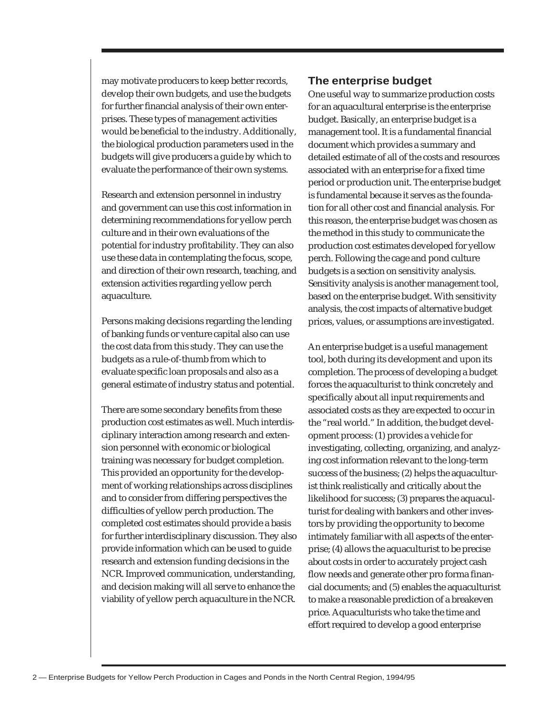may motivate producers to keep better records, develop their own budgets, and use the budgets for further financial analysis of their own enterprises. These types of management activities would be beneficial to the industry. Additionally, the biological production parameters used in the budgets will give producers a guide by which to evaluate the performance of their own systems.

Research and extension personnel in industry and government can use this cost information in determining recommendations for yellow perch culture and in their own evaluations of the potential for industry profitability. They can also use these data in contemplating the focus, scope, and direction of their own research, teaching, and extension activities regarding yellow perch aquaculture.

Persons making decisions regarding the lending of banking funds or venture capital also can use the cost data from this study. They can use the budgets as a rule-of-thumb from which to evaluate specific loan proposals and also as a general estimate of industry status and potential.

There are some secondary benefits from these production cost estimates as well. Much interdisciplinary interaction among research and extension personnel with economic or biological training was necessary for budget completion. This provided an opportunity for the development of working relationships across disciplines and to consider from differing perspectives the difficulties of yellow perch production. The completed cost estimates should provide a basis for further interdisciplinary discussion. They also provide information which can be used to guide research and extension funding decisions in the NCR. Improved communication, understanding, and decision making will all serve to enhance the viability of yellow perch aquaculture in the NCR.

#### **The enterprise budget**

One useful way to summarize production costs for an aquacultural enterprise is the enterprise budget. Basically, an enterprise budget is a management tool. It is a fundamental financial document which provides a summary and detailed estimate of all of the costs and resources associated with an enterprise for a fixed time period or production unit. The enterprise budget is fundamental because it serves as the foundation for all other cost and financial analysis. For this reason, the enterprise budget was chosen as the method in this study to communicate the production cost estimates developed for yellow perch. Following the cage and pond culture budgets is a section on sensitivity analysis. Sensitivity analysis is another management tool, based on the enterprise budget. With sensitivity analysis, the cost impacts of alternative budget prices, values, or assumptions are investigated.

An enterprise budget is a useful management tool, both during its development and upon its completion. The process of developing a budget forces the aquaculturist to think concretely and specifically about all input requirements and associated costs as they are expected to occur in the "real world." In addition, the budget development process: (1) provides a vehicle for investigating, collecting, organizing, and analyzing cost information relevant to the long-term success of the business; (2) helps the aquaculturist think realistically and critically about the likelihood for success; (3) prepares the aquaculturist for dealing with bankers and other investors by providing the opportunity to become intimately familiar with all aspects of the enterprise; (4) allows the aquaculturist to be precise about costs in order to accurately project cash flow needs and generate other pro forma financial documents; and (5) enables the aquaculturist to make a reasonable prediction of a breakeven price. Aquaculturists who take the time and effort required to develop a good enterprise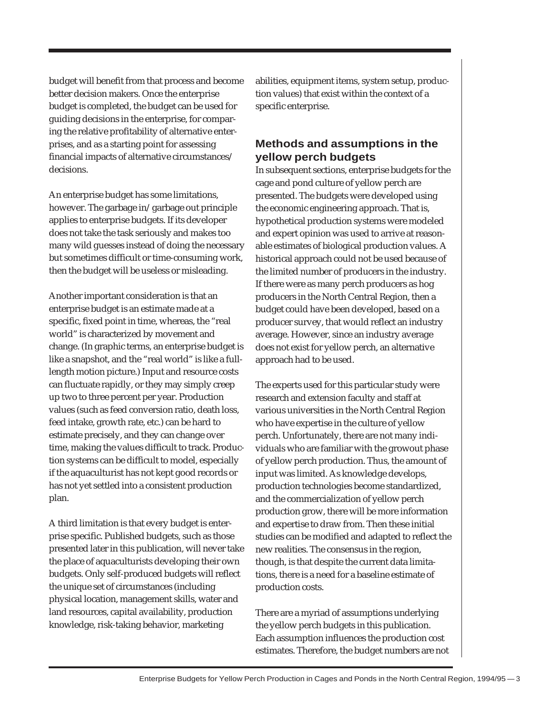budget will benefit from that process and become better decision makers. Once the enterprise budget is completed, the budget can be used for guiding decisions in the enterprise, for comparing the relative profitability of alternative enterprises, and as a starting point for assessing financial impacts of alternative circumstances/ decisions.

An enterprise budget has some limitations, however. The garbage in/garbage out principle applies to enterprise budgets. If its developer does not take the task seriously and makes too many wild guesses instead of doing the necessary but sometimes difficult or time-consuming work, then the budget will be useless or misleading.

Another important consideration is that an enterprise budget is an estimate made at a specific, fixed point in time, whereas, the "real world" is characterized by movement and change. (In graphic terms, an enterprise budget is like a snapshot, and the "real world" is like a fulllength motion picture.) Input and resource costs can fluctuate rapidly, or they may simply creep up two to three percent per year. Production values (such as feed conversion ratio, death loss, feed intake, growth rate, etc.) can be hard to estimate precisely, and they can change over time, making the values difficult to track. Production systems can be difficult to model, especially if the aquaculturist has not kept good records or has not yet settled into a consistent production plan.

A third limitation is that every budget is enterprise specific. Published budgets, such as those presented later in this publication, will never take the place of aquaculturists developing their own budgets. Only self-produced budgets will reflect the unique set of circumstances (including physical location, management skills, water and land resources, capital availability, production knowledge, risk-taking behavior, marketing

abilities, equipment items, system setup, production values) that exist within the context of a specific enterprise.

#### **Methods and assumptions in the yellow perch budgets**

In subsequent sections, enterprise budgets for the cage and pond culture of yellow perch are presented. The budgets were developed using the economic engineering approach. That is, hypothetical production systems were modeled and expert opinion was used to arrive at reasonable estimates of biological production values. A historical approach could not be used because of the limited number of producers in the industry. If there were as many perch producers as hog producers in the North Central Region, then a budget could have been developed, based on a producer survey, that would reflect an industry average. However, since an industry average does not exist for yellow perch, an alternative approach had to be used.

The experts used for this particular study were research and extension faculty and staff at various universities in the North Central Region who have expertise in the culture of yellow perch. Unfortunately, there are not many individuals who are familiar with the growout phase of yellow perch production. Thus, the amount of input was limited. As knowledge develops, production technologies become standardized, and the commercialization of yellow perch production grow, there will be more information and expertise to draw from. Then these initial studies can be modified and adapted to reflect the new realities. The consensus in the region, though, is that despite the current data limitations, there is a need for a baseline estimate of production costs.

There are a myriad of assumptions underlying the yellow perch budgets in this publication. Each assumption influences the production cost estimates. Therefore, the budget numbers are not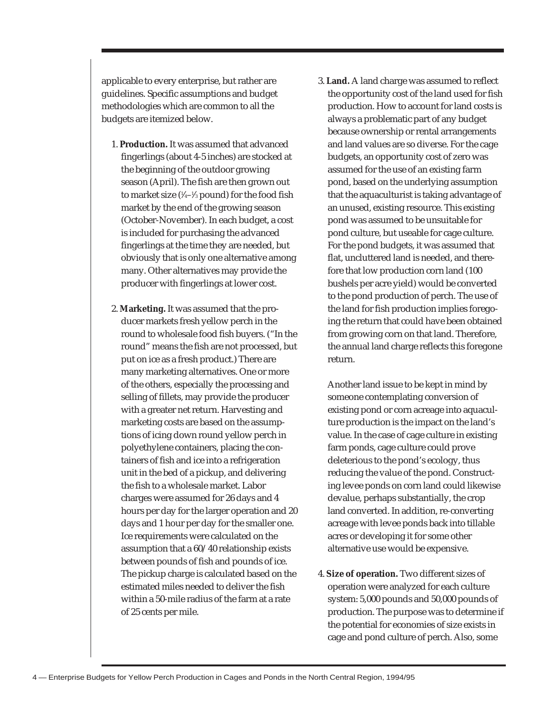applicable to every enterprise, but rather are guidelines. Specific assumptions and budget methodologies which are common to all the budgets are itemized below.

- 1. **Production.** It was assumed that advanced fingerlings (about 4-5 inches) are stocked at the beginning of the outdoor growing season (April). The fish are then grown out to market size (1 ⁄4–1 ⁄3 pound) for the food fish market by the end of the growing season (October-November). In each budget, a cost is included for purchasing the advanced fingerlings at the time they are needed, but obviously that is only one alternative among many. Other alternatives may provide the producer with fingerlings at lower cost.
- 2. **Marketing.** It was assumed that the producer markets fresh yellow perch in the round to wholesale food fish buyers. ("In the round" means the fish are not processed, but put on ice as a fresh product.) There are many marketing alternatives. One or more of the others, especially the processing and selling of fillets, may provide the producer with a greater net return. Harvesting and marketing costs are based on the assumptions of icing down round yellow perch in polyethylene containers, placing the containers of fish and ice into a refrigeration unit in the bed of a pickup, and delivering the fish to a wholesale market. Labor charges were assumed for 26 days and 4 hours per day for the larger operation and 20 days and 1 hour per day for the smaller one. Ice requirements were calculated on the assumption that a 60/40 relationship exists between pounds of fish and pounds of ice. The pickup charge is calculated based on the estimated miles needed to deliver the fish within a 50-mile radius of the farm at a rate of 25 cents per mile.
- 3. **Land.** A land charge was assumed to reflect the opportunity cost of the land used for fish production. How to account for land costs is always a problematic part of any budget because ownership or rental arrangements and land values are so diverse. For the cage budgets, an opportunity cost of zero was assumed for the use of an existing farm pond, based on the underlying assumption that the aquaculturist is taking advantage of an unused, existing resource. This existing pond was assumed to be unsuitable for pond culture, but useable for cage culture. For the pond budgets, it was assumed that flat, uncluttered land is needed, and therefore that low production corn land (100 bushels per acre yield) would be converted to the pond production of perch. The use of the land for fish production implies foregoing the return that could have been obtained from growing corn on that land. Therefore, the annual land charge reflects this foregone return.

Another land issue to be kept in mind by someone contemplating conversion of existing pond or corn acreage into aquaculture production is the impact on the land's value. In the case of cage culture in existing farm ponds, cage culture could prove deleterious to the pond's ecology, thus reducing the value of the pond. Constructing levee ponds on corn land could likewise devalue, perhaps substantially, the crop land converted. In addition, re-converting acreage with levee ponds back into tillable acres or developing it for some other alternative use would be expensive.

4. **Size of operation.** Two different sizes of operation were analyzed for each culture system: 5,000 pounds and 50,000 pounds of production. The purpose was to determine if the potential for economies of size exists in cage and pond culture of perch. Also, some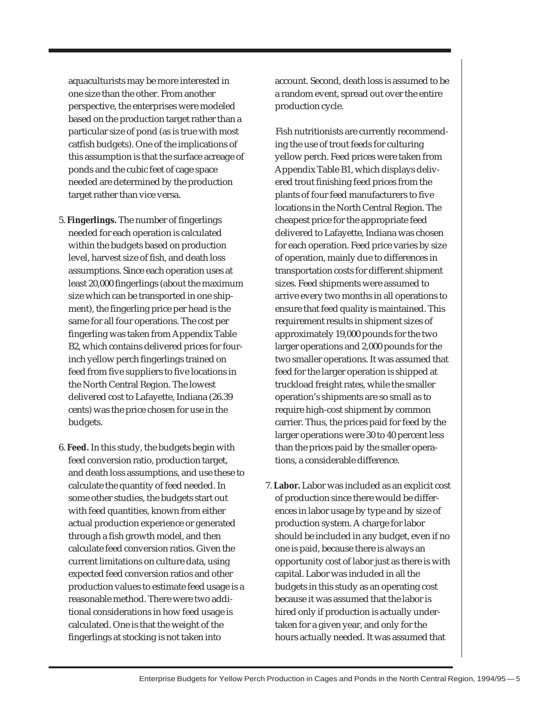aquaculturists may be more interested in one size than the other. From another perspective, the enterprises were modeled based on the production target rather than a particular size of pond (as is true with most catfish budgets). One of the implications of this assumption is that the surface acreage of ponds and the cubic feet of cage space needed are determined by the production target rather than vice versa.

- 5. **Fingerlings.** The number of fingerlings needed for each operation is calculated within the budgets based on production level, harvest size of fish, and death loss assumptions. Since each operation uses at least 20,000 fingerlings (about the maximum size which can be transported in one shipment), the fingerling price per head is the same for all four operations. The cost per fingerling was taken from Appendix Table B2, which contains delivered prices for fourinch yellow perch fingerlings trained on feed from five suppliers to five locations in the North Central Region. The lowest delivered cost to Lafayette, Indiana (26.39 cents) was the price chosen for use in the budgets.
- 6. **Feed.** In this study, the budgets begin with feed conversion ratio, production target, and death loss assumptions, and use these to calculate the quantity of feed needed. In some other studies, the budgets start out with feed quantities, known from either actual production experience or generated through a fish growth model, and then calculate feed conversion ratios. Given the current limitations on culture data, using expected feed conversion ratios and other production values to estimate feed usage is a reasonable method. There were two additional considerations in how feed usage is calculated. One is that the weight of the fingerlings at stocking is not taken into

account. Second, death loss is assumed to be a random event, spread out over the entire production cycle.

Fish nutritionists are currently recommending the use of trout feeds for culturing yellow perch. Feed prices were taken from Appendix Table B1, which displays delivered trout finishing feed prices from the plants of four feed manufacturers to five locations in the North Central Region. The cheapest price for the appropriate feed delivered to Lafayette, Indiana was chosen for each operation. Feed price varies by size of operation, mainly due to differences in transportation costs for different shipment sizes. Feed shipments were assumed to arrive every two months in all operations to ensure that feed quality is maintained. This requirement results in shipment sizes of approximately 19,000 pounds for the two larger operations and 2,000 pounds for the two smaller operations. It was assumed that feed for the larger operation is shipped at truckload freight rates, while the smaller operation's shipments are so small as to require high-cost shipment by common carrier. Thus, the prices paid for feed by the larger operations were 30 to 40 percent less than the prices paid by the smaller operations, a considerable difference.

7. **Labor.** Labor was included as an explicit cost of production since there would be differences in labor usage by type and by size of production system. A charge for labor should be included in any budget, even if no one is paid, because there is always an opportunity cost of labor just as there is with capital. Labor was included in all the budgets in this study as an operating cost because it was assumed that the labor is hired only if production is actually undertaken for a given year, and only for the hours actually needed. It was assumed that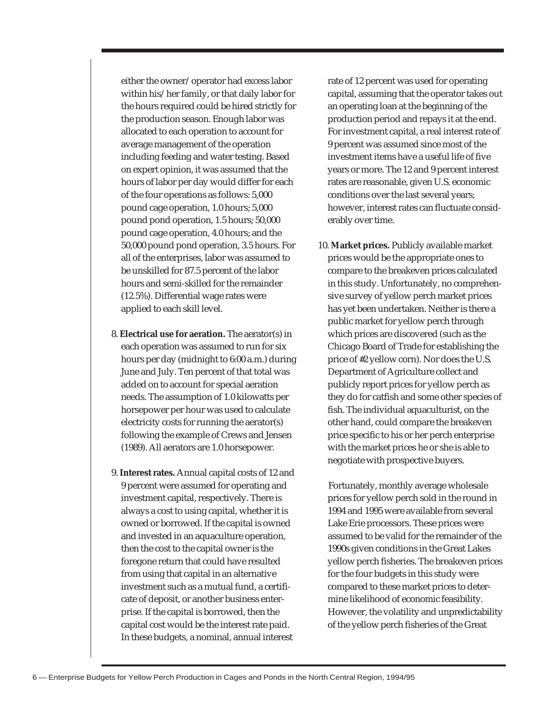either the owner/operator had excess labor within his/her family, or that daily labor for the hours required could be hired strictly for the production season. Enough labor was allocated to each operation to account for average management of the operation including feeding and water testing. Based on expert opinion, it was assumed that the hours of labor per day would differ for each of the four operations as follows: 5,000 pound cage operation, 1.0 hours; 5,000 pound pond operation, 1.5 hours; 50,000 pound cage operation, 4.0 hours; and the 50,000 pound pond operation, 3.5 hours. For all of the enterprises, labor was assumed to be unskilled for 87.5 percent of the labor hours and semi-skilled for the remainder (12.5%). Differential wage rates were applied to each skill level.

- 8. **Electrical use for aeration.** The aerator(s) in each operation was assumed to run for six hours per day (midnight to 6:00 a.m.) during June and July. Ten percent of that total was added on to account for special aeration needs. The assumption of 1.0 kilowatts per horsepower per hour was used to calculate electricity costs for running the aerator(s) following the example of Crews and Jensen (1989). All aerators are 1.0 horsepower.
- 9. **Interest rates.** Annual capital costs of 12 and 9 percent were assumed for operating and investment capital, respectively. There is always a cost to using capital, whether it is owned or borrowed. If the capital is owned and invested in an aquaculture operation, then the cost to the capital owner is the foregone return that could have resulted from using that capital in an alternative investment such as a mutual fund, a certificate of deposit, or another business enterprise. If the capital is borrowed, then the capital cost would be the interest rate paid. In these budgets, a nominal, annual interest

rate of 12 percent was used for operating capital, assuming that the operator takes out an operating loan at the beginning of the production period and repays it at the end. For investment capital, a real interest rate of 9 percent was assumed since most of the investment items have a useful life of five years or more. The 12 and 9 percent interest rates are reasonable, given U.S. economic conditions over the last several years; however, interest rates can fluctuate considerably over time.

10. **Market prices.** Publicly available market prices would be the appropriate ones to compare to the breakeven prices calculated in this study. Unfortunately, no comprehensive survey of yellow perch market prices has yet been undertaken. Neither is there a public market for yellow perch through which prices are discovered (such as the Chicago Board of Trade for establishing the price of #2 yellow corn). Nor does the U.S. Department of Agriculture collect and publicly report prices for yellow perch as they do for catfish and some other species of fish. The individual aquaculturist, on the other hand, could compare the breakeven price specific to his or her perch enterprise with the market prices he or she is able to negotiate with prospective buyers.

Fortunately, monthly average wholesale prices for yellow perch sold in the round in 1994 and 1995 were available from several Lake Erie processors. These prices were assumed to be valid for the remainder of the 1990s given conditions in the Great Lakes yellow perch fisheries. The breakeven prices for the four budgets in this study were compared to these market prices to determine likelihood of economic feasibility. However, the volatility and unpredictability of the yellow perch fisheries of the Great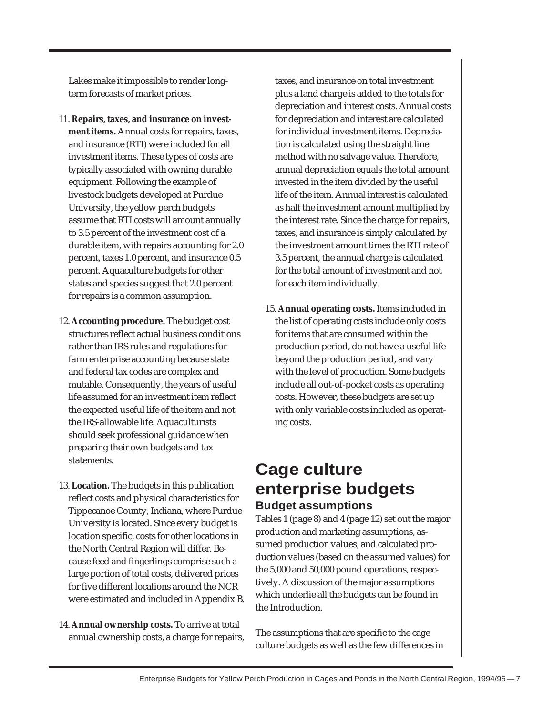Lakes make it impossible to render longterm forecasts of market prices.

- 11. **Repairs, taxes, and insurance on investment items.** Annual costs for repairs, taxes, and insurance (RTI) were included for all investment items. These types of costs are typically associated with owning durable equipment. Following the example of livestock budgets developed at Purdue University, the yellow perch budgets assume that RTI costs will amount annually to 3.5 percent of the investment cost of a durable item, with repairs accounting for 2.0 percent, taxes 1.0 percent, and insurance 0.5 percent. Aquaculture budgets for other states and species suggest that 2.0 percent for repairs is a common assumption.
- 12. **Accounting procedure.** The budget cost structures reflect actual business conditions rather than IRS rules and regulations for farm enterprise accounting because state and federal tax codes are complex and mutable. Consequently, the years of useful life assumed for an investment item reflect the expected useful life of the item and not the IRS-allowable life. Aquaculturists should seek professional guidance when preparing their own budgets and tax statements.
- 13. **Location.** The budgets in this publication reflect costs and physical characteristics for Tippecanoe County, Indiana, where Purdue University is located. Since every budget is location specific, costs for other locations in the North Central Region will differ. Because feed and fingerlings comprise such a large portion of total costs, delivered prices for five different locations around the NCR were estimated and included in Appendix B.
- 14. **Annual ownership costs.** To arrive at total annual ownership costs, a charge for repairs,

taxes, and insurance on total investment plus a land charge is added to the totals for depreciation and interest costs. Annual costs for depreciation and interest are calculated for individual investment items. Depreciation is calculated using the straight line method with no salvage value. Therefore, annual depreciation equals the total amount invested in the item divided by the useful life of the item. Annual interest is calculated as half the investment amount multiplied by the interest rate. Since the charge for repairs, taxes, and insurance is simply calculated by the investment amount times the RTI rate of 3.5 percent, the annual charge is calculated for the total amount of investment and not for each item individually.

15. **Annual operating costs.** Items included in the list of operating costs include only costs for items that are consumed within the production period, do not have a useful life beyond the production period, and vary with the level of production. Some budgets include all out-of-pocket costs as operating costs. However, these budgets are set up with only variable costs included as operating costs.

### **Cage culture enterprise budgets Budget assumptions**

Tables 1 (page 8) and 4 (page 12) set out the major production and marketing assumptions, assumed production values, and calculated production values (based on the assumed values) for the 5,000 and 50,000 pound operations, respectively. A discussion of the major assumptions which underlie all the budgets can be found in the Introduction.

The assumptions that are specific to the cage culture budgets as well as the few differences in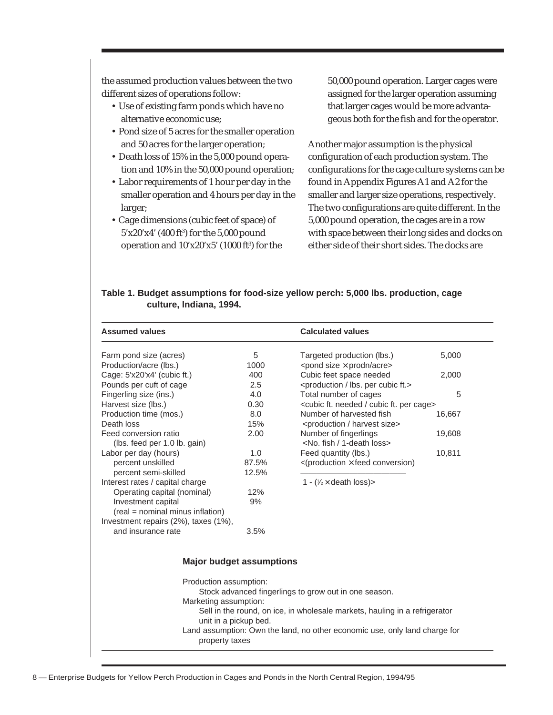the assumed production values between the two different sizes of operations follow:

- Use of existing farm ponds which have no alternative economic use;
- Pond size of 5 acres for the smaller operation and 50 acres for the larger operation;
- Death loss of 15% in the 5,000 pound operation and 10% in the 50,000 pound operation;
- Labor requirements of 1 hour per day in the smaller operation and 4 hours per day in the larger;
- Cage dimensions (cubic feet of space) of 5'x20'x4' (400 ft<sup>3</sup>) for the 5,000 pound operation and 10'x20'x5' (1000 ft3) for the

50,000 pound operation. Larger cages were assigned for the larger operation assuming that larger cages would be more advantageous both for the fish and for the operator.

Another major assumption is the physical configuration of each production system. The configurations for the cage culture systems can be found in Appendix Figures A1 and A2 for the smaller and larger size operations, respectively. The two configurations are quite different. In the 5,000 pound operation, the cages are in a row with space between their long sides and docks on either side of their short sides. The docks are

#### **Table 1. Budget assumptions for food-size yellow perch: 5,000 lbs. production, cage culture, Indiana, 1994.**

| <b>Assumed values</b>                                 |             | <b>Calculated values</b>                                                                   |        |
|-------------------------------------------------------|-------------|--------------------------------------------------------------------------------------------|--------|
| Farm pond size (acres)                                | 5           | Targeted production (lbs.)                                                                 | 5,000  |
| Production/acre (lbs.)<br>Cage: 5'x20'x4' (cubic ft.) | 1000<br>400 | $\epsilon$ <pond <math="" size="">\times prodn/acre&gt;<br/>Cubic feet space needed</pond> | 2,000  |
| Pounds per cuft of cage                               | 2.5         | <production cubic="" ft.="" lbs.="" per=""></production>                                   |        |
| Fingerling size (ins.)                                | 4.0         | Total number of cages                                                                      | 5      |
| Harvest size (lbs.)                                   | 0.30        | <cubic cage="" cubic="" ft.="" needed="" per=""></cubic>                                   |        |
| Production time (mos.)                                | 8.0         | Number of harvested fish                                                                   | 16,667 |
| Death loss                                            | 15%         | <production harvest="" size=""></production>                                               |        |
| Feed conversion ratio                                 | 2.00        | Number of fingerlings                                                                      | 19,608 |
| (lbs. feed per 1.0 lb. gain)                          |             | <no. 1-death="" fish="" loss=""></no.>                                                     |        |
| Labor per day (hours)                                 | 1.0         | Feed quantity (lbs.)                                                                       | 10,811 |
| percent unskilled                                     | 87.5%       | $\leq$ (production $\times$ feed conversion)                                               |        |
| percent semi-skilled                                  | 12.5%       |                                                                                            |        |
| Interest rates / capital charge                       |             | 1 - $(\frac{1}{2} \times$ death loss)>                                                     |        |
| Operating capital (nominal)                           | 12%         |                                                                                            |        |
| Investment capital                                    | 9%          |                                                                                            |        |
| (real = nominal minus inflation)                      |             |                                                                                            |        |
| Investment repairs (2%), taxes (1%),                  |             |                                                                                            |        |
| and insurance rate                                    | 3.5%        |                                                                                            |        |
|                                                       |             |                                                                                            |        |
|                                                       |             |                                                                                            |        |

#### **Major budget assumptions**

Production assumption: Stock advanced fingerlings to grow out in one season. Marketing assumption: Sell in the round, on ice, in wholesale markets, hauling in a refrigerator unit in a pickup bed. Land assumption: Own the land, no other economic use, only land charge for property taxes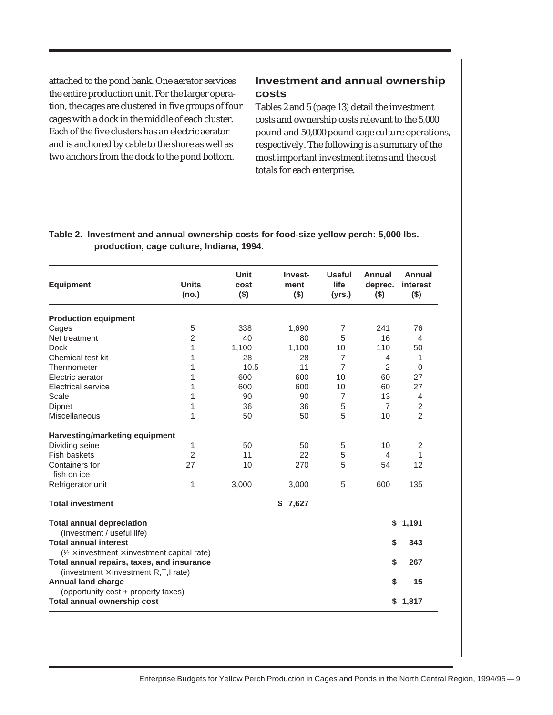attached to the pond bank. One aerator services the entire production unit. For the larger operation, the cages are clustered in five groups of four cages with a dock in the middle of each cluster. Each of the five clusters has an electric aerator and is anchored by cable to the shore as well as two anchors from the dock to the pond bottom.

#### **Investment and annual ownership costs**

Tables 2 and 5 (page 13) detail the investment costs and ownership costs relevant to the 5,000 pound and 50,000 pound cage culture operations, respectively. The following is a summary of the most important investment items and the cost totals for each enterprise.

**Table 2. Investment and annual ownership costs for food-size yellow perch: 5,000 lbs. production, cage culture, Indiana, 1994.**

| <b>Equipment</b>                                                                                                                                                        | <b>Units</b><br>(no.) | Unit<br>cost<br>$($ \$) | Invest-<br>ment<br>$($ \$) | <b>Useful</b><br>life<br>(yrs.) | Annual<br>deprec.<br>$($ \$) | Annual<br>interest<br>$($ \$) |
|-------------------------------------------------------------------------------------------------------------------------------------------------------------------------|-----------------------|-------------------------|----------------------------|---------------------------------|------------------------------|-------------------------------|
| <b>Production equipment</b>                                                                                                                                             |                       |                         |                            |                                 |                              |                               |
| Cages                                                                                                                                                                   | 5                     | 338                     | 1,690                      | $\overline{7}$                  | 241                          | 76                            |
| Net treatment                                                                                                                                                           | $\overline{2}$        | 40                      | 80                         | 5                               | 16                           | 4                             |
| <b>Dock</b>                                                                                                                                                             | 1                     | 1,100                   | 1,100                      | 10                              | 110                          | 50                            |
| Chemical test kit                                                                                                                                                       | 1                     | 28                      | 28                         | $\overline{7}$                  | 4                            | 1                             |
| Thermometer                                                                                                                                                             | 1                     | 10.5                    | 11                         | $\overline{7}$                  | $\overline{2}$               | $\Omega$                      |
| Electric aerator                                                                                                                                                        | 1                     | 600                     | 600                        | 10                              | 60                           | 27                            |
| Electrical service                                                                                                                                                      | 1                     | 600                     | 600                        | 10                              | 60                           | 27                            |
| Scale                                                                                                                                                                   | 1                     | 90                      | 90                         | $\overline{7}$                  | 13                           | 4                             |
| Dipnet                                                                                                                                                                  | 1                     | 36                      | 36                         | 5                               | $\overline{7}$               | $\sqrt{2}$                    |
| <b>Miscellaneous</b>                                                                                                                                                    | 1                     | 50                      | 50                         | 5                               | 10                           | $\overline{2}$                |
| Harvesting/marketing equipment                                                                                                                                          |                       |                         |                            |                                 |                              |                               |
| Dividing seine                                                                                                                                                          | 1                     | 50                      | 50                         | 5                               | 10                           | $\overline{2}$                |
| <b>Fish baskets</b>                                                                                                                                                     | $\overline{2}$        | 11                      | 22                         | 5                               | 4                            | 1                             |
| Containers for                                                                                                                                                          | 27                    | 10                      | 270                        | 5                               | 54                           | 12                            |
| fish on ice                                                                                                                                                             |                       |                         |                            |                                 |                              |                               |
| Refrigerator unit                                                                                                                                                       | 1                     | 3,000                   | 3,000                      | 5                               | 600                          | 135                           |
| <b>Total investment</b>                                                                                                                                                 |                       |                         | \$<br>7,627                |                                 |                              |                               |
| <b>Total annual depreciation</b>                                                                                                                                        |                       |                         |                            |                                 | \$                           | 1,191                         |
| (Investment / useful life)                                                                                                                                              |                       |                         |                            |                                 |                              |                               |
| <b>Total annual interest</b><br>$(\frac{1}{2} \times \text{ investment} \times \text{ investment^{\times} \times \text{constant} \cdot \text{right} \cdot \text{rate})$ |                       |                         |                            |                                 | \$                           | 343                           |
| Total annual repairs, taxes, and insurance                                                                                                                              |                       |                         |                            |                                 | \$                           | 267                           |
| (investment $\times$ investment R,T,I rate)                                                                                                                             |                       |                         |                            |                                 |                              |                               |
| <b>Annual land charge</b>                                                                                                                                               |                       |                         |                            |                                 | \$                           | 15                            |
| (opportunity cost + property taxes)                                                                                                                                     |                       |                         |                            |                                 |                              |                               |
| Total annual ownership cost                                                                                                                                             |                       |                         |                            |                                 |                              | \$1,817                       |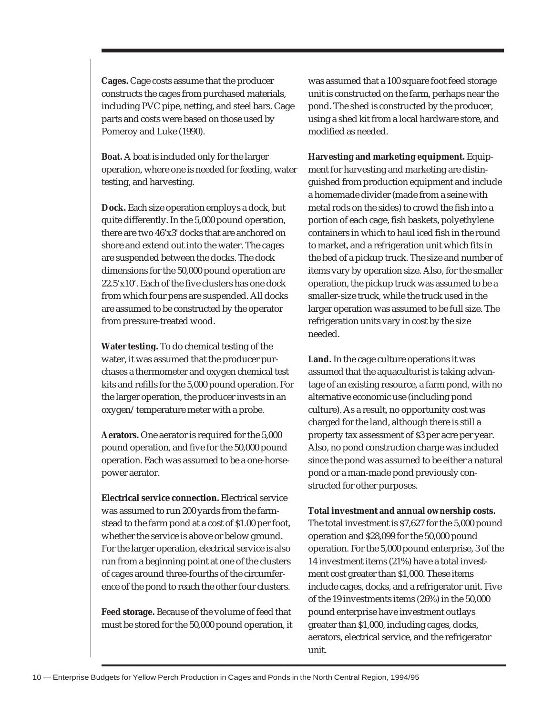**Cages.** Cage costs assume that the producer constructs the cages from purchased materials, including PVC pipe, netting, and steel bars. Cage parts and costs were based on those used by Pomeroy and Luke (1990).

**Boat.** A boat is included only for the larger operation, where one is needed for feeding, water testing, and harvesting.

**Dock.** Each size operation employs a dock, but quite differently. In the 5,000 pound operation, there are two 46'x3' docks that are anchored on shore and extend out into the water. The cages are suspended between the docks. The dock dimensions for the 50,000 pound operation are 22.5'x10'. Each of the five clusters has one dock from which four pens are suspended. All docks are assumed to be constructed by the operator from pressure-treated wood.

**Water testing.** To do chemical testing of the water, it was assumed that the producer purchases a thermometer and oxygen chemical test kits and refills for the 5,000 pound operation. For the larger operation, the producer invests in an oxygen/temperature meter with a probe.

**Aerators.** One aerator is required for the 5,000 pound operation, and five for the 50,000 pound operation. Each was assumed to be a one-horsepower aerator.

**Electrical service connection.** Electrical service was assumed to run 200 yards from the farmstead to the farm pond at a cost of \$1.00 per foot, whether the service is above or below ground. For the larger operation, electrical service is also run from a beginning point at one of the clusters of cages around three-fourths of the circumference of the pond to reach the other four clusters.

**Feed storage.** Because of the volume of feed that must be stored for the 50,000 pound operation, it was assumed that a 100 square foot feed storage unit is constructed on the farm, perhaps near the pond. The shed is constructed by the producer, using a shed kit from a local hardware store, and modified as needed.

**Harvesting and marketing equipment.** Equipment for harvesting and marketing are distinguished from production equipment and include a homemade divider (made from a seine with metal rods on the sides) to crowd the fish into a portion of each cage, fish baskets, polyethylene containers in which to haul iced fish in the round to market, and a refrigeration unit which fits in the bed of a pickup truck. The size and number of items vary by operation size. Also, for the smaller operation, the pickup truck was assumed to be a smaller-size truck, while the truck used in the larger operation was assumed to be full size. The refrigeration units vary in cost by the size needed.

**Land.** In the cage culture operations it was assumed that the aquaculturist is taking advantage of an existing resource, a farm pond, with no alternative economic use (including pond culture). As a result, no opportunity cost was charged for the land, although there is still a property tax assessment of \$3 per acre per year. Also, no pond construction charge was included since the pond was assumed to be either a natural pond or a man-made pond previously constructed for other purposes.

#### **Total investment and annual ownership costs.**

The total investment is \$7,627 for the 5,000 pound operation and \$28,099 for the 50,000 pound operation. For the 5,000 pound enterprise, 3 of the 14 investment items (21%) have a total investment cost greater than \$1,000. These items include cages, docks, and a refrigerator unit. Five of the 19 investments items (26%) in the 50,000 pound enterprise have investment outlays greater than \$1,000, including cages, docks, aerators, electrical service, and the refrigerator unit.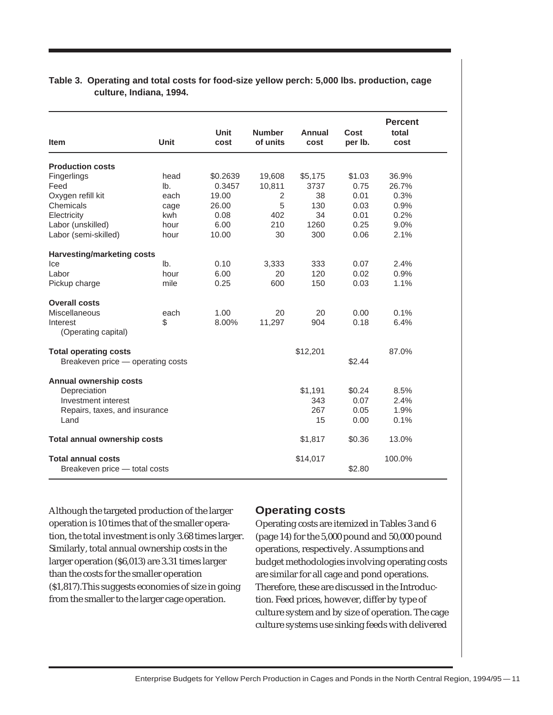#### **Table 3. Operating and total costs for food-size yellow perch: 5,000 lbs. production, cage culture, Indiana, 1994.**

| <b>Item</b>                         | <b>Unit</b> | <b>Unit</b><br>cost | <b>Number</b><br>of units | Annual<br>cost | Cost<br>per lb. | <b>Percent</b><br>total<br>cost |
|-------------------------------------|-------------|---------------------|---------------------------|----------------|-----------------|---------------------------------|
| <b>Production costs</b>             |             |                     |                           |                |                 |                                 |
| Fingerlings                         | head        | \$0.2639            | 19,608                    | \$5,175        | \$1.03          | 36.9%                           |
| Feed                                | lb.         | 0.3457              | 10,811                    | 3737           | 0.75            | 26.7%                           |
| Oxygen refill kit                   | each        | 19.00               | 2                         | 38             | 0.01            | 0.3%                            |
| Chemicals                           | cage        | 26.00               | 5                         | 130            | 0.03            | 0.9%                            |
| Electricity                         | kwh         | 0.08                | 402                       | 34             | 0.01            | 0.2%                            |
| Labor (unskilled)                   | hour        | 6.00                | 210                       | 1260           | 0.25            | 9.0%                            |
| Labor (semi-skilled)                | hour        | 10.00               | 30                        | 300            | 0.06            | 2.1%                            |
| <b>Harvesting/marketing costs</b>   |             |                     |                           |                |                 |                                 |
| lce                                 | lb.         | 0.10                | 3,333                     | 333            | 0.07            | 2.4%                            |
| Labor                               | hour        | 6.00                | 20                        | 120            | 0.02            | 0.9%                            |
| Pickup charge                       | mile        | 0.25                | 600                       | 150            | 0.03            | 1.1%                            |
| <b>Overall costs</b>                |             |                     |                           |                |                 |                                 |
| Miscellaneous                       | each        | 1.00                | 20                        | 20             | 0.00            | 0.1%                            |
| Interest                            | \$          | 8.00%               | 11,297                    | 904            | 0.18            | 6.4%                            |
| (Operating capital)                 |             |                     |                           |                |                 |                                 |
| <b>Total operating costs</b>        |             |                     |                           | \$12,201       |                 | 87.0%                           |
| Breakeven price - operating costs   |             |                     |                           |                | \$2.44          |                                 |
| <b>Annual ownership costs</b>       |             |                     |                           |                |                 |                                 |
| Depreciation                        |             |                     |                           | \$1,191        | \$0.24          | 8.5%                            |
| Investment interest                 |             |                     |                           | 343            | 0.07            | 2.4%                            |
| Repairs, taxes, and insurance       |             |                     |                           | 267            | 0.05            | 1.9%                            |
| Land                                |             |                     |                           | 15             | 0.00            | 0.1%                            |
| <b>Total annual ownership costs</b> |             |                     |                           | \$1,817        | \$0.36          | 13.0%                           |
| <b>Total annual costs</b>           |             |                     |                           | \$14,017       |                 | 100.0%                          |
| Breakeven price - total costs       |             |                     |                           |                | \$2.80          |                                 |

Although the targeted production of the larger operation is 10 times that of the smaller operation, the total investment is only 3.68 times larger. Similarly, total annual ownership costs in the larger operation (\$6,013) are 3.31 times larger than the costs for the smaller operation (\$1,817).This suggests economies of size in going from the smaller to the larger cage operation.

#### **Operating costs**

Operating costs are itemized in Tables 3 and 6 (page 14) for the 5,000 pound and 50,000 pound operations, respectively. Assumptions and budget methodologies involving operating costs are similar for all cage and pond operations. Therefore, these are discussed in the Introduction. Feed prices, however, differ by type of culture system and by size of operation. The cage culture systems use sinking feeds with delivered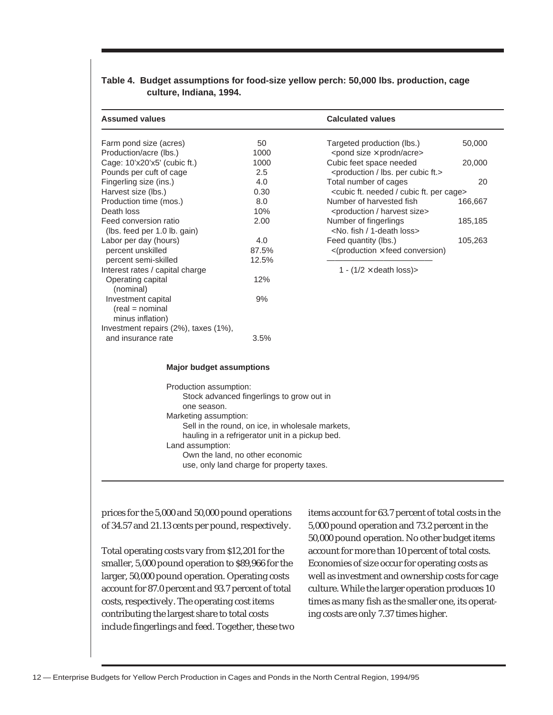#### **Table 4. Budget assumptions for food-size yellow perch: 50,000 lbs. production, cage culture, Indiana, 1994.**

| <b>Assumed values</b>                                                                                                                                                                                                                                              |                                                  | <b>Calculated values</b>                                                |         |
|--------------------------------------------------------------------------------------------------------------------------------------------------------------------------------------------------------------------------------------------------------------------|--------------------------------------------------|-------------------------------------------------------------------------|---------|
| Farm pond size (acres)<br>Production/acre (lbs.)                                                                                                                                                                                                                   | 50<br>1000                                       | Targeted production (lbs.)<br>$\epsilon$ pond size $\times$ prodn/acre> | 50,000  |
| Cage: 10'x20'x5' (cubic ft.)                                                                                                                                                                                                                                       | 1000                                             | Cubic feet space needed                                                 | 20,000  |
| Pounds per cuft of cage                                                                                                                                                                                                                                            | 2.5                                              | <production cubic="" ft.="" lbs.="" per=""></production>                |         |
| Fingerling size (ins.)                                                                                                                                                                                                                                             | 4.0                                              | Total number of cages                                                   | 20      |
| Harvest size (lbs.)                                                                                                                                                                                                                                                | 0.30                                             | <cubic cage="" cubic="" ft.="" needed="" per=""></cubic>                |         |
| Production time (mos.)                                                                                                                                                                                                                                             | 8.0                                              | Number of harvested fish                                                | 166,667 |
| Death loss                                                                                                                                                                                                                                                         | 10%                                              | <production harvest="" size=""></production>                            |         |
| Feed conversion ratio                                                                                                                                                                                                                                              | 2.00                                             | Number of fingerlings                                                   | 185,185 |
| (lbs. feed per 1.0 lb. gain)                                                                                                                                                                                                                                       |                                                  | <no. 1-death="" fish="" loss=""></no.>                                  |         |
| Labor per day (hours)                                                                                                                                                                                                                                              | 4.0                                              | Feed quantity (lbs.)                                                    | 105,263 |
| percent unskilled                                                                                                                                                                                                                                                  | 87.5%                                            | $\le$ (production $\times$ feed conversion)                             |         |
| percent semi-skilled                                                                                                                                                                                                                                               | 12.5%                                            |                                                                         |         |
| Interest rates / capital charge                                                                                                                                                                                                                                    |                                                  | 1 - $(1/2 \times$ death loss)>                                          |         |
| Operating capital                                                                                                                                                                                                                                                  | 12%                                              |                                                                         |         |
| (nominal)                                                                                                                                                                                                                                                          |                                                  |                                                                         |         |
| Investment capital                                                                                                                                                                                                                                                 | 9%                                               |                                                                         |         |
| $_{real = nominal}$                                                                                                                                                                                                                                                |                                                  |                                                                         |         |
| minus inflation)                                                                                                                                                                                                                                                   |                                                  |                                                                         |         |
| Investment repairs (2%), taxes (1%),                                                                                                                                                                                                                               |                                                  |                                                                         |         |
| and insurance rate                                                                                                                                                                                                                                                 | 3.5%                                             |                                                                         |         |
|                                                                                                                                                                                                                                                                    |                                                  |                                                                         |         |
| <b>Major budget assumptions</b>                                                                                                                                                                                                                                    |                                                  |                                                                         |         |
| Production assumption:<br>Stock advanced fingerlings to grow out in<br>one season.<br>Marketing assumption:<br>hauling in a refrigerator unit in a pickup bed.<br>Land assumption:<br>Own the land, no other economic<br>use, only land charge for property taxes. | Sell in the round, on ice, in wholesale markets, |                                                                         |         |

prices for the 5,000 and 50,000 pound operations of 34.57 and 21.13 cents per pound, respectively.

Total operating costs vary from \$12,201 for the smaller, 5,000 pound operation to \$89,966 for the larger, 50,000 pound operation. Operating costs account for 87.0 percent and 93.7 percent of total costs, respectively. The operating cost items contributing the largest share to total costs include fingerlings and feed. Together, these two items account for 63.7 percent of total costs in the 5,000 pound operation and 73.2 percent in the 50,000 pound operation. No other budget items account for more than 10 percent of total costs. Economies of size occur for operating costs as well as investment and ownership costs for cage culture. While the larger operation produces 10 times as many fish as the smaller one, its operating costs are only 7.37 times higher.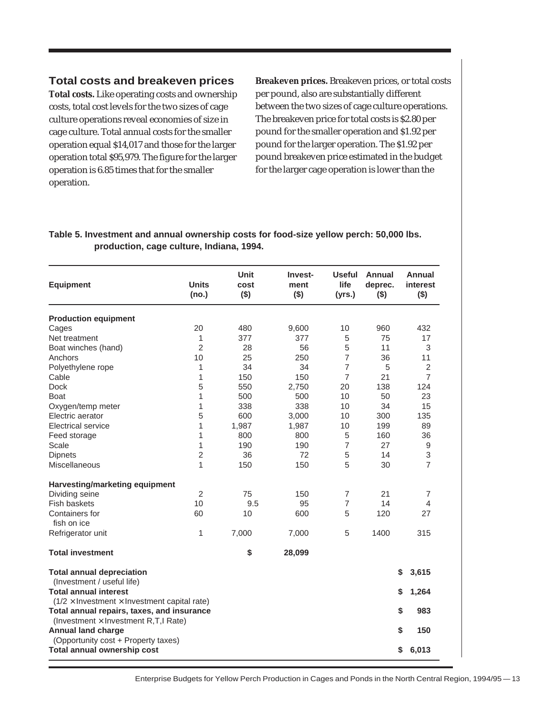#### **Total costs and breakeven prices**

**Total costs.** Like operating costs and ownership costs, total cost levels for the two sizes of cage culture operations reveal economies of size in cage culture. Total annual costs for the smaller operation equal \$14,017 and those for the larger operation total \$95,979. The figure for the larger operation is 6.85 times that for the smaller operation.

**Breakeven prices.** Breakeven prices, or total costs per pound, also are substantially different between the two sizes of cage culture operations. The breakeven price for total costs is \$2.80 per pound for the smaller operation and \$1.92 per pound for the larger operation. The \$1.92 per pound breakeven price estimated in the budget for the larger cage operation is lower than the

| <b>Equipment</b>                                                           | <b>Units</b><br>(no.) | Unit<br>cost<br>$($ \$) | Invest-<br>ment<br>$($ \$) | <b>Useful</b><br>life<br>(yrs.) | Annual<br>deprec.<br>$($ \$) | Annual<br>interest<br>$($ \$) |
|----------------------------------------------------------------------------|-----------------------|-------------------------|----------------------------|---------------------------------|------------------------------|-------------------------------|
| <b>Production equipment</b>                                                |                       |                         |                            |                                 |                              |                               |
| Cages                                                                      | 20                    | 480                     | 9,600                      | 10                              | 960                          | 432                           |
| Net treatment                                                              | 1                     | 377                     | 377                        | 5                               | 75                           | 17                            |
| Boat winches (hand)                                                        | $\overline{2}$        | 28                      | 56                         | 5                               | 11                           | 3                             |
| Anchors                                                                    | 10                    | 25                      | 250                        | $\overline{7}$                  | 36                           | 11                            |
| Polyethylene rope                                                          | 1                     | 34                      | 34                         | $\overline{7}$                  | 5                            | 2                             |
| Cable                                                                      | 1                     | 150                     | 150                        | $\overline{7}$                  | 21                           | $\overline{7}$                |
| <b>Dock</b>                                                                | 5                     | 550                     | 2,750                      | 20                              | 138                          | 124                           |
| Boat                                                                       | 1                     | 500                     | 500                        | 10                              | 50                           | 23                            |
| Oxygen/temp meter                                                          | 1                     | 338                     | 338                        | 10                              | 34                           | 15                            |
| Electric aerator                                                           | 5                     | 600                     | 3,000                      | 10                              | 300                          | 135                           |
| <b>Electrical service</b>                                                  | 1                     | 1,987                   | 1,987                      | 10                              | 199                          | 89                            |
| Feed storage                                                               | 1                     | 800                     | 800                        | 5                               | 160                          | 36                            |
| Scale                                                                      | 1                     | 190                     | 190                        | $\overline{7}$                  | 27                           | 9                             |
| <b>Dipnets</b>                                                             | $\overline{2}$        | 36                      | 72                         | 5                               | 14                           | 3                             |
| <b>Miscellaneous</b>                                                       | $\mathbf{1}$          | 150                     | 150                        | 5                               | 30                           | $\overline{7}$                |
| Harvesting/marketing equipment                                             |                       |                         |                            |                                 |                              |                               |
| Dividing seine                                                             | $\overline{2}$        | 75                      | 150                        | $\overline{7}$                  | 21                           | $\overline{7}$                |
| Fish baskets                                                               | 10                    | 9.5                     | 95                         | $\overline{7}$                  | 14                           | 4                             |
| Containers for                                                             | 60                    | 10                      | 600                        | 5                               | 120                          | 27                            |
| fish on ice                                                                |                       |                         |                            |                                 |                              |                               |
| Refrigerator unit                                                          | 1                     | 7,000                   | 7,000                      | 5                               | 1400                         | 315                           |
| <b>Total investment</b>                                                    |                       | \$                      | 28,099                     |                                 |                              |                               |
| <b>Total annual depreciation</b>                                           |                       |                         |                            |                                 |                              | \$<br>3,615                   |
| (Investment / useful life)                                                 |                       |                         |                            |                                 |                              |                               |
| <b>Total annual interest</b>                                               |                       |                         |                            |                                 |                              | \$<br>1,264                   |
| $(1/2 \times$ Investment $\times$ Investment capital rate)                 |                       |                         |                            |                                 |                              |                               |
| Total annual repairs, taxes, and insurance                                 |                       |                         |                            |                                 |                              | \$<br>983                     |
| (Investment $\times$ Investment R, T, I Rate)<br><b>Annual land charge</b> |                       |                         |                            |                                 |                              | \$<br>150                     |
| (Opportunity cost + Property taxes)                                        |                       |                         |                            |                                 |                              |                               |
| Total annual ownership cost                                                |                       |                         |                            |                                 |                              | \$<br>6,013                   |

#### **Table 5. Investment and annual ownership costs for food-size yellow perch: 50,000 lbs. production, cage culture, Indiana, 1994.**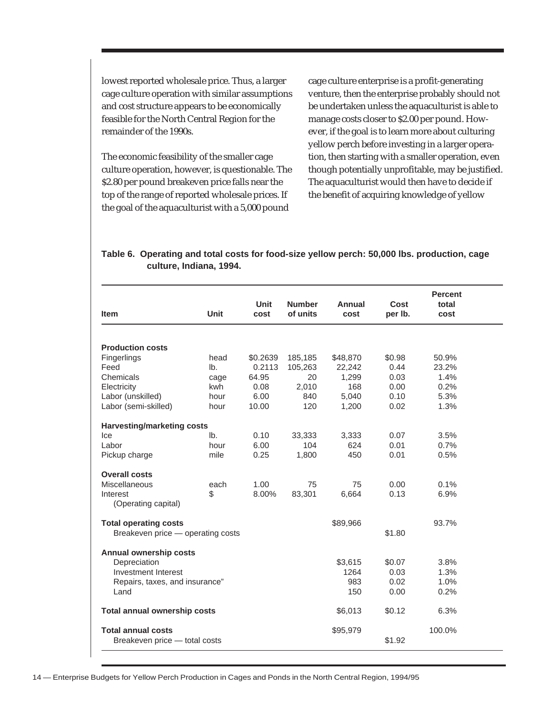lowest reported wholesale price. Thus, a larger cage culture operation with similar assumptions and cost structure appears to be economically feasible for the North Central Region for the remainder of the 1990s.

The economic feasibility of the smaller cage culture operation, however, is questionable. The \$2.80 per pound breakeven price falls near the top of the range of reported wholesale prices. If the goal of the aquaculturist with a 5,000 pound

cage culture enterprise is a profit-generating venture, then the enterprise probably should not be undertaken unless the aquaculturist is able to manage costs closer to \$2.00 per pound. However, if the goal is to learn more about culturing yellow perch before investing in a larger operation, then starting with a smaller operation, even though potentially unprofitable, may be justified. The aquaculturist would then have to decide if the benefit of acquiring knowledge of yellow

#### **Table 6. Operating and total costs for food-size yellow perch: 50,000 lbs. production, cage culture, Indiana, 1994.**

| <b>Item</b>                                                | <b>Unit</b> | Unit<br>cost | <b>Number</b><br>of units | <b>Annual</b><br>cost | Cost<br>per lb. | <b>Percent</b><br>total<br>cost |  |  |
|------------------------------------------------------------|-------------|--------------|---------------------------|-----------------------|-----------------|---------------------------------|--|--|
|                                                            |             |              |                           |                       |                 |                                 |  |  |
| <b>Production costs</b>                                    |             |              |                           |                       |                 |                                 |  |  |
| Fingerlings                                                | head        | \$0.2639     | 185,185                   | \$48,870              | \$0.98          | 50.9%                           |  |  |
| Feed                                                       | lb.         | 0.2113       | 105,263                   | 22,242                | 0.44            | 23.2%                           |  |  |
| Chemicals                                                  | cage        | 64.95        | 20                        | 1,299                 | 0.03            | 1.4%                            |  |  |
| Electricity                                                | kwh         | 0.08         | 2,010                     | 168                   | 0.00            | 0.2%                            |  |  |
| Labor (unskilled)                                          | hour        | 6.00         | 840                       | 5,040                 | 0.10            | 5.3%                            |  |  |
| Labor (semi-skilled)                                       | hour        | 10.00        | 120                       | 1,200                 | 0.02            | 1.3%                            |  |  |
| <b>Harvesting/marketing costs</b>                          |             |              |                           |                       |                 |                                 |  |  |
| Ice                                                        | lb.         | 0.10         | 33,333                    | 3,333                 | 0.07            | 3.5%                            |  |  |
| Labor                                                      | hour        | 6.00         | 104                       | 624                   | 0.01            | 0.7%                            |  |  |
| Pickup charge                                              | mile        | 0.25         | 1,800                     | 450                   | 0.01            | 0.5%                            |  |  |
| <b>Overall costs</b>                                       |             |              |                           |                       |                 |                                 |  |  |
| Miscellaneous                                              | each        | 1.00         | 75                        | 75                    | 0.00            | 0.1%                            |  |  |
| Interest                                                   | \$          | 8.00%        | 83,301                    | 6,664                 | 0.13            | 6.9%                            |  |  |
| (Operating capital)                                        |             |              |                           |                       |                 |                                 |  |  |
| <b>Total operating costs</b>                               |             |              |                           | \$89,966              |                 | 93.7%                           |  |  |
| Breakeven price - operating costs                          |             |              |                           |                       | \$1.80          |                                 |  |  |
| <b>Annual ownership costs</b>                              |             |              |                           |                       |                 |                                 |  |  |
| Depreciation                                               |             |              |                           | \$3,615               | \$0.07          | 3.8%                            |  |  |
| Investment Interest                                        |             |              |                           | 1264                  | 0.03            | 1.3%                            |  |  |
| Repairs, taxes, and insurance"                             |             |              |                           | 983                   | 0.02            | 1.0%                            |  |  |
| Land                                                       |             |              |                           | 150                   | 0.00            | 0.2%                            |  |  |
| Total annual ownership costs                               |             |              |                           | \$6,013               | \$0.12          | 6.3%                            |  |  |
| <b>Total annual costs</b><br>Breakeven price - total costs |             |              |                           | \$95,979              | \$1.92          | 100.0%                          |  |  |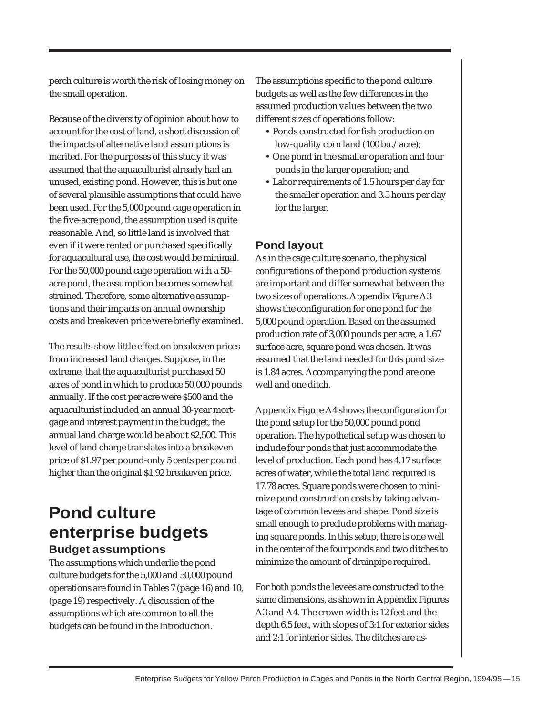perch culture is worth the risk of losing money on the small operation.

Because of the diversity of opinion about how to account for the cost of land, a short discussion of the impacts of alternative land assumptions is merited. For the purposes of this study it was assumed that the aquaculturist already had an unused, existing pond. However, this is but one of several plausible assumptions that could have been used. For the 5,000 pound cage operation in the five-acre pond, the assumption used is quite reasonable. And, so little land is involved that even if it were rented or purchased specifically for aquacultural use, the cost would be minimal. For the 50,000 pound cage operation with a 50 acre pond, the assumption becomes somewhat strained. Therefore, some alternative assumptions and their impacts on annual ownership costs and breakeven price were briefly examined.

The results show little effect on breakeven prices from increased land charges. Suppose, in the extreme, that the aquaculturist purchased 50 acres of pond in which to produce 50,000 pounds annually. If the cost per acre were \$500 and the aquaculturist included an annual 30-year mortgage and interest payment in the budget, the annual land charge would be about \$2,500. This level of land charge translates into a breakeven price of \$1.97 per pound-only 5 cents per pound higher than the original \$1.92 breakeven price.

### **Pond culture enterprise budgets Budget assumptions**

The assumptions which underlie the pond culture budgets for the 5,000 and 50,000 pound operations are found in Tables 7 (page 16) and 10, (page 19) respectively. A discussion of the assumptions which are common to all the budgets can be found in the Introduction.

The assumptions specific to the pond culture budgets as well as the few differences in the assumed production values between the two different sizes of operations follow:

- Ponds constructed for fish production on low-quality corn land (100 bu./acre);
- One pond in the smaller operation and four ponds in the larger operation; and
- Labor requirements of 1.5 hours per day for the smaller operation and 3.5 hours per day for the larger.

#### **Pond layout**

As in the cage culture scenario, the physical configurations of the pond production systems are important and differ somewhat between the two sizes of operations. Appendix Figure A3 shows the configuration for one pond for the 5,000 pound operation. Based on the assumed production rate of 3,000 pounds per acre, a 1.67 surface acre, square pond was chosen. It was assumed that the land needed for this pond size is 1.84 acres. Accompanying the pond are one well and one ditch.

Appendix Figure A4 shows the configuration for the pond setup for the 50,000 pound pond operation. The hypothetical setup was chosen to include four ponds that just accommodate the level of production. Each pond has 4.17 surface acres of water, while the total land required is 17.78 acres. Square ponds were chosen to minimize pond construction costs by taking advantage of common levees and shape. Pond size is small enough to preclude problems with managing square ponds. In this setup, there is one well in the center of the four ponds and two ditches to minimize the amount of drainpipe required.

For both ponds the levees are constructed to the same dimensions, as shown in Appendix Figures A3 and A4. The crown width is 12 feet and the depth 6.5 feet, with slopes of 3:1 for exterior sides and 2:1 for interior sides. The ditches are as-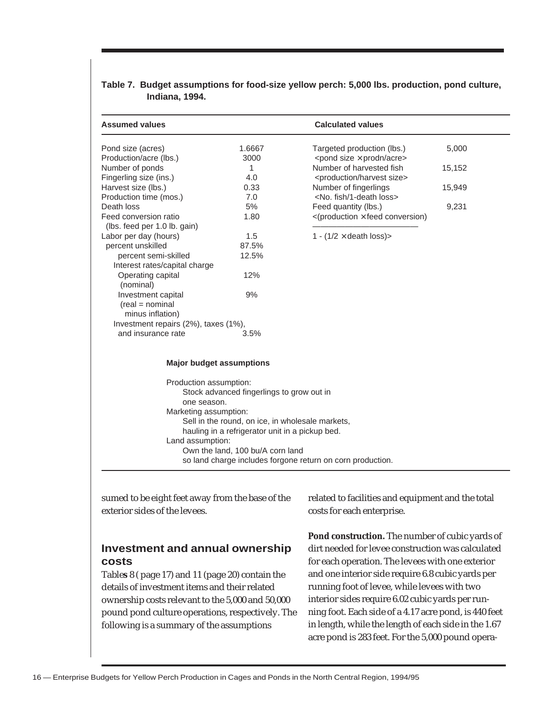#### **Table 7. Budget assumptions for food-size yellow perch: 5,000 lbs. production, pond culture, Indiana, 1994.**

| <b>Assumed values</b>                                                              |                                                                                                                                                                                      | <b>Calculated values</b>                                       |        |
|------------------------------------------------------------------------------------|--------------------------------------------------------------------------------------------------------------------------------------------------------------------------------------|----------------------------------------------------------------|--------|
| Pond size (acres)                                                                  | 1.6667                                                                                                                                                                               | Targeted production (lbs.)                                     | 5,000  |
| Production/acre (lbs.)                                                             | 3000                                                                                                                                                                                 | $\epsilon$ <pond <math="" size="">\times prodn/acre&gt;</pond> |        |
| Number of ponds                                                                    | 1                                                                                                                                                                                    | Number of harvested fish                                       | 15,152 |
| Fingerling size (ins.)                                                             | 4.0                                                                                                                                                                                  | <production harvest="" size=""></production>                   |        |
| Harvest size (lbs.)                                                                | 0.33                                                                                                                                                                                 | Number of fingerlings                                          | 15,949 |
| Production time (mos.)                                                             | 7.0                                                                                                                                                                                  | <no. 1-death="" fish="" loss=""></no.>                         |        |
| Death loss                                                                         | 5%                                                                                                                                                                                   | Feed quantity (lbs.)                                           | 9,231  |
| Feed conversion ratio                                                              | 1.80                                                                                                                                                                                 | $\leq$ (production $\times$ feed conversion)                   |        |
| (lbs. feed per 1.0 lb. gain)                                                       |                                                                                                                                                                                      |                                                                |        |
| Labor per day (hours)                                                              | 1.5                                                                                                                                                                                  | 1 - $(1/2 \times$ death loss)>                                 |        |
| percent unskilled                                                                  | 87.5%                                                                                                                                                                                |                                                                |        |
| percent semi-skilled                                                               | 12.5%                                                                                                                                                                                |                                                                |        |
| Interest rates/capital charge                                                      |                                                                                                                                                                                      |                                                                |        |
| Operating capital                                                                  | 12%                                                                                                                                                                                  |                                                                |        |
| (nominal)                                                                          |                                                                                                                                                                                      |                                                                |        |
| Investment capital                                                                 | 9%                                                                                                                                                                                   |                                                                |        |
| $_{\text{real}$ = nominal                                                          |                                                                                                                                                                                      |                                                                |        |
| minus inflation)                                                                   |                                                                                                                                                                                      |                                                                |        |
| Investment repairs (2%), taxes (1%),                                               |                                                                                                                                                                                      |                                                                |        |
| and insurance rate                                                                 | 3.5%                                                                                                                                                                                 |                                                                |        |
|                                                                                    |                                                                                                                                                                                      |                                                                |        |
| <b>Major budget assumptions</b>                                                    |                                                                                                                                                                                      |                                                                |        |
| Production assumption:<br>one season.<br>Marketing assumption:<br>Land assumption: | Stock advanced fingerlings to grow out in<br>Sell in the round, on ice, in wholesale markets,<br>hauling in a refrigerator unit in a pickup bed.<br>Own the land, 100 bu/A corn land | so land charge includes forgone return on corn production.     |        |

sumed to be eight feet away from the base of the exterior sides of the levees.

#### **Investment and annual ownership costs**

Table**s** 8 ( page 17) and 11 (page 20) contain the details of investment items and their related ownership costs relevant to the 5,000 and 50,000 pound pond culture operations, respectively. The following is a summary of the assumptions

related to facilities and equipment and the total costs for each enterprise.

**Pond construction.** The number of cubic yards of dirt needed for levee construction was calculated for each operation. The levees with one exterior and one interior side require 6.8 cubic yards per running foot of levee, while levees with two interior sides require 6.02 cubic yards per running foot. Each side of a 4.17 acre pond, is 440 feet in length, while the length of each side in the 1.67 acre pond is 283 feet. For the 5,000 pound opera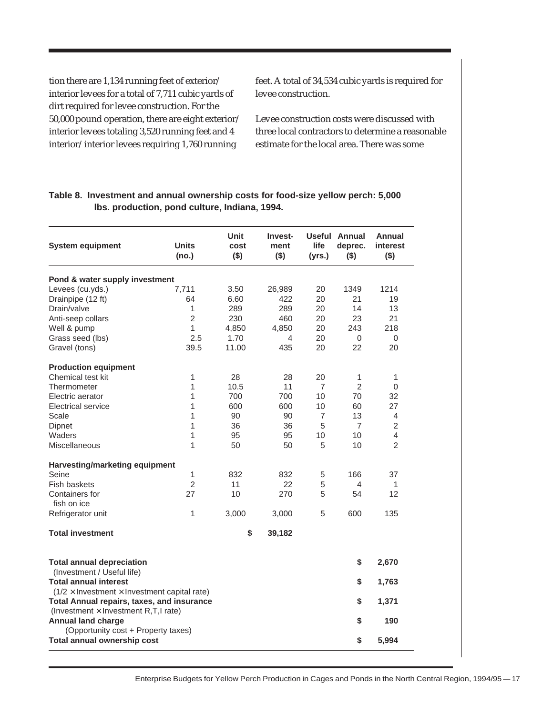tion there are 1,134 running feet of exterior/ interior levees for a total of 7,711 cubic yards of dirt required for levee construction. For the 50,000 pound operation, there are eight exterior/ interior levees totaling 3,520 running feet and 4 interior/interior levees requiring 1,760 running

feet. A total of 34,534 cubic yards is required for levee construction.

Levee construction costs were discussed with three local contractors to determine a reasonable estimate for the local area. There was some

#### **Table 8. Investment and annual ownership costs for food-size yellow perch: 5,000 lbs. production, pond culture, Indiana, 1994.**

| <b>System equipment</b>                                                                                         | <b>Units</b><br>(no.) | Unit<br>cost<br>$($ \$) | Invest-<br>ment<br>$($ \$) | life<br>(yrs.) | Useful Annual<br>deprec.<br>$($ \$) | Annual<br>interest<br>$($ \$) |
|-----------------------------------------------------------------------------------------------------------------|-----------------------|-------------------------|----------------------------|----------------|-------------------------------------|-------------------------------|
| Pond & water supply investment                                                                                  |                       |                         |                            |                |                                     |                               |
| Levees (cu.yds.)                                                                                                | 7,711                 | 3.50                    | 26,989                     | 20             | 1349                                | 1214                          |
| Drainpipe (12 ft)                                                                                               | 64                    | 6.60                    | 422                        | 20             | 21                                  | 19                            |
| Drain/valve                                                                                                     | 1                     | 289                     | 289                        | 20             | 14                                  | 13                            |
| Anti-seep collars                                                                                               | $\overline{2}$        | 230                     | 460                        | 20             | 23                                  | 21                            |
| Well & pump                                                                                                     | 1                     | 4,850                   | 4,850                      | 20             | 243                                 | 218                           |
| Grass seed (lbs)                                                                                                | 2.5                   | 1.70                    | 4                          | 20             | $\Omega$                            | $\Omega$                      |
| Gravel (tons)                                                                                                   | 39.5                  | 11.00                   | 435                        | 20             | 22                                  | 20                            |
| <b>Production equipment</b>                                                                                     |                       |                         |                            |                |                                     |                               |
| Chemical test kit                                                                                               | 1                     | 28                      | 28                         | 20             | $\mathbf{1}$                        | 1                             |
| Thermometer                                                                                                     | 1                     | 10.5                    | 11                         | 7              | $\overline{2}$                      | 0                             |
| Electric aerator                                                                                                | 1                     | 700                     | 700                        | 10             | 70                                  | 32                            |
| <b>Electrical service</b>                                                                                       | 1                     | 600                     | 600                        | 10             | 60                                  | 27                            |
| Scale                                                                                                           | 1                     | 90                      | 90                         | 7              | 13                                  | 4                             |
| Dipnet                                                                                                          | 1                     | 36                      | 36                         | 5              | $\overline{7}$                      | $\overline{2}$                |
| Waders                                                                                                          | 1                     | 95                      | 95                         | 10             | 10                                  | $\overline{\mathbf{4}}$       |
| <b>Miscellaneous</b>                                                                                            | 1                     | 50                      | 50                         | 5              | 10                                  | $\overline{2}$                |
| Harvesting/marketing equipment                                                                                  |                       |                         |                            |                |                                     |                               |
| Seine                                                                                                           | 1                     | 832                     | 832                        | 5              | 166                                 | 37                            |
| Fish baskets                                                                                                    | $\overline{2}$        | 11                      | 22                         | 5              | 4                                   | 1                             |
| Containers for                                                                                                  | 27                    | 10                      | 270                        | 5              | 54                                  | 12                            |
| fish on ice                                                                                                     |                       |                         |                            |                |                                     |                               |
| Refrigerator unit                                                                                               | 1                     | 3,000                   | 3,000                      | 5              | 600                                 | 135                           |
| <b>Total investment</b>                                                                                         |                       | \$                      | 39,182                     |                |                                     |                               |
| <b>Total annual depreciation</b>                                                                                |                       |                         |                            |                | \$                                  | 2,670                         |
| (Investment / Useful life)<br><b>Total annual interest</b>                                                      |                       |                         |                            | \$             | 1,763                               |                               |
| $(1/2 \times$ Investment $\times$ Investment capital rate)<br><b>Total Annual repairs, taxes, and insurance</b> |                       |                         |                            |                | \$                                  | 1,371                         |
| (Investment $\times$ Investment R, T, I rate)<br><b>Annual land charge</b>                                      |                       |                         |                            |                | \$                                  | 190                           |
| (Opportunity cost + Property taxes)                                                                             |                       |                         |                            |                |                                     |                               |
| Total annual ownership cost                                                                                     |                       |                         |                            |                | \$                                  | 5,994                         |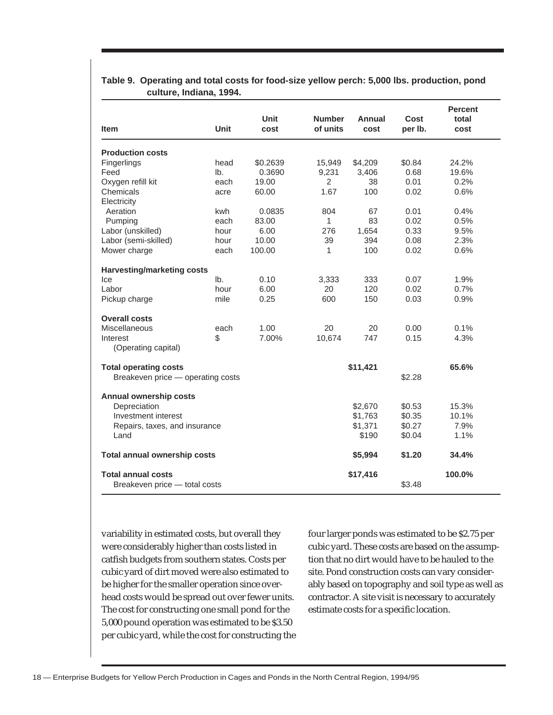| <b>Item</b>                       | <b>Unit</b> | <b>Unit</b><br>cost | <b>Number</b><br>of units | <b>Annual</b><br>cost | Cost<br>per lb. | <b>Percent</b><br>total<br>cost |
|-----------------------------------|-------------|---------------------|---------------------------|-----------------------|-----------------|---------------------------------|
| <b>Production costs</b>           |             |                     |                           |                       |                 |                                 |
| Fingerlings                       | head        | \$0.2639            | 15,949                    | \$4,209               | \$0.84          | 24.2%                           |
| Feed                              | lb.         | 0.3690              | 9,231                     | 3,406                 | 0.68            | 19.6%                           |
| Oxygen refill kit                 | each        | 19.00               | $\overline{2}$            | 38                    | 0.01            | 0.2%                            |
| Chemicals                         | acre        | 60.00               | 1.67                      | 100                   | 0.02            | 0.6%                            |
| Electricity                       |             |                     |                           |                       |                 |                                 |
| Aeration                          | <b>kwh</b>  | 0.0835              | 804                       | 67                    | 0.01            | 0.4%                            |
| Pumping                           | each        | 83.00               | 1                         | 83                    | 0.02            | 0.5%                            |
| Labor (unskilled)                 | hour        | 6.00                | 276                       | 1,654                 | 0.33            | 9.5%                            |
| Labor (semi-skilled)              | hour        | 10.00               | 39                        | 394                   | 0.08            | 2.3%                            |
| Mower charge                      | each        | 100.00              | 1                         | 100                   | 0.02            | 0.6%                            |
|                                   |             |                     |                           |                       |                 |                                 |
| <b>Harvesting/marketing costs</b> |             |                     |                           |                       |                 |                                 |
| Ice                               | lb.         | 0.10                | 3,333                     | 333                   | 0.07            | 1.9%                            |
| Labor                             | hour        | 6.00                | 20                        | 120                   | 0.02            | 0.7%                            |
| Pickup charge                     | mile        | 0.25                | 600                       | 150                   | 0.03            | 0.9%                            |
| <b>Overall costs</b>              |             |                     |                           |                       |                 |                                 |
| Miscellaneous                     | each        | 1.00                | 20                        | 20                    | 0.00            | 0.1%                            |
| Interest                          | \$          | 7.00%               | 10,674                    | 747                   | 0.15            | 4.3%                            |
| (Operating capital)               |             |                     |                           |                       |                 |                                 |
| <b>Total operating costs</b>      |             |                     |                           | \$11,421              |                 | 65.6%                           |
| Breakeven price - operating costs |             |                     |                           |                       | \$2.28          |                                 |
| Annual ownership costs            |             |                     |                           |                       |                 |                                 |
| Depreciation                      |             |                     |                           | \$2,670               | \$0.53          | 15.3%                           |
| Investment interest               |             |                     |                           | \$1,763               | \$0.35          | 10.1%                           |
| Repairs, taxes, and insurance     |             |                     |                           | \$1,371               | \$0.27          | 7.9%                            |
| Land                              |             |                     |                           | \$190                 | \$0.04          | 1.1%                            |
| Total annual ownership costs      |             |                     |                           | \$5,994               | \$1.20          | 34.4%                           |
| <b>Total annual costs</b>         |             |                     |                           | \$17,416              |                 | 100.0%                          |
| Breakeven price - total costs     |             |                     |                           |                       | \$3.48          |                                 |

#### **Table 9. Operating and total costs for food-size yellow perch: 5,000 lbs. production, pond culture, Indiana, 1994.**

variability in estimated costs, but overall they were considerably higher than costs listed in catfish budgets from southern states. Costs per cubic yard of dirt moved were also estimated to be higher for the smaller operation since overhead costs would be spread out over fewer units. The cost for constructing one small pond for the 5,000 pound operation was estimated to be \$3.50 per cubic yard, while the cost for constructing the four larger ponds was estimated to be \$2.75 per cubic yard. These costs are based on the assumption that no dirt would have to be hauled to the site. Pond construction costs can vary considerably based on topography and soil type as well as contractor. A site visit is necessary to accurately estimate costs for a specific location.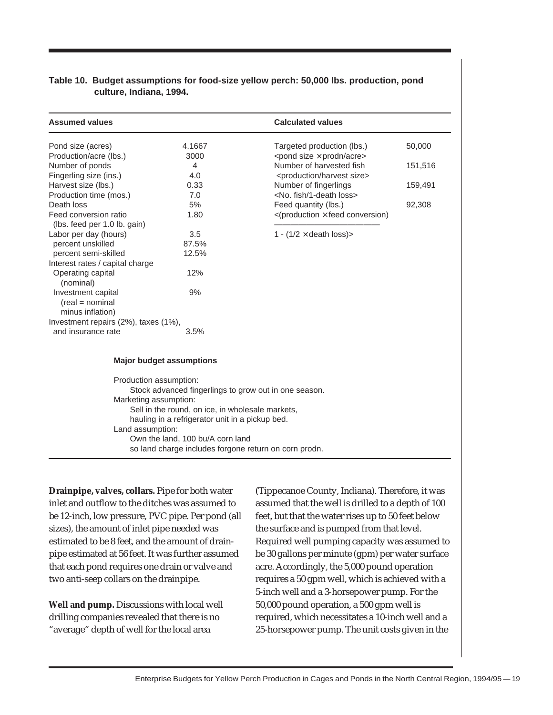#### **Table 10. Budget assumptions for food-size yellow perch: 50,000 lbs. production, pond culture, Indiana, 1994.**

| <b>Assumed values</b>                                               |                                                                                                                                                                                                                                                                                                              | <b>Calculated values</b>                     |         |  |  |  |
|---------------------------------------------------------------------|--------------------------------------------------------------------------------------------------------------------------------------------------------------------------------------------------------------------------------------------------------------------------------------------------------------|----------------------------------------------|---------|--|--|--|
| Pond size (acres)                                                   | 4.1667                                                                                                                                                                                                                                                                                                       | Targeted production (lbs.)                   | 50,000  |  |  |  |
| Production/acre (lbs.)                                              | 3000                                                                                                                                                                                                                                                                                                         | $\epsilon$ pond size $\times$ prodn/acre>    |         |  |  |  |
| Number of ponds                                                     | 4                                                                                                                                                                                                                                                                                                            | Number of harvested fish                     | 151,516 |  |  |  |
| Fingerling size (ins.)                                              | 4.0                                                                                                                                                                                                                                                                                                          | <production harvest="" size=""></production> |         |  |  |  |
| Harvest size (lbs.)                                                 | 0.33                                                                                                                                                                                                                                                                                                         | Number of fingerlings                        | 159,491 |  |  |  |
| Production time (mos.)                                              | 7.0                                                                                                                                                                                                                                                                                                          | <no. 1-death="" fish="" loss=""></no.>       |         |  |  |  |
| Death loss                                                          | 5%                                                                                                                                                                                                                                                                                                           | Feed quantity (lbs.)                         | 92,308  |  |  |  |
| Feed conversion ratio<br>(lbs. feed per 1.0 lb. gain)               | 1.80                                                                                                                                                                                                                                                                                                         | $\leq$ (production $\times$ feed conversion) |         |  |  |  |
| Labor per day (hours)                                               | 3.5                                                                                                                                                                                                                                                                                                          | 1 - $(1/2 \times$ death loss)>               |         |  |  |  |
| percent unskilled                                                   | 87.5%                                                                                                                                                                                                                                                                                                        |                                              |         |  |  |  |
| percent semi-skilled                                                | 12.5%                                                                                                                                                                                                                                                                                                        |                                              |         |  |  |  |
| Interest rates / capital charge                                     |                                                                                                                                                                                                                                                                                                              |                                              |         |  |  |  |
| Operating capital<br>(nominal)                                      | 12%                                                                                                                                                                                                                                                                                                          |                                              |         |  |  |  |
| Investment capital<br>$_{\text{real}$ = nominal<br>minus inflation) | 9%                                                                                                                                                                                                                                                                                                           |                                              |         |  |  |  |
| Investment repairs (2%), taxes (1%),                                |                                                                                                                                                                                                                                                                                                              |                                              |         |  |  |  |
| and insurance rate                                                  | 3.5%                                                                                                                                                                                                                                                                                                         |                                              |         |  |  |  |
|                                                                     |                                                                                                                                                                                                                                                                                                              |                                              |         |  |  |  |
|                                                                     | <b>Major budget assumptions</b>                                                                                                                                                                                                                                                                              |                                              |         |  |  |  |
| Land assumption:                                                    | Production assumption:<br>Stock advanced fingerlings to grow out in one season.<br>Marketing assumption:<br>Sell in the round, on ice, in wholesale markets,<br>hauling in a refrigerator unit in a pickup bed.<br>Own the land, 100 bu/A corn land<br>so land charge includes forgone return on corn prodn. |                                              |         |  |  |  |

**Drainpipe, valves, collars.** Pipe for both water inlet and outflow to the ditches was assumed to be 12-inch, low pressure, PVC pipe. Per pond (all sizes), the amount of inlet pipe needed was estimated to be 8 feet, and the amount of drainpipe estimated at 56 feet. It was further assumed that each pond requires one drain or valve and two anti-seep collars on the drainpipe.

**Well and pump.** Discussions with local well drilling companies revealed that there is no "average" depth of well for the local area

(Tippecanoe County, Indiana). Therefore, it was assumed that the well is drilled to a depth of 100 feet, but that the water rises up to 50 feet below the surface and is pumped from that level. Required well pumping capacity was assumed to be 30 gallons per minute (gpm) per water surface acre. Accordingly, the 5,000 pound operation requires a 50 gpm well, which is achieved with a 5-inch well and a 3-horsepower pump. For the 50,000 pound operation, a 500 gpm well is required, which necessitates a 10-inch well and a 25-horsepower pump. The unit costs given in the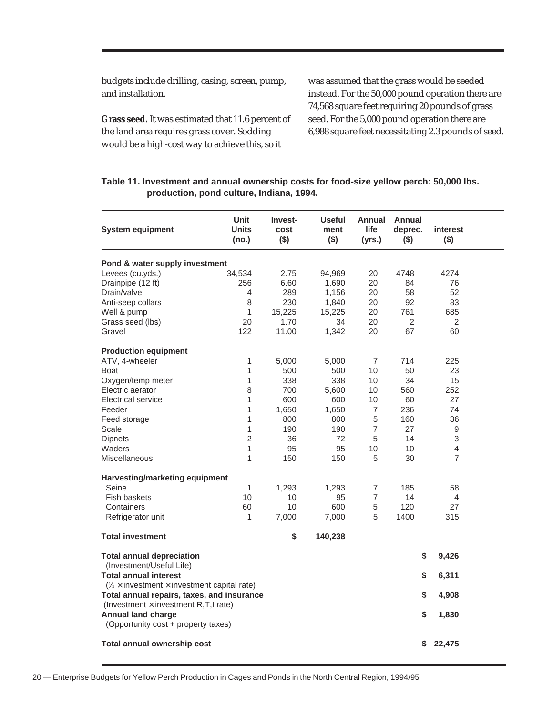budgets include drilling, casing, screen, pump, and installation.

**Grass seed.** It was estimated that 11.6 percent of the land area requires grass cover. Sodding would be a high-cost way to achieve this, so it

was assumed that the grass would be seeded instead. For the 50,000 pound operation there are 74,568 square feet requiring 20 pounds of grass seed. For the 5,000 pound operation there are 6,988 square feet necessitating 2.3 pounds of seed.

**Table 11. Investment and annual ownership costs for food-size yellow perch: 50,000 lbs. production, pond culture, Indiana, 1994.**

| <b>System equipment</b>                                                                                                              | <b>Unit</b><br>Units<br>(no.) | Invest-<br>cost<br>$($ \$) | <b>Useful</b><br>ment<br>$($ \$) | Annual<br>life<br>(yrs.) | Annual<br>deprec.<br>$($ \$) | interest<br>$($ \$) |  |
|--------------------------------------------------------------------------------------------------------------------------------------|-------------------------------|----------------------------|----------------------------------|--------------------------|------------------------------|---------------------|--|
| Pond & water supply investment                                                                                                       |                               |                            |                                  |                          |                              |                     |  |
| Levees (cu.yds.)                                                                                                                     | 34,534                        | 2.75                       | 94,969                           | 20                       | 4748                         | 4274                |  |
| Drainpipe (12 ft)                                                                                                                    | 256                           | 6.60                       | 1,690                            | 20                       | 84                           | 76                  |  |
| Drain/valve                                                                                                                          | 4                             | 289                        | 1,156                            | 20                       | 58                           | 52                  |  |
| Anti-seep collars                                                                                                                    | 8                             | 230                        | 1,840                            | 20                       | 92                           | 83                  |  |
| Well & pump                                                                                                                          | 1                             | 15,225                     | 15,225                           | 20                       | 761                          | 685                 |  |
| Grass seed (lbs)                                                                                                                     | 20                            | 1.70                       | 34                               | 20                       | $\overline{2}$               | 2                   |  |
| Gravel                                                                                                                               | 122                           | 11.00                      | 1,342                            | 20                       | 67                           | 60                  |  |
| <b>Production equipment</b>                                                                                                          |                               |                            |                                  |                          |                              |                     |  |
| ATV, 4-wheeler                                                                                                                       | 1                             | 5,000                      | 5,000                            | $\overline{7}$           | 714                          | 225                 |  |
| <b>Boat</b>                                                                                                                          | 1                             | 500                        | 500                              | 10                       | 50                           | 23                  |  |
| Oxygen/temp meter                                                                                                                    | 1                             | 338                        | 338                              | 10                       | 34                           | 15                  |  |
| Electric aerator                                                                                                                     | 8                             | 700                        | 5,600                            | 10                       | 560                          | 252                 |  |
| Electrical service                                                                                                                   | 1                             | 600                        | 600                              | 10                       | 60                           | 27                  |  |
| Feeder                                                                                                                               | 1                             | 1,650                      | 1,650                            | $\overline{7}$           | 236                          | 74                  |  |
| Feed storage                                                                                                                         | 1                             | 800                        | 800                              | 5                        | 160                          | 36                  |  |
| Scale                                                                                                                                | $\mathbf{1}$                  | 190                        | 190                              | $\overline{7}$           | 27                           | 9                   |  |
| <b>Dipnets</b>                                                                                                                       | $\overline{c}$                | 36                         | 72                               | 5                        | 14                           | 3                   |  |
| Waders                                                                                                                               | 1                             | 95                         | 95                               | 10                       | 10                           | 4                   |  |
| <b>Miscellaneous</b>                                                                                                                 | 1                             | 150                        | 150                              | 5                        | 30                           | $\overline{7}$      |  |
| Harvesting/marketing equipment                                                                                                       |                               |                            |                                  |                          |                              |                     |  |
| Seine                                                                                                                                | 1                             | 1,293                      | 1,293                            | $\overline{7}$           | 185                          | 58                  |  |
| Fish baskets                                                                                                                         | 10                            | 10                         | 95                               | $\overline{7}$           | 14                           | 4                   |  |
| Containers                                                                                                                           | 60                            | 10                         | 600                              | 5                        | 120                          | 27                  |  |
| Refrigerator unit                                                                                                                    | 1                             | 7,000                      | 7,000                            | 5                        | 1400                         | 315                 |  |
| <b>Total investment</b>                                                                                                              |                               | \$                         | 140,238                          |                          |                              |                     |  |
| <b>Total annual depreciation</b><br>(Investment/Useful Life)                                                                         |                               |                            |                                  |                          | \$                           | 9,426               |  |
| <b>Total annual interest</b>                                                                                                         |                               |                            |                                  |                          | \$                           | 6,311               |  |
| $(\frac{1}{2} \times \text{investment} \times \text{investment} \text{ capital rate})$<br>Total annual repairs, taxes, and insurance |                               |                            |                                  |                          | \$                           | 4,908               |  |
| (Investment $\times$ investment R,T,I rate)                                                                                          |                               |                            |                                  |                          |                              |                     |  |
| <b>Annual land charge</b><br>(Opportunity cost + property taxes)                                                                     |                               |                            |                                  |                          | \$                           | 1,830               |  |
| Total annual ownership cost                                                                                                          |                               |                            |                                  |                          | S.                           | 22,475              |  |

20 — Enterprise Budgets for Yellow Perch Production in Cages and Ponds in the North Central Region, 1994/95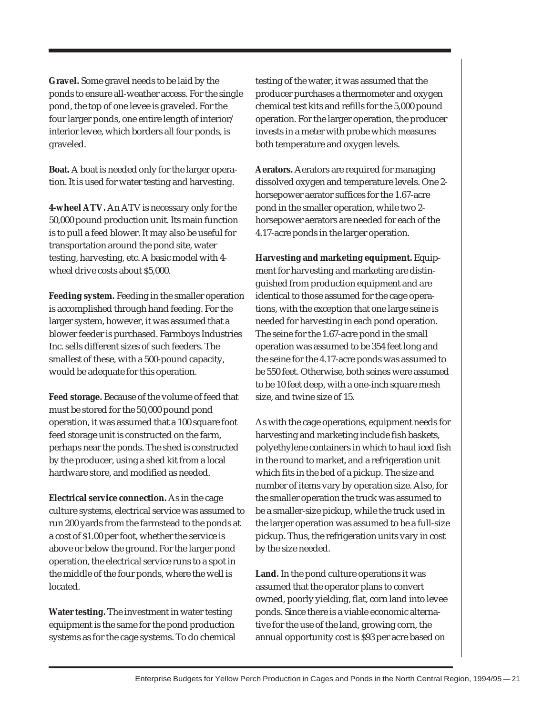**Gravel.** Some gravel needs to be laid by the ponds to ensure all-weather access. For the single pond, the top of one levee is graveled. For the four larger ponds, one entire length of interior/ interior levee, which borders all four ponds, is graveled.

**Boat.** A boat is needed only for the larger operation. It is used for water testing and harvesting.

**4-wheel ATV.** An ATV is necessary only for the 50,000 pound production unit. Its main function is to pull a feed blower. It may also be useful for transportation around the pond site, water testing, harvesting, etc. A basic model with 4 wheel drive costs about \$5,000.

**Feeding system.** Feeding in the smaller operation is accomplished through hand feeding. For the larger system, however, it was assumed that a blower feeder is purchased. Farmboys Industries Inc. sells different sizes of such feeders. The smallest of these, with a 500-pound capacity, would be adequate for this operation.

**Feed storage.** Because of the volume of feed that must be stored for the 50,000 pound pond operation, it was assumed that a 100 square foot feed storage unit is constructed on the farm, perhaps near the ponds. The shed is constructed by the producer, using a shed kit from a local hardware store, and modified as needed.

**Electrical service connection.** As in the cage culture systems, electrical service was assumed to run 200 yards from the farmstead to the ponds at a cost of \$1.00 per foot, whether the service is above or below the ground. For the larger pond operation, the electrical service runs to a spot in the middle of the four ponds, where the well is located.

**Water testing.** The investment in water testing equipment is the same for the pond production systems as for the cage systems. To do chemical testing of the water, it was assumed that the producer purchases a thermometer and oxygen chemical test kits and refills for the 5,000 pound operation. For the larger operation, the producer invests in a meter with probe which measures both temperature and oxygen levels.

**Aerators.** Aerators are required for managing dissolved oxygen and temperature levels. One 2 horsepower aerator suffices for the 1.67-acre pond in the smaller operation, while two 2 horsepower aerators are needed for each of the 4.17-acre ponds in the larger operation.

**Harvesting and marketing equipment.** Equipment for harvesting and marketing are distinguished from production equipment and are identical to those assumed for the cage operations, with the exception that one large seine is needed for harvesting in each pond operation. The seine for the 1.67-acre pond in the small operation was assumed to be 354 feet long and the seine for the 4.17-acre ponds was assumed to be 550 feet. Otherwise, both seines were assumed to be 10 feet deep, with a one-inch square mesh size, and twine size of 15.

As with the cage operations, equipment needs for harvesting and marketing include fish baskets, polyethylene containers in which to haul iced fish in the round to market, and a refrigeration unit which fits in the bed of a pickup. The size and number of items vary by operation size. Also, for the smaller operation the truck was assumed to be a smaller-size pickup, while the truck used in the larger operation was assumed to be a full-size pickup. Thus, the refrigeration units vary in cost by the size needed.

**Land.** In the pond culture operations it was assumed that the operator plans to convert owned, poorly yielding, flat, corn land into levee ponds. Since there is a viable economic alternative for the use of the land, growing corn, the annual opportunity cost is \$93 per acre based on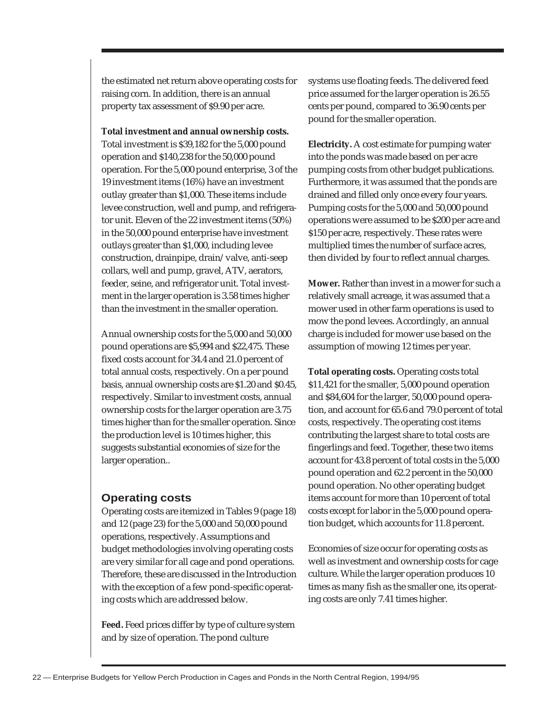the estimated net return above operating costs for raising corn. In addition, there is an annual property tax assessment of \$9.90 per acre.

**Total investment and annual ownership costs.**

Total investment is \$39,182 for the 5,000 pound operation and \$140,238 for the 50,000 pound operation. For the 5,000 pound enterprise, 3 of the 19 investment items (16%) have an investment outlay greater than \$1,000. These items include levee construction, well and pump, and refrigerator unit. Eleven of the 22 investment items (50%) in the 50,000 pound enterprise have investment outlays greater than \$1,000, including levee construction, drainpipe, drain/valve, anti-seep collars, well and pump, gravel, ATV, aerators, feeder, seine, and refrigerator unit. Total investment in the larger operation is 3.58 times higher than the investment in the smaller operation.

Annual ownership costs for the 5,000 and 50,000 pound operations are \$5,994 and \$22,475. These fixed costs account for 34.4 and 21.0 percent of total annual costs, respectively. On a per pound basis, annual ownership costs are \$1.20 and \$0.45, respectively. Similar to investment costs, annual ownership costs for the larger operation are 3.75 times higher than for the smaller operation. Since the production level is 10 times higher, this suggests substantial economies of size for the larger operation..

#### **Operating costs**

Operating costs are itemized in Tables 9 (page 18) and 12 (page 23) for the 5,000 and 50,000 pound operations, respectively. Assumptions and budget methodologies involving operating costs are very similar for all cage and pond operations. Therefore, these are discussed in the Introduction with the exception of a few pond-specific operating costs which are addressed below.

**Feed.** Feed prices differ by type of culture system and by size of operation. The pond culture

systems use floating feeds. The delivered feed price assumed for the larger operation is 26.55 cents per pound, compared to 36.90 cents per pound for the smaller operation.

**Electricity.** A cost estimate for pumping water into the ponds was made based on per acre pumping costs from other budget publications. Furthermore, it was assumed that the ponds are drained and filled only once every four years. Pumping costs for the 5,000 and 50,000 pound operations were assumed to be \$200 per acre and \$150 per acre, respectively. These rates were multiplied times the number of surface acres, then divided by four to reflect annual charges.

**Mower.** Rather than invest in a mower for such a relatively small acreage, it was assumed that a mower used in other farm operations is used to mow the pond levees. Accordingly, an annual charge is included for mower use based on the assumption of mowing 12 times per year.

**Total operating costs.** Operating costs total \$11,421 for the smaller, 5,000 pound operation and \$84,604 for the larger, 50,000 pound operation, and account for 65.6 and 79.0 percent of total costs, respectively. The operating cost items contributing the largest share to total costs are fingerlings and feed. Together, these two items account for 43.8 percent of total costs in the 5,000 pound operation and 62.2 percent in the 50,000 pound operation. No other operating budget items account for more than 10 percent of total costs except for labor in the 5,000 pound operation budget, which accounts for 11.8 percent.

Economies of size occur for operating costs as well as investment and ownership costs for cage culture. While the larger operation produces 10 times as many fish as the smaller one, its operating costs are only 7.41 times higher.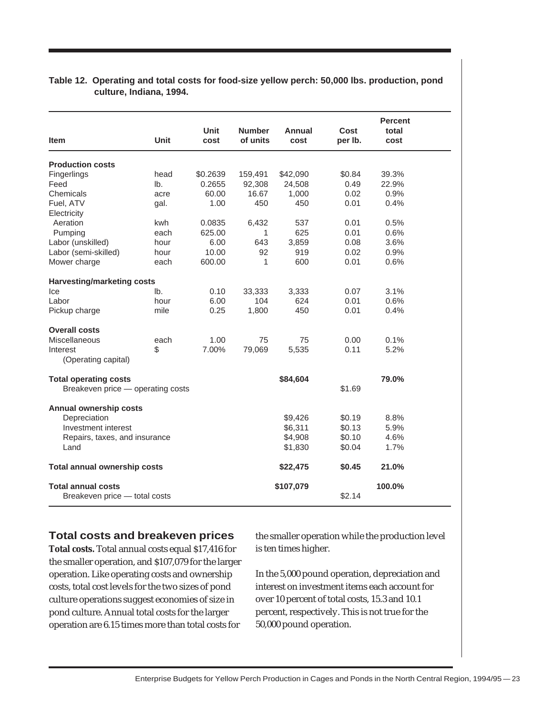#### **Table 12. Operating and total costs for food-size yellow perch: 50,000 lbs. production, pond culture, Indiana, 1994.**

| <b>Item</b>                                                | Unit | <b>Unit</b><br>cost | <b>Number</b><br>of units | <b>Annual</b><br>cost | <b>Cost</b><br>per lb. | <b>Percent</b><br>total<br>cost |  |
|------------------------------------------------------------|------|---------------------|---------------------------|-----------------------|------------------------|---------------------------------|--|
| <b>Production costs</b>                                    |      |                     |                           |                       |                        |                                 |  |
| Fingerlings                                                | head | \$0.2639            | 159,491                   | \$42,090              | \$0.84                 | 39.3%                           |  |
| Feed                                                       | lb.  | 0.2655              | 92,308                    | 24,508                | 0.49                   | 22.9%                           |  |
| Chemicals                                                  | acre | 60.00               | 16.67                     | 1,000                 | 0.02                   | 0.9%                            |  |
| Fuel, ATV                                                  | gal. | 1.00                | 450                       | 450                   | 0.01                   | 0.4%                            |  |
| Electricity                                                |      |                     |                           |                       |                        |                                 |  |
| Aeration                                                   | kwh  | 0.0835              | 6,432                     | 537                   | 0.01                   | 0.5%                            |  |
| Pumping                                                    | each | 625.00              | 1                         | 625                   | 0.01                   | 0.6%                            |  |
| Labor (unskilled)                                          | hour | 6.00                | 643                       | 3,859                 | 0.08                   | 3.6%                            |  |
| Labor (semi-skilled)                                       | hour | 10.00               | 92                        | 919                   | 0.02                   | 0.9%                            |  |
| Mower charge                                               | each | 600.00              | 1                         | 600                   | 0.01                   | 0.6%                            |  |
| <b>Harvesting/marketing costs</b>                          |      |                     |                           |                       |                        |                                 |  |
| lce                                                        | lb.  | 0.10                | 33,333                    | 3,333                 | 0.07                   | 3.1%                            |  |
| Labor                                                      | hour | 6.00                | 104                       | 624                   | 0.01                   | 0.6%                            |  |
| Pickup charge                                              | mile | 0.25                | 1,800                     | 450                   | 0.01                   | 0.4%                            |  |
| <b>Overall costs</b>                                       |      |                     |                           |                       |                        |                                 |  |
| Miscellaneous                                              | each | 1.00                | 75                        | 75                    | 0.00                   | 0.1%                            |  |
| Interest<br>(Operating capital)                            | \$   | 7.00%               | 79,069                    | 5,535                 | 0.11                   | 5.2%                            |  |
| <b>Total operating costs</b>                               |      |                     |                           | \$84,604              |                        | 79.0%                           |  |
| Breakeven price - operating costs                          |      |                     |                           |                       | \$1.69                 |                                 |  |
| <b>Annual ownership costs</b><br>Depreciation              |      |                     |                           | \$9,426               | \$0.19                 | 8.8%                            |  |
| Investment interest                                        |      |                     |                           | \$6,311               | \$0.13                 | 5.9%                            |  |
| Repairs, taxes, and insurance                              |      |                     |                           | \$4,908               | \$0.10                 | 4.6%                            |  |
| Land                                                       |      |                     |                           | \$1,830               | \$0.04                 | 1.7%                            |  |
|                                                            |      |                     |                           |                       |                        |                                 |  |
| <b>Total annual ownership costs</b>                        |      |                     |                           | \$22,475              | \$0.45                 | 21.0%                           |  |
| <b>Total annual costs</b><br>Breakeven price - total costs |      |                     |                           | \$107,079             | \$2.14                 | 100.0%                          |  |
|                                                            |      |                     |                           |                       |                        |                                 |  |

#### **Total costs and breakeven prices**

**Total costs.** Total annual costs equal \$17,416 for the smaller operation, and \$107,079 for the larger operation. Like operating costs and ownership costs, total cost levels for the two sizes of pond culture operations suggest economies of size in pond culture. Annual total costs for the larger operation are 6.15 times more than total costs for

the smaller operation while the production level is ten times higher.

In the 5,000 pound operation, depreciation and interest on investment items each account for over 10 percent of total costs, 15.3 and 10.1 percent, respectively. This is not true for the 50,000 pound operation.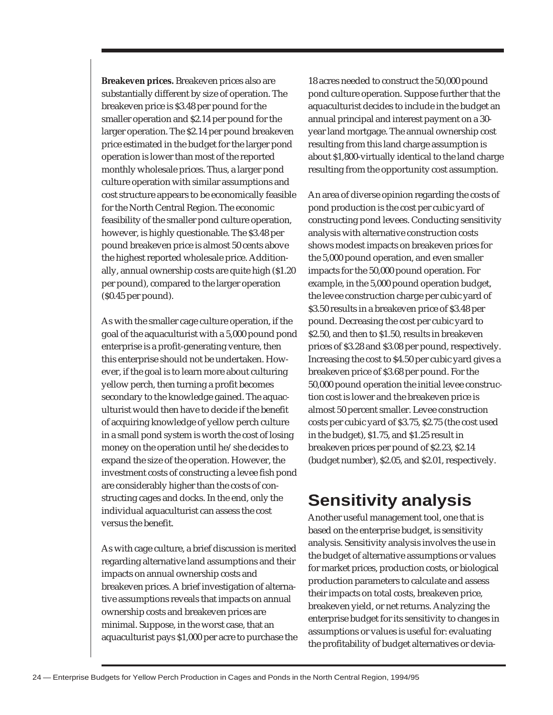**Breakeven prices.** Breakeven prices also are substantially different by size of operation. The breakeven price is \$3.48 per pound for the smaller operation and \$2.14 per pound for the larger operation. The \$2.14 per pound breakeven price estimated in the budget for the larger pond operation is lower than most of the reported monthly wholesale prices. Thus, a larger pond culture operation with similar assumptions and cost structure appears to be economically feasible for the North Central Region. The economic feasibility of the smaller pond culture operation, however, is highly questionable. The \$3.48 per pound breakeven price is almost 50 cents above the highest reported wholesale price. Additionally, annual ownership costs are quite high (\$1.20 per pound), compared to the larger operation (\$0.45 per pound).

As with the smaller cage culture operation, if the goal of the aquaculturist with a 5,000 pound pond enterprise is a profit-generating venture, then this enterprise should not be undertaken. However, if the goal is to learn more about culturing yellow perch, then turning a profit becomes secondary to the knowledge gained. The aquaculturist would then have to decide if the benefit of acquiring knowledge of yellow perch culture in a small pond system is worth the cost of losing money on the operation until he/she decides to expand the size of the operation. However, the investment costs of constructing a levee fish pond are considerably higher than the costs of constructing cages and docks. In the end, only the individual aquaculturist can assess the cost versus the benefit.

As with cage culture, a brief discussion is merited regarding alternative land assumptions and their impacts on annual ownership costs and breakeven prices. A brief investigation of alternative assumptions reveals that impacts on annual ownership costs and breakeven prices are minimal. Suppose, in the worst case, that an aquaculturist pays \$1,000 per acre to purchase the

18 acres needed to construct the 50,000 pound pond culture operation. Suppose further that the aquaculturist decides to include in the budget an annual principal and interest payment on a 30 year land mortgage. The annual ownership cost resulting from this land charge assumption is about \$1,800-virtually identical to the land charge resulting from the opportunity cost assumption.

An area of diverse opinion regarding the costs of pond production is the cost per cubic yard of constructing pond levees. Conducting sensitivity analysis with alternative construction costs shows modest impacts on breakeven prices for the 5,000 pound operation, and even smaller impacts for the 50,000 pound operation. For example, in the 5,000 pound operation budget, the levee construction charge per cubic yard of \$3.50 results in a breakeven price of \$3.48 per pound. Decreasing the cost per cubic yard to \$2.50, and then to \$1.50, results in breakeven prices of \$3.28 and \$3.08 per pound, respectively. Increasing the cost to \$4.50 per cubic yard gives a breakeven price of \$3.68 per pound. For the 50,000 pound operation the initial levee construction cost is lower and the breakeven price is almost 50 percent smaller. Levee construction costs per cubic yard of \$3.75, \$2.75 (the cost used in the budget), \$1.75, and \$1.25 result in breakeven prices per pound of \$2.23, \$2.14 (budget number), \$2.05, and \$2.01, respectively.

### **Sensitivity analysis**

Another useful management tool, one that is based on the enterprise budget, is sensitivity analysis. Sensitivity analysis involves the use in the budget of alternative assumptions or values for market prices, production costs, or biological production parameters to calculate and assess their impacts on total costs, breakeven price, breakeven yield, or net returns. Analyzing the enterprise budget for its sensitivity to changes in assumptions or values is useful for: evaluating the profitability of budget alternatives or devia-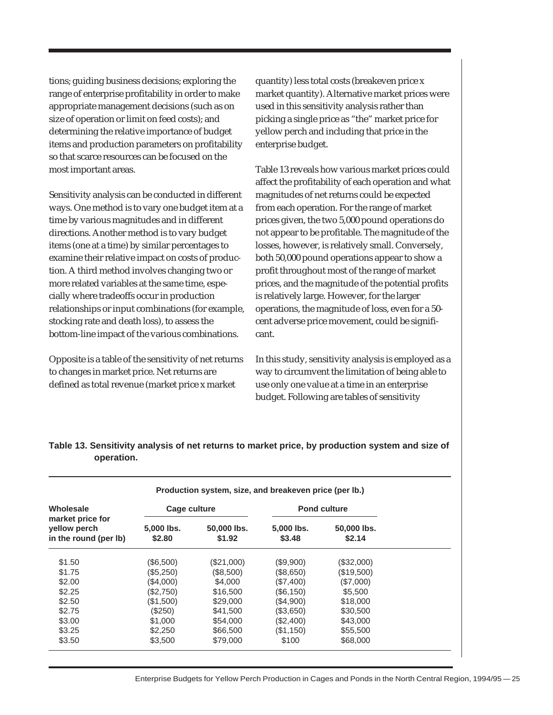tions; guiding business decisions; exploring the range of enterprise profitability in order to make appropriate management decisions (such as on size of operation or limit on feed costs); and determining the relative importance of budget items and production parameters on profitability so that scarce resources can be focused on the most important areas.

Sensitivity analysis can be conducted in different ways. One method is to vary one budget item at a time by various magnitudes and in different directions. Another method is to vary budget items (one at a time) by similar percentages to examine their relative impact on costs of production. A third method involves changing two or more related variables at the same time, especially where tradeoffs occur in production relationships or input combinations (for example, stocking rate and death loss), to assess the bottom-line impact of the various combinations.

Opposite is a table of the sensitivity of net returns to changes in market price. Net returns are defined as total revenue (market price x market

quantity) less total costs (breakeven price x market quantity). Alternative market prices were used in this sensitivity analysis rather than picking a single price as "the" market price for yellow perch and including that price in the enterprise budget.

Table 13 reveals how various market prices could affect the profitability of each operation and what magnitudes of net returns could be expected from each operation. For the range of market prices given, the two 5,000 pound operations do not appear to be profitable. The magnitude of the losses, however, is relatively small. Conversely, both 50,000 pound operations appear to show a profit throughout most of the range of market prices, and the magnitude of the potential profits is relatively large. However, for the larger operations, the magnitude of loss, even for a 50 cent adverse price movement, could be significant.

In this study, sensitivity analysis is employed as a way to circumvent the limitation of being able to use only one value at a time in an enterprise budget. Following are tables of sensitivity

| Wholesale<br>market price for         | Cage culture         |                       |                      | <b>Pond culture</b>   |  |
|---------------------------------------|----------------------|-----------------------|----------------------|-----------------------|--|
| yellow perch<br>in the round (per lb) | 5,000 lbs.<br>\$2.80 | 50,000 lbs.<br>\$1.92 | 5,000 lbs.<br>\$3.48 | 50,000 lbs.<br>\$2.14 |  |
| \$1.50                                | $(\$6,500)$          | (\$21,000)            | (\$9,900)            | (\$32,000)            |  |
| \$1.75                                | $(\$5,250)$          | $(\$8,500)$           | (\$8,650)            | (\$19,500)            |  |
| \$2.00                                | (\$4,000)            | \$4.000               | (\$7,400)            | (\$7,000)             |  |
| \$2.25                                | (\$2,750)            | \$16,500              | (\$6,150)            | \$5,500               |  |
| \$2.50                                | (\$1,500)            | \$29,000              | (\$4,900)            | \$18,000              |  |
| \$2.75                                | (\$250)              | \$41,500              | (S3,650)             | \$30,500              |  |
| \$3.00                                | \$1,000              | \$54,000              | (\$2,400)            | \$43,000              |  |
| \$3.25                                | \$2,250              | \$66,500              | (S1, 150)            | \$55,500              |  |
| \$3.50                                | \$3,500              | \$79,000              | \$100                | \$68,000              |  |

**Table 13. Sensitivity analysis of net returns to market price, by production system and size of operation.**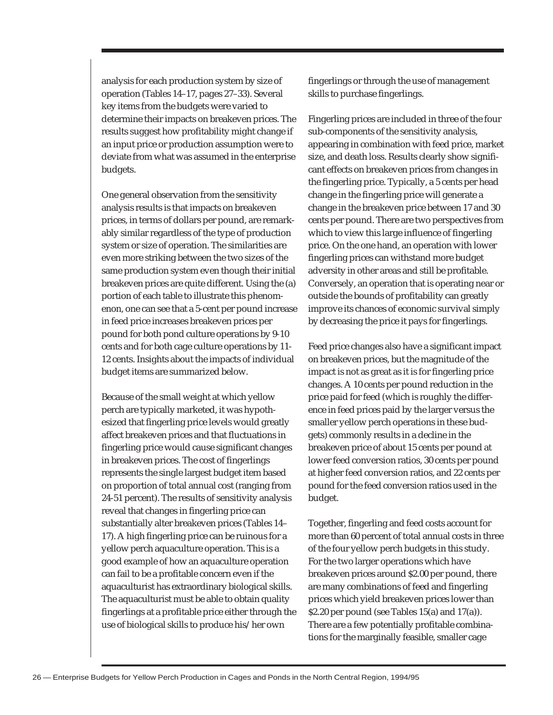analysis for each production system by size of operation (Tables 14–17, pages 27–33). Several key items from the budgets were varied to determine their impacts on breakeven prices. The results suggest how profitability might change if an input price or production assumption were to deviate from what was assumed in the enterprise budgets.

One general observation from the sensitivity analysis results is that impacts on breakeven prices, in terms of dollars per pound, are remarkably similar regardless of the type of production system or size of operation. The similarities are even more striking between the two sizes of the same production system even though their initial breakeven prices are quite different. Using the (a) portion of each table to illustrate this phenomenon, one can see that a 5-cent per pound increase in feed price increases breakeven prices per pound for both pond culture operations by 9-10 cents and for both cage culture operations by 11- 12 cents. Insights about the impacts of individual budget items are summarized below.

Because of the small weight at which yellow perch are typically marketed, it was hypothesized that fingerling price levels would greatly affect breakeven prices and that fluctuations in fingerling price would cause significant changes in breakeven prices. The cost of fingerlings represents the single largest budget item based on proportion of total annual cost (ranging from 24-51 percent). The results of sensitivity analysis reveal that changes in fingerling price can substantially alter breakeven prices (Tables 14– 17). A high fingerling price can be ruinous for a yellow perch aquaculture operation. This is a good example of how an aquaculture operation can fail to be a profitable concern even if the aquaculturist has extraordinary biological skills. The aquaculturist must be able to obtain quality fingerlings at a profitable price either through the use of biological skills to produce his/her own

fingerlings or through the use of management skills to purchase fingerlings.

Fingerling prices are included in three of the four sub-components of the sensitivity analysis, appearing in combination with feed price, market size, and death loss. Results clearly show significant effects on breakeven prices from changes in the fingerling price. Typically, a 5 cents per head change in the fingerling price will generate a change in the breakeven price between 17 and 30 cents per pound. There are two perspectives from which to view this large influence of fingerling price. On the one hand, an operation with lower fingerling prices can withstand more budget adversity in other areas and still be profitable. Conversely, an operation that is operating near or outside the bounds of profitability can greatly improve its chances of economic survival simply by decreasing the price it pays for fingerlings.

Feed price changes also have a significant impact on breakeven prices, but the magnitude of the impact is not as great as it is for fingerling price changes. A 10 cents per pound reduction in the price paid for feed (which is roughly the difference in feed prices paid by the larger versus the smaller yellow perch operations in these budgets) commonly results in a decline in the breakeven price of about 15 cents per pound at lower feed conversion ratios, 30 cents per pound at higher feed conversion ratios, and 22 cents per pound for the feed conversion ratios used in the budget.

Together, fingerling and feed costs account for more than 60 percent of total annual costs in three of the four yellow perch budgets in this study. For the two larger operations which have breakeven prices around \$2.00 per pound, there are many combinations of feed and fingerling prices which yield breakeven prices lower than \$2.20 per pound (see Tables 15(a) and 17(a)). There are a few potentially profitable combinations for the marginally feasible, smaller cage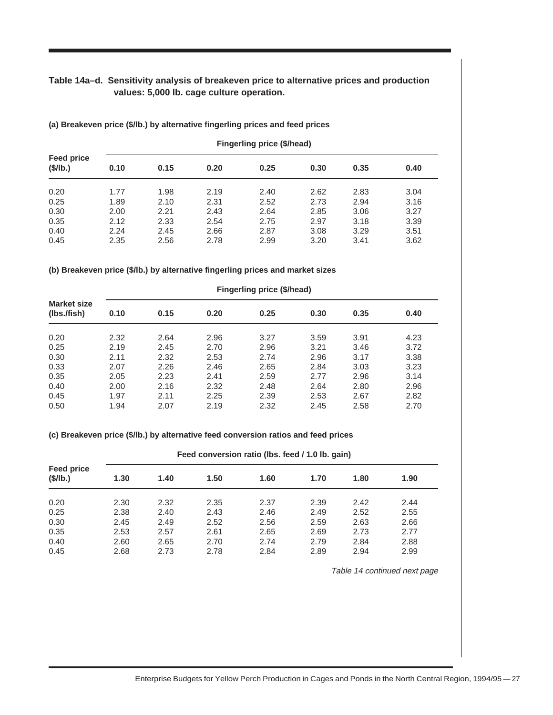#### **Table 14a–d. Sensitivity analysis of breakeven price to alternative prices and production values: 5,000 lb. cage culture operation.**

|                               | Fingerling price (\$/head) |      |      |      |      |      |      |  |  |  |
|-------------------------------|----------------------------|------|------|------|------|------|------|--|--|--|
| <b>Feed price</b><br>(\$/lb.) | 0.10                       | 0.15 | 0.20 | 0.25 | 0.30 | 0.35 | 0.40 |  |  |  |
| 0.20                          | 1.77                       | 1.98 | 2.19 | 2.40 | 2.62 | 2.83 | 3.04 |  |  |  |
| 0.25                          | 1.89                       | 2.10 | 2.31 | 2.52 | 2.73 | 2.94 | 3.16 |  |  |  |
| 0.30                          | 2.00                       | 2.21 | 2.43 | 2.64 | 2.85 | 3.06 | 3.27 |  |  |  |
| 0.35                          | 2.12                       | 2.33 | 2.54 | 2.75 | 2.97 | 3.18 | 3.39 |  |  |  |
| 0.40                          | 2.24                       | 2.45 | 2.66 | 2.87 | 3.08 | 3.29 | 3.51 |  |  |  |
| 0.45                          | 2.35                       | 2.56 | 2.78 | 2.99 | 3.20 | 3.41 | 3.62 |  |  |  |

**(a) Breakeven price (\$/lb.) by alternative fingerling prices and feed prices**

**(b) Breakeven price (\$/lb.) by alternative fingerling prices and market sizes**

| <b>Market size</b><br>(lbs./fish) | 0.10 | 0.15 | 0.20 | 0.25 | 0.30 | 0.35 | 0.40 |  |  |  |
|-----------------------------------|------|------|------|------|------|------|------|--|--|--|
| 0.20                              | 2.32 | 2.64 | 2.96 | 3.27 | 3.59 | 3.91 | 4.23 |  |  |  |
| 0.25                              | 2.19 | 2.45 | 2.70 | 2.96 | 3.21 | 3.46 | 3.72 |  |  |  |
| 0.30                              | 2.11 | 2.32 | 2.53 | 2.74 | 2.96 | 3.17 | 3.38 |  |  |  |
| 0.33                              | 2.07 | 2.26 | 2.46 | 2.65 | 2.84 | 3.03 | 3.23 |  |  |  |
| 0.35                              | 2.05 | 2.23 | 2.41 | 2.59 | 2.77 | 2.96 | 3.14 |  |  |  |
| 0.40                              | 2.00 | 2.16 | 2.32 | 2.48 | 2.64 | 2.80 | 2.96 |  |  |  |
| 0.45                              | 1.97 | 2.11 | 2.25 | 2.39 | 2.53 | 2.67 | 2.82 |  |  |  |
| 0.50                              | 1.94 | 2.07 | 2.19 | 2.32 | 2.45 | 2.58 | 2.70 |  |  |  |

#### **Fingerling price (\$/head)**

**(c) Breakeven price (\$/lb.) by alternative feed conversion ratios and feed prices**

#### **Feed conversion ratio (lbs. feed / 1.0 lb. gain)**

| <b>Feed price</b> |      |      | 1.50 |      | 1.70 |      |      |
|-------------------|------|------|------|------|------|------|------|
| (\$/lb.)          | 1.30 | 1.40 |      | 1.60 |      | 1.80 | 1.90 |
| 0.20              | 2.30 | 2.32 | 2.35 | 2.37 | 2.39 | 2.42 | 2.44 |
| 0.25              | 2.38 | 2.40 | 2.43 | 2.46 | 2.49 | 2.52 | 2.55 |
| 0.30              | 2.45 | 2.49 | 2.52 | 2.56 | 2.59 | 2.63 | 2.66 |
| 0.35              | 2.53 | 2.57 | 2.61 | 2.65 | 2.69 | 2.73 | 2.77 |
| 0.40              | 2.60 | 2.65 | 2.70 | 2.74 | 2.79 | 2.84 | 2.88 |
| 0.45              | 2.68 | 2.73 | 2.78 | 2.84 | 2.89 | 2.94 | 2.99 |

Table 14 continued next page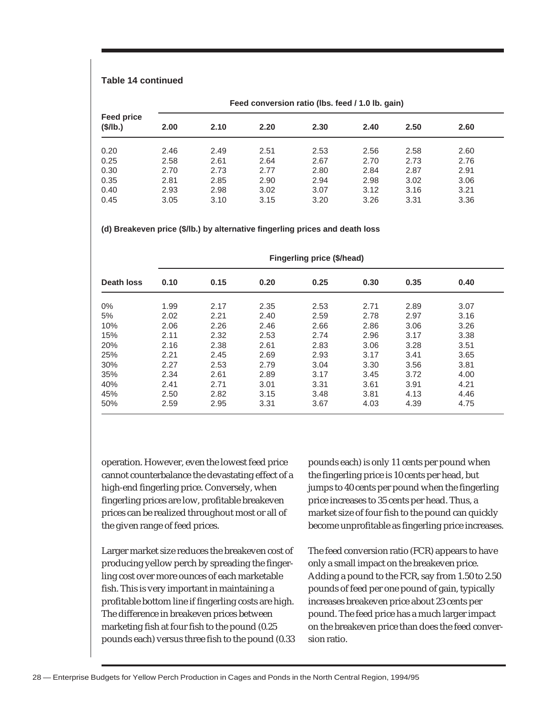#### **Table 14 continued**

|                               | Feed conversion ratio (ibs. reed / 1.0 ib. gain) |      |      |      |      |      |      |  |  |  |
|-------------------------------|--------------------------------------------------|------|------|------|------|------|------|--|--|--|
| <b>Feed price</b><br>(\$/lb.) | 2.00                                             | 2.10 | 2.20 | 2.30 | 2.40 | 2.50 | 2.60 |  |  |  |
| 0.20                          | 2.46                                             | 2.49 | 2.51 | 2.53 | 2.56 | 2.58 | 2.60 |  |  |  |
| 0.25                          | 2.58                                             | 2.61 | 2.64 | 2.67 | 2.70 | 2.73 | 2.76 |  |  |  |
| 0.30                          | 2.70                                             | 2.73 | 2.77 | 2.80 | 2.84 | 2.87 | 2.91 |  |  |  |
| 0.35                          | 2.81                                             | 2.85 | 2.90 | 2.94 | 2.98 | 3.02 | 3.06 |  |  |  |
| 0.40                          | 2.93                                             | 2.98 | 3.02 | 3.07 | 3.12 | 3.16 | 3.21 |  |  |  |
| 0.45                          | 3.05                                             | 3.10 | 3.15 | 3.20 | 3.26 | 3.31 | 3.36 |  |  |  |

**Feed conversion ratio (lbs. feed / 1.0 lb. gain)**

**(d) Breakeven price (\$/lb.) by alternative fingerling prices and death loss**

|                   | Fingerling price (\$/head) |      |      |      |      |      |      |  |  |  |
|-------------------|----------------------------|------|------|------|------|------|------|--|--|--|
| <b>Death loss</b> | 0.10                       | 0.15 | 0.20 | 0.25 | 0.30 | 0.35 | 0.40 |  |  |  |
| $0\%$             | 1.99                       | 2.17 | 2.35 | 2.53 | 2.71 | 2.89 | 3.07 |  |  |  |
| 5%                | 2.02                       | 2.21 | 2.40 | 2.59 | 2.78 | 2.97 | 3.16 |  |  |  |
| 10%               | 2.06                       | 2.26 | 2.46 | 2.66 | 2.86 | 3.06 | 3.26 |  |  |  |
| 15%               | 2.11                       | 2.32 | 2.53 | 2.74 | 2.96 | 3.17 | 3.38 |  |  |  |
| 20%               | 2.16                       | 2.38 | 2.61 | 2.83 | 3.06 | 3.28 | 3.51 |  |  |  |
| 25%               | 2.21                       | 2.45 | 2.69 | 2.93 | 3.17 | 3.41 | 3.65 |  |  |  |
| 30%               | 2.27                       | 2.53 | 2.79 | 3.04 | 3.30 | 3.56 | 3.81 |  |  |  |
| 35%               | 2.34                       | 2.61 | 2.89 | 3.17 | 3.45 | 3.72 | 4.00 |  |  |  |
| 40%               | 2.41                       | 2.71 | 3.01 | 3.31 | 3.61 | 3.91 | 4.21 |  |  |  |
| 45%               | 2.50                       | 2.82 | 3.15 | 3.48 | 3.81 | 4.13 | 4.46 |  |  |  |
| 50%               | 2.59                       | 2.95 | 3.31 | 3.67 | 4.03 | 4.39 | 4.75 |  |  |  |

operation. However, even the lowest feed price cannot counterbalance the devastating effect of a high-end fingerling price. Conversely, when fingerling prices are low, profitable breakeven prices can be realized throughout most or all of

the given range of feed prices.

Larger market size reduces the breakeven cost of producing yellow perch by spreading the fingerling cost over more ounces of each marketable fish. This is very important in maintaining a profitable bottom line if fingerling costs are high. The difference in breakeven prices between marketing fish at four fish to the pound (0.25 pounds each) versus three fish to the pound (0.33 pounds each) is only 11 cents per pound when the fingerling price is 10 cents per head, but jumps to 40 cents per pound when the fingerling price increases to 35 cents per head. Thus, a market size of four fish to the pound can quickly become unprofitable as fingerling price increases.

The feed conversion ratio (FCR) appears to have only a small impact on the breakeven price. Adding a pound to the FCR, say from 1.50 to 2.50 pounds of feed per one pound of gain, typically increases breakeven price about 23 cents per pound. The feed price has a much larger impact on the breakeven price than does the feed conversion ratio.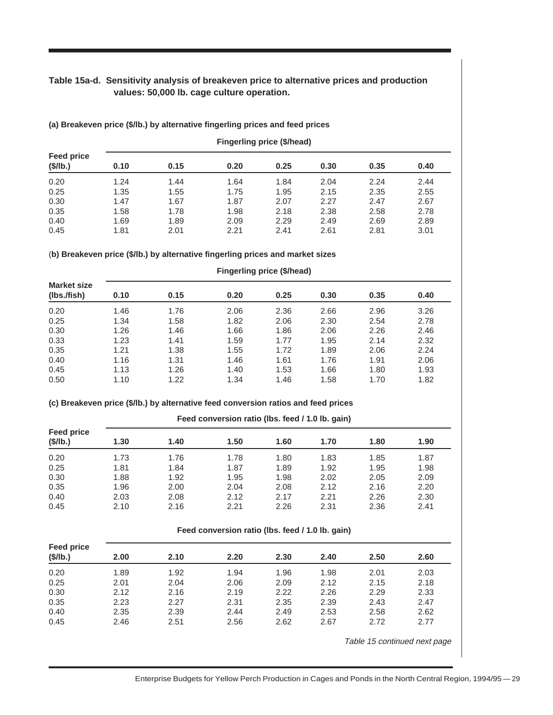#### **Table 15a-d. Sensitivity analysis of breakeven price to alternative prices and production values: 50,000 lb. cage culture operation.**

|                               |      | Fingerling price (\$/head) |      |      |      |      |      |  |  |  |  |
|-------------------------------|------|----------------------------|------|------|------|------|------|--|--|--|--|
| <b>Feed price</b><br>(\$/lb.) | 0.10 | 0.15                       | 0.20 | 0.25 | 0.30 | 0.35 | 0.40 |  |  |  |  |
| 0.20                          | 1.24 | 1.44                       | 1.64 | 1.84 | 2.04 | 2.24 | 2.44 |  |  |  |  |
| 0.25                          | 1.35 | 1.55                       | 1.75 | 1.95 | 2.15 | 2.35 | 2.55 |  |  |  |  |
| 0.30                          | 1.47 | 1.67                       | 1.87 | 2.07 | 2.27 | 2.47 | 2.67 |  |  |  |  |
| 0.35                          | 1.58 | 1.78                       | 1.98 | 2.18 | 2.38 | 2.58 | 2.78 |  |  |  |  |
| 0.40                          | 1.69 | 1.89                       | 2.09 | 2.29 | 2.49 | 2.69 | 2.89 |  |  |  |  |
| 0.45                          | 1.81 | 2.01                       | 2.21 | 2.41 | 2.61 | 2.81 | 3.01 |  |  |  |  |

**(a) Breakeven price (\$/lb.) by alternative fingerling prices and feed prices**

#### (**b) Breakeven price (\$/lb.) by alternative fingerling prices and market sizes**

| <b>Market size</b> |      |      |      |      |      |      |      |
|--------------------|------|------|------|------|------|------|------|
| (lbs./fish)        | 0.10 | 0.15 | 0.20 | 0.25 | 0.30 | 0.35 | 0.40 |
| 0.20               | 1.46 | 1.76 | 2.06 | 2.36 | 2.66 | 2.96 | 3.26 |
| 0.25               | 1.34 | 1.58 | 1.82 | 2.06 | 2.30 | 2.54 | 2.78 |
| 0.30               | 1.26 | 1.46 | 1.66 | 1.86 | 2.06 | 2.26 | 2.46 |
| 0.33               | 1.23 | 1.41 | 1.59 | 1.77 | 1.95 | 2.14 | 2.32 |
| 0.35               | 1.21 | 1.38 | 1.55 | 1.72 | 1.89 | 2.06 | 2.24 |
| 0.40               | 1.16 | 1.31 | 1.46 | 1.61 | 1.76 | 1.91 | 2.06 |
| 0.45               | 1.13 | 1.26 | 1.40 | 1.53 | 1.66 | 1.80 | 1.93 |
| 0.50               | 1.10 | 1.22 | 1.34 | 1.46 | 1.58 | 1.70 | 1.82 |

#### **Fingerling price (\$/head)**

#### **(c) Breakeven price (\$/lb.) by alternative feed conversion ratios and feed prices**

#### **Feed conversion ratio (lbs. feed / 1.0 lb. gain)**

| <b>Feed price</b> |      |      |      |      |      |      |      |
|-------------------|------|------|------|------|------|------|------|
| (\$/lb.)          | 1.30 | 1.40 | 1.50 | 1.60 | 1.70 | 1.80 | 1.90 |
| 0.20              | 1.73 | 1.76 | 1.78 | 1.80 | 1.83 | 1.85 | 1.87 |
| 0.25              | 1.81 | 1.84 | 1.87 | 1.89 | 1.92 | 1.95 | 1.98 |
| 0.30              | 1.88 | 1.92 | 1.95 | 1.98 | 2.02 | 2.05 | 2.09 |
| 0.35              | 1.96 | 2.00 | 2.04 | 2.08 | 2.12 | 2.16 | 2.20 |
| 0.40              | 2.03 | 2.08 | 2.12 | 2.17 | 2.21 | 2.26 | 2.30 |
| 0.45              | 2.10 | 2.16 | 2.21 | 2.26 | 2.31 | 2.36 | 2.41 |

#### **Feed conversion ratio (lbs. feed / 1.0 lb. gain)**

| <b>Feed price</b><br>(\$/lb.) | 2.00 | 2.10 | 2.20 | 2.30 | 2.40 | 2.50 | 2.60 |
|-------------------------------|------|------|------|------|------|------|------|
| 0.20                          | 1.89 | 1.92 | 1.94 | 1.96 | 1.98 | 2.01 | 2.03 |
| 0.25                          | 2.01 | 2.04 | 2.06 | 2.09 | 2.12 | 2.15 | 2.18 |
| 0.30                          | 2.12 | 2.16 | 2.19 | 2.22 | 2.26 | 2.29 | 2.33 |
| 0.35                          | 2.23 | 2.27 | 2.31 | 2.35 | 2.39 | 2.43 | 2.47 |
| 0.40                          | 2.35 | 2.39 | 2.44 | 2.49 | 2.53 | 2.58 | 2.62 |
| 0.45                          | 2.46 | 2.51 | 2.56 | 2.62 | 2.67 | 2.72 | 2.77 |

Table 15 continued next page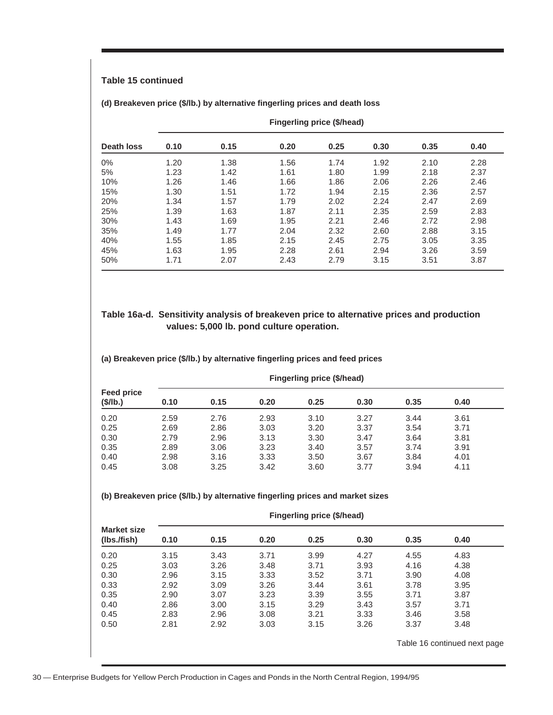#### **Table 15 continued**

|                   | Fingerling price (\$/head) |      |      |      |      |      |      |  |  |  |
|-------------------|----------------------------|------|------|------|------|------|------|--|--|--|
| <b>Death loss</b> | 0.10                       | 0.15 | 0.20 | 0.25 | 0.30 | 0.35 | 0.40 |  |  |  |
| $0\%$             | 1.20                       | 1.38 | 1.56 | 1.74 | 1.92 | 2.10 | 2.28 |  |  |  |
| 5%                | 1.23                       | 1.42 | 1.61 | 1.80 | 1.99 | 2.18 | 2.37 |  |  |  |
| 10%               | 1.26                       | 1.46 | 1.66 | 1.86 | 2.06 | 2.26 | 2.46 |  |  |  |
| 15%               | 1.30                       | 1.51 | 1.72 | 1.94 | 2.15 | 2.36 | 2.57 |  |  |  |
| 20%               | 1.34                       | 1.57 | 1.79 | 2.02 | 2.24 | 2.47 | 2.69 |  |  |  |
| 25%               | 1.39                       | 1.63 | 1.87 | 2.11 | 2.35 | 2.59 | 2.83 |  |  |  |
| 30%               | 1.43                       | 1.69 | 1.95 | 2.21 | 2.46 | 2.72 | 2.98 |  |  |  |
| 35%               | 1.49                       | 1.77 | 2.04 | 2.32 | 2.60 | 2.88 | 3.15 |  |  |  |
| 40%               | 1.55                       | 1.85 | 2.15 | 2.45 | 2.75 | 3.05 | 3.35 |  |  |  |
| 45%               | 1.63                       | 1.95 | 2.28 | 2.61 | 2.94 | 3.26 | 3.59 |  |  |  |
| 50%               | 1.71                       | 2.07 | 2.43 | 2.79 | 3.15 | 3.51 | 3.87 |  |  |  |

**(d) Breakeven price (\$/lb.) by alternative fingerling prices and death loss**

#### **Table 16a-d. Sensitivity analysis of breakeven price to alternative prices and production values: 5,000 lb. pond culture operation.**

**(a) Breakeven price (\$/lb.) by alternative fingerling prices and feed prices**

|                               |      | Fingerling price (\$/head) |      |      |      |      |      |  |  |  |
|-------------------------------|------|----------------------------|------|------|------|------|------|--|--|--|
| <b>Feed price</b><br>(\$/lb.) | 0.10 | 0.15                       | 0.20 | 0.25 | 0.30 | 0.35 | 0.40 |  |  |  |
| 0.20                          | 2.59 | 2.76                       | 2.93 | 3.10 | 3.27 | 3.44 | 3.61 |  |  |  |
| 0.25                          | 2.69 | 2.86                       | 3.03 | 3.20 | 3.37 | 3.54 | 3.71 |  |  |  |
| 0.30                          | 2.79 | 2.96                       | 3.13 | 3.30 | 3.47 | 3.64 | 3.81 |  |  |  |
| 0.35                          | 2.89 | 3.06                       | 3.23 | 3.40 | 3.57 | 3.74 | 3.91 |  |  |  |
| 0.40                          | 2.98 | 3.16                       | 3.33 | 3.50 | 3.67 | 3.84 | 4.01 |  |  |  |
| 0.45                          | 3.08 | 3.25                       | 3.42 | 3.60 | 3.77 | 3.94 | 4.11 |  |  |  |

**(b) Breakeven price (\$/lb.) by alternative fingerling prices and market sizes**

| <b>Market size</b><br>(lbs./fish) | 0.10 | 0.15 | 0.20 | 0.25 | 0.30 | 0.35 | 0.40                         |  |  |  |  |  |
|-----------------------------------|------|------|------|------|------|------|------------------------------|--|--|--|--|--|
| 0.20                              | 3.15 | 3.43 | 3.71 | 3.99 | 4.27 | 4.55 | 4.83                         |  |  |  |  |  |
| 0.25                              | 3.03 | 3.26 | 3.48 | 3.71 | 3.93 | 4.16 | 4.38                         |  |  |  |  |  |
| 0.30                              | 2.96 | 3.15 | 3.33 | 3.52 | 3.71 | 3.90 | 4.08                         |  |  |  |  |  |
| 0.33                              | 2.92 | 3.09 | 3.26 | 3.44 | 3.61 | 3.78 | 3.95                         |  |  |  |  |  |
| 0.35                              | 2.90 | 3.07 | 3.23 | 3.39 | 3.55 | 3.71 | 3.87                         |  |  |  |  |  |
| 0.40                              | 2.86 | 3.00 | 3.15 | 3.29 | 3.43 | 3.57 | 3.71                         |  |  |  |  |  |
| 0.45                              | 2.83 | 2.96 | 3.08 | 3.21 | 3.33 | 3.46 | 3.58                         |  |  |  |  |  |
| 0.50                              | 2.81 | 2.92 | 3.03 | 3.15 | 3.26 | 3.37 | 3.48                         |  |  |  |  |  |
|                                   |      |      |      |      |      |      | Table 16 continued next page |  |  |  |  |  |

**Fingerling price (\$/head)**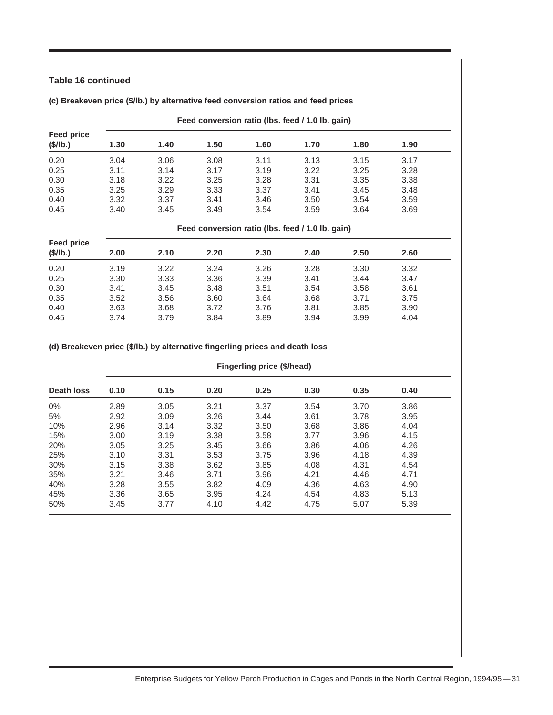#### **Table 16 continued**

#### **(c) Breakeven price (\$/lb.) by alternative feed conversion ratios and feed prices**

| <b>Feed price</b> |      |      |      |      |      |      |      |  |  |  |  |
|-------------------|------|------|------|------|------|------|------|--|--|--|--|
| (\$/lb.)          | 1.30 | 1.40 | 1.50 | 1.60 | 1.70 | 1.80 | 1.90 |  |  |  |  |
| 0.20              | 3.04 | 3.06 | 3.08 | 3.11 | 3.13 | 3.15 | 3.17 |  |  |  |  |
| 0.25              | 3.11 | 3.14 | 3.17 | 3.19 | 3.22 | 3.25 | 3.28 |  |  |  |  |
| 0.30              | 3.18 | 3.22 | 3.25 | 3.28 | 3.31 | 3.35 | 3.38 |  |  |  |  |
| 0.35              | 3.25 | 3.29 | 3.33 | 3.37 | 3.41 | 3.45 | 3.48 |  |  |  |  |
| 0.40              | 3.32 | 3.37 | 3.41 | 3.46 | 3.50 | 3.54 | 3.59 |  |  |  |  |
| 0.45              | 3.40 | 3.45 | 3.49 | 3.54 | 3.59 | 3.64 | 3.69 |  |  |  |  |

**Feed conversion ratio (lbs. feed / 1.0 lb. gain)**

#### **Feed conversion ratio (lbs. feed / 1.0 lb. gain)**

| <b>Feed price</b><br>(\$/lb.) | 2.00 | 2.10 | 2.20 | 2.30 | 2.40 | 2.50 | 2.60 |  |
|-------------------------------|------|------|------|------|------|------|------|--|
| 0.20                          | 3.19 | 3.22 | 3.24 | 3.26 | 3.28 | 3.30 | 3.32 |  |
| 0.25                          | 3.30 | 3.33 | 3.36 | 3.39 | 3.41 | 3.44 | 3.47 |  |
| 0.30                          | 3.41 | 3.45 | 3.48 | 3.51 | 3.54 | 3.58 | 3.61 |  |
| 0.35                          | 3.52 | 3.56 | 3.60 | 3.64 | 3.68 | 3.71 | 3.75 |  |
| 0.40                          | 3.63 | 3.68 | 3.72 | 3.76 | 3.81 | 3.85 | 3.90 |  |
| 0.45                          | 3.74 | 3.79 | 3.84 | 3.89 | 3.94 | 3.99 | 4.04 |  |

**(d) Breakeven price (\$/lb.) by alternative fingerling prices and death loss**

|                   | Fingerling price (\$/head) |      |      |      |      |      |      |  |  |  |
|-------------------|----------------------------|------|------|------|------|------|------|--|--|--|
| <b>Death loss</b> | 0.10                       | 0.15 | 0.20 | 0.25 | 0.30 | 0.35 | 0.40 |  |  |  |
| 0%                | 2.89                       | 3.05 | 3.21 | 3.37 | 3.54 | 3.70 | 3.86 |  |  |  |
| 5%                | 2.92                       | 3.09 | 3.26 | 3.44 | 3.61 | 3.78 | 3.95 |  |  |  |
| 10%               | 2.96                       | 3.14 | 3.32 | 3.50 | 3.68 | 3.86 | 4.04 |  |  |  |
| 15%               | 3.00                       | 3.19 | 3.38 | 3.58 | 3.77 | 3.96 | 4.15 |  |  |  |
| 20%               | 3.05                       | 3.25 | 3.45 | 3.66 | 3.86 | 4.06 | 4.26 |  |  |  |
| 25%               | 3.10                       | 3.31 | 3.53 | 3.75 | 3.96 | 4.18 | 4.39 |  |  |  |
| 30%               | 3.15                       | 3.38 | 3.62 | 3.85 | 4.08 | 4.31 | 4.54 |  |  |  |
| 35%               | 3.21                       | 3.46 | 3.71 | 3.96 | 4.21 | 4.46 | 4.71 |  |  |  |
| 40%               | 3.28                       | 3.55 | 3.82 | 4.09 | 4.36 | 4.63 | 4.90 |  |  |  |
| 45%               | 3.36                       | 3.65 | 3.95 | 4.24 | 4.54 | 4.83 | 5.13 |  |  |  |
| 50%               | 3.45                       | 3.77 | 4.10 | 4.42 | 4.75 | 5.07 | 5.39 |  |  |  |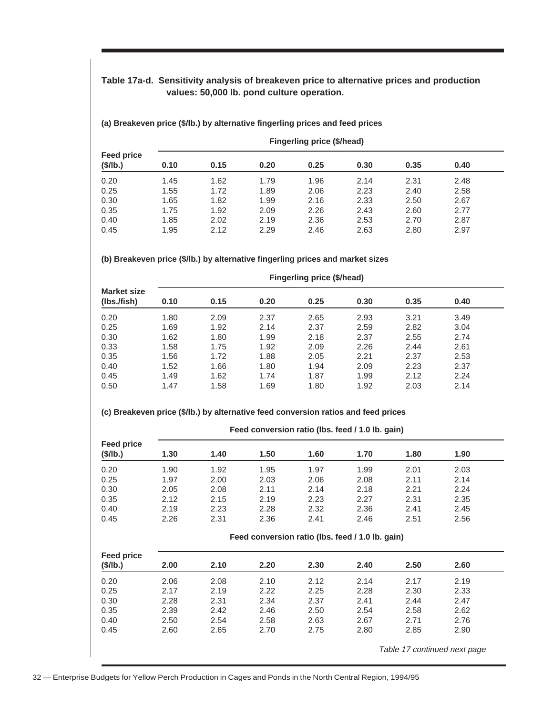#### **Table 17a-d. Sensitivity analysis of breakeven price to alternative prices and production values: 50,000 lb. pond culture operation.**

**Fingerling price (\$/head) Feed price (\$/lb.) 0.10 0.15 0.20 0.25 0.30 0.35 0.40** 0.20 1.45 1.62 1.79 1.96 2.14 2.31 2.48 0.25 1.55 1.72 1.89 2.06 2.23 2.40 2.58 0.30 1.65 1.82 1.99 2.16 2.33 2.50 2.67 0.35 1.75 1.92 2.09 2.26 2.43 2.60 2.77 0.40 1.85 2.02 2.19 2.36 2.53 2.70 2.87

0.45 1.95 2.12 2.29 2.46 2.63 2.80 2.97

**(a) Breakeven price (\$/lb.) by alternative fingerling prices and feed prices**

#### **(b) Breakeven price (\$/lb.) by alternative fingerling prices and market sizes**

| <b>Market size</b><br>(lbs./fish) | 0.10 | 0.15 | 0.20 | 0.25 | 0.30 | 0.35 | 0.40 |  |  |
|-----------------------------------|------|------|------|------|------|------|------|--|--|
| 0.20                              | 1.80 | 2.09 | 2.37 | 2.65 | 2.93 | 3.21 | 3.49 |  |  |
| 0.25                              | 1.69 | 1.92 | 2.14 | 2.37 | 2.59 | 2.82 | 3.04 |  |  |
| 0.30                              | 1.62 | 1.80 | 1.99 | 2.18 | 2.37 | 2.55 | 2.74 |  |  |
| 0.33                              | 1.58 | 1.75 | 1.92 | 2.09 | 2.26 | 2.44 | 2.61 |  |  |
| 0.35                              | 1.56 | 1.72 | 1.88 | 2.05 | 2.21 | 2.37 | 2.53 |  |  |
| 0.40                              | 1.52 | 1.66 | 1.80 | 1.94 | 2.09 | 2.23 | 2.37 |  |  |
| 0.45                              | 1.49 | 1.62 | 1.74 | 1.87 | 1.99 | 2.12 | 2.24 |  |  |
| 0.50                              | 1.47 | 1.58 | 1.69 | 1.80 | 1.92 | 2.03 | 2.14 |  |  |
|                                   |      |      |      |      |      |      |      |  |  |

#### **Fingerling price (\$/head)**

**(c) Breakeven price (\$/lb.) by alternative feed conversion ratios and feed prices**

#### **Feed conversion ratio (lbs. feed / 1.0 lb. gain)**

| <b>Feed price</b><br>(\$/lb.) | 1.30 | 1.40 | 1.50 | 1.60 | 1.70 | 1.80 | 1.90 |  |
|-------------------------------|------|------|------|------|------|------|------|--|
| 0.20                          | 1.90 | 1.92 | 1.95 | 1.97 | 1.99 | 2.01 | 2.03 |  |
| 0.25                          | 1.97 | 2.00 | 2.03 | 2.06 | 2.08 | 2.11 | 2.14 |  |
| 0.30                          | 2.05 | 2.08 | 2.11 | 2.14 | 2.18 | 2.21 | 2.24 |  |
| 0.35                          | 2.12 | 2.15 | 2.19 | 2.23 | 2.27 | 2.31 | 2.35 |  |
| 0.40                          | 2.19 | 2.23 | 2.28 | 2.32 | 2.36 | 2.41 | 2.45 |  |
| 0.45                          | 2.26 | 2.31 | 2.36 | 2.41 | 2.46 | 2.51 | 2.56 |  |

#### **Feed conversion ratio (lbs. feed / 1.0 lb. gain)**

| <b>Feed price</b><br>(\$/lb.) | 2.00 | 2.10 | 2.20 | 2.30 | 2.40 | 2.50 | 2.60 |
|-------------------------------|------|------|------|------|------|------|------|
| 0.20                          | 2.06 | 2.08 | 2.10 | 2.12 | 2.14 | 2.17 | 2.19 |
| 0.25                          | 2.17 | 2.19 | 2.22 | 2.25 | 2.28 | 2.30 | 2.33 |
| 0.30                          | 2.28 | 2.31 | 2.34 | 2.37 | 2.41 | 2.44 | 2.47 |
| 0.35                          | 2.39 | 2.42 | 2.46 | 2.50 | 2.54 | 2.58 | 2.62 |
| 0.40                          | 2.50 | 2.54 | 2.58 | 2.63 | 2.67 | 2.71 | 2.76 |
| 0.45                          | 2.60 | 2.65 | 2.70 | 2.75 | 2.80 | 2.85 | 2.90 |

Table 17 continued next page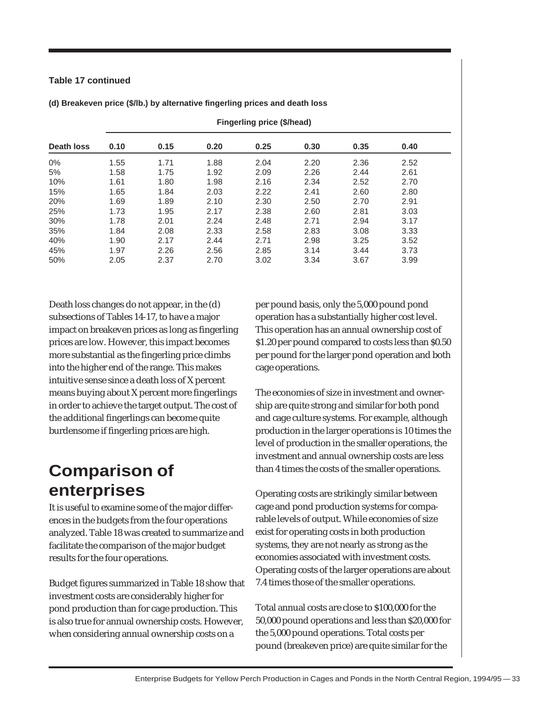#### **Table 17 continued**

|            | Fingerling price (\$/head) |      |      |      |      |      |      |  |  |  |
|------------|----------------------------|------|------|------|------|------|------|--|--|--|
| Death loss | 0.10                       | 0.15 | 0.20 | 0.25 | 0.30 | 0.35 | 0.40 |  |  |  |
| $0\%$      | 1.55                       | 1.71 | 1.88 | 2.04 | 2.20 | 2.36 | 2.52 |  |  |  |
| 5%         | 1.58                       | 1.75 | 1.92 | 2.09 | 2.26 | 2.44 | 2.61 |  |  |  |
| 10%        | 1.61                       | 1.80 | 1.98 | 2.16 | 2.34 | 2.52 | 2.70 |  |  |  |
| 15%        | 1.65                       | 1.84 | 2.03 | 2.22 | 2.41 | 2.60 | 2.80 |  |  |  |
| 20%        | 1.69                       | 1.89 | 2.10 | 2.30 | 2.50 | 2.70 | 2.91 |  |  |  |
| 25%        | 1.73                       | 1.95 | 2.17 | 2.38 | 2.60 | 2.81 | 3.03 |  |  |  |
| 30%        | 1.78                       | 2.01 | 2.24 | 2.48 | 2.71 | 2.94 | 3.17 |  |  |  |
| 35%        | 1.84                       | 2.08 | 2.33 | 2.58 | 2.83 | 3.08 | 3.33 |  |  |  |
| 40%        | 1.90                       | 2.17 | 2.44 | 2.71 | 2.98 | 3.25 | 3.52 |  |  |  |
| 45%        | 1.97                       | 2.26 | 2.56 | 2.85 | 3.14 | 3.44 | 3.73 |  |  |  |
| 50%        | 2.05                       | 2.37 | 2.70 | 3.02 | 3.34 | 3.67 | 3.99 |  |  |  |

**(d) Breakeven price (\$/lb.) by alternative fingerling prices and death loss**

Death loss changes do not appear, in the (d) subsections of Tables 14-17, to have a major impact on breakeven prices as long as fingerling prices are low. However, this impact becomes more substantial as the fingerling price climbs into the higher end of the range. This makes intuitive sense since a death loss of X percent means buying about X percent more fingerlings in order to achieve the target output. The cost of the additional fingerlings can become quite burdensome if fingerling prices are high.

### **Comparison of enterprises**

It is useful to examine some of the major differences in the budgets from the four operations analyzed. Table 18 was created to summarize and facilitate the comparison of the major budget results for the four operations.

Budget figures summarized in Table 18 show that investment costs are considerably higher for pond production than for cage production. This is also true for annual ownership costs. However, when considering annual ownership costs on a

per pound basis, only the 5,000 pound pond operation has a substantially higher cost level. This operation has an annual ownership cost of \$1.20 per pound compared to costs less than \$0.50 per pound for the larger pond operation and both cage operations.

The economies of size in investment and ownership are quite strong and similar for both pond and cage culture systems. For example, although production in the larger operations is 10 times the level of production in the smaller operations, the investment and annual ownership costs are less than 4 times the costs of the smaller operations.

Operating costs are strikingly similar between cage and pond production systems for comparable levels of output. While economies of size exist for operating costs in both production systems, they are not nearly as strong as the economies associated with investment costs. Operating costs of the larger operations are about 7.4 times those of the smaller operations.

Total annual costs are close to \$100,000 for the 50,000 pound operations and less than \$20,000 for the 5,000 pound operations. Total costs per pound (breakeven price) are quite similar for the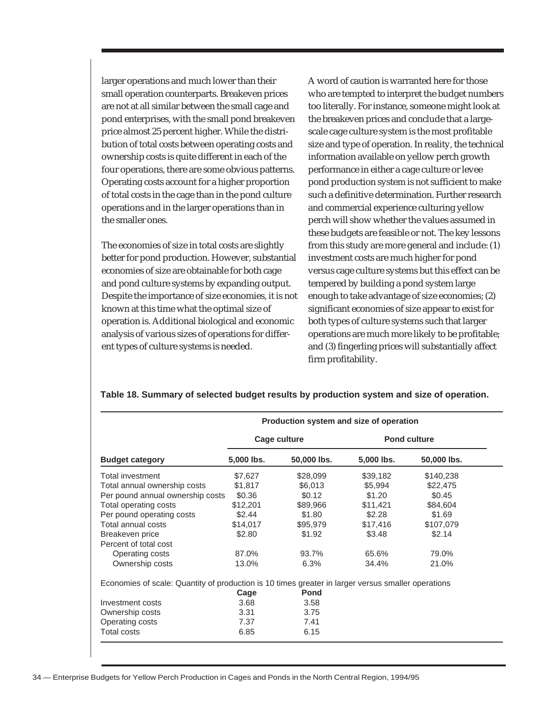larger operations and much lower than their small operation counterparts. Breakeven prices are not at all similar between the small cage and pond enterprises, with the small pond breakeven price almost 25 percent higher. While the distribution of total costs between operating costs and ownership costs is quite different in each of the four operations, there are some obvious patterns. Operating costs account for a higher proportion of total costs in the cage than in the pond culture operations and in the larger operations than in the smaller ones.

The economies of size in total costs are slightly better for pond production. However, substantial economies of size are obtainable for both cage and pond culture systems by expanding output. Despite the importance of size economies, it is not known at this time what the optimal size of operation is. Additional biological and economic analysis of various sizes of operations for different types of culture systems is needed.

A word of caution is warranted here for those who are tempted to interpret the budget numbers too literally. For instance, someone might look at the breakeven prices and conclude that a largescale cage culture system is the most profitable size and type of operation. In reality, the technical information available on yellow perch growth performance in either a cage culture or levee pond production system is not sufficient to make such a definitive determination. Further research and commercial experience culturing yellow perch will show whether the values assumed in these budgets are feasible or not. The key lessons from this study are more general and include: (1) investment costs are much higher for pond versus cage culture systems but this effect can be tempered by building a pond system large enough to take advantage of size economies; (2) significant economies of size appear to exist for both types of culture systems such that larger operations are much more likely to be profitable; and (3) fingerling prices will substantially affect firm profitability.

|                                                                                                    | Production system and size of operation |             |              |             |  |
|----------------------------------------------------------------------------------------------------|-----------------------------------------|-------------|--------------|-------------|--|
|                                                                                                    | Cage culture                            |             | Pond culture |             |  |
| <b>Budget category</b>                                                                             | 5,000 lbs.                              | 50,000 lbs. | 5,000 lbs.   | 50,000 lbs. |  |
| Total investment                                                                                   | \$7,627                                 | \$28,099    | \$39,182     | \$140,238   |  |
| Total annual ownership costs                                                                       | \$1,817                                 | \$6,013     | \$5,994      | \$22,475    |  |
| Per pound annual ownership costs                                                                   | \$0.36                                  | \$0.12      | \$1.20       | \$0.45      |  |
| Total operating costs                                                                              | \$12,201                                | \$89,966    | \$11,421     | \$84,604    |  |
| Per pound operating costs                                                                          | \$2.44                                  | \$1.80      | \$2.28       | \$1.69      |  |
| Total annual costs                                                                                 | \$14,017                                | \$95,979    | \$17,416     | \$107,079   |  |
| Breakeven price                                                                                    | \$2.80                                  | \$1.92      | \$3.48       | \$2.14      |  |
| Percent of total cost                                                                              |                                         |             |              |             |  |
| Operating costs                                                                                    | 87.0%                                   | 93.7%       | 65.6%        | 79.0%       |  |
| Ownership costs                                                                                    | 13.0%                                   | 6.3%        | 34.4%        | 21.0%       |  |
| Economies of scale: Quantity of production is 10 times greater in larger versus smaller operations |                                         |             |              |             |  |
|                                                                                                    | Cage                                    | Pond        |              |             |  |
| Investment costs                                                                                   | 3.68                                    | 3.58        |              |             |  |
| Ownership costs                                                                                    | 3.31                                    | 3.75        |              |             |  |
| Operating costs                                                                                    | 7.37                                    | 7.41        |              |             |  |
| <b>Total costs</b>                                                                                 | 6.85                                    | 6.15        |              |             |  |

**Table 18. Summary of selected budget results by production system and size of operation.**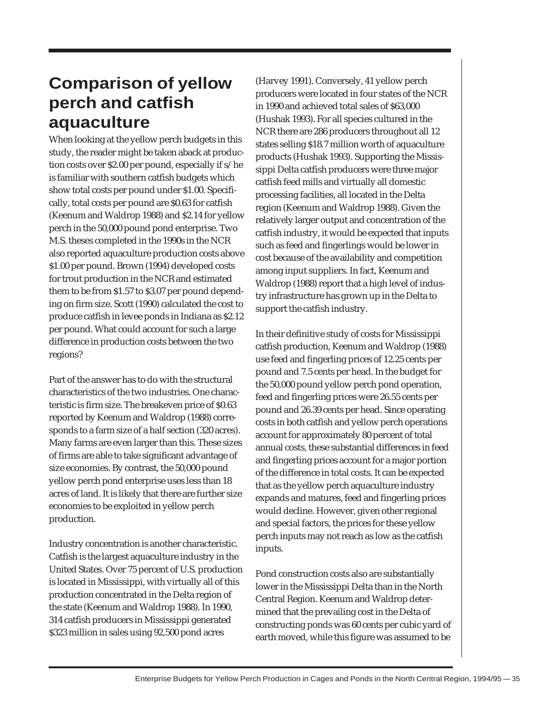### **Comparison of yellow perch and catfish aquaculture**

When looking at the yellow perch budgets in this study, the reader might be taken aback at production costs over \$2.00 per pound, especially if s/he is familiar with southern catfish budgets which show total costs per pound under \$1.00. Specifically, total costs per pound are \$0.63 for catfish (Keenum and Waldrop 1988) and \$2.14 for yellow perch in the 50,000 pound pond enterprise. Two M.S. theses completed in the 1990s in the NCR also reported aquaculture production costs above \$1.00 per pound. Brown (1994) developed costs for trout production in the NCR and estimated them to be from \$1.57 to \$3.07 per pound depending on firm size. Scott (1990) calculated the cost to produce catfish in levee ponds in Indiana as \$2.12 per pound. What could account for such a large difference in production costs between the two regions?

Part of the answer has to do with the structural characteristics of the two industries. One characteristic is firm size. The breakeven price of \$0.63 reported by Keenum and Waldrop (1988) corresponds to a farm size of a half section (320 acres). Many farms are even larger than this. These sizes of firms are able to take significant advantage of size economies. By contrast, the 50,000 pound yellow perch pond enterprise uses less than 18 acres of land. It is likely that there are further size economies to be exploited in yellow perch production.

Industry concentration is another characteristic. Catfish is the largest aquaculture industry in the United States. Over 75 percent of U.S. production is located in Mississippi, with virtually all of this production concentrated in the Delta region of the state (Keenum and Waldrop 1988). In 1990, 314 catfish producers in Mississippi generated \$323 million in sales using 92,500 pond acres

(Harvey 1991). Conversely, 41 yellow perch producers were located in four states of the NCR in 1990 and achieved total sales of \$63,000 (Hushak 1993). For all species cultured in the NCR there are 286 producers throughout all 12 states selling \$18.7 million worth of aquaculture products (Hushak 1993). Supporting the Mississippi Delta catfish producers were three major catfish feed mills and virtually all domestic processing facilities, all located in the Delta region (Keenum and Waldrop 1988). Given the relatively larger output and concentration of the catfish industry, it would be expected that inputs such as feed and fingerlings would be lower in cost because of the availability and competition among input suppliers. In fact, Keenum and Waldrop (1988) report that a high level of industry infrastructure has grown up in the Delta to support the catfish industry.

In their definitive study of costs for Mississippi catfish production, Keenum and Waldrop (1988) use feed and fingerling prices of 12.25 cents per pound and 7.5 cents per head. In the budget for the 50,000 pound yellow perch pond operation, feed and fingerling prices were 26.55 cents per pound and 26.39 cents per head. Since operating costs in both catfish and yellow perch operations account for approximately 80 percent of total annual costs, these substantial differences in feed and fingerling prices account for a major portion of the difference in total costs. It can be expected that as the yellow perch aquaculture industry expands and matures, feed and fingerling prices would decline. However, given other regional and special factors, the prices for these yellow perch inputs may not reach as low as the catfish inputs.

Pond construction costs also are substantially lower in the Mississippi Delta than in the North Central Region. Keenum and Waldrop determined that the prevailing cost in the Delta of constructing ponds was 60 cents per cubic yard of earth moved, while this figure was assumed to be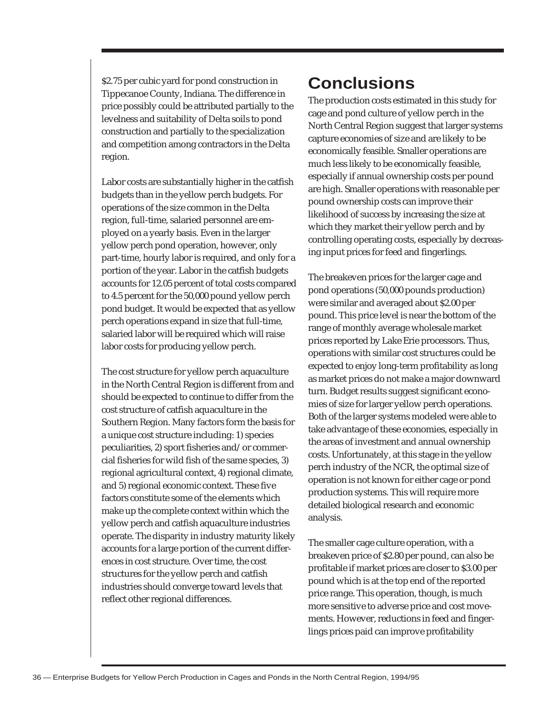\$2.75 per cubic yard for pond construction in Tippecanoe County, Indiana. The difference in price possibly could be attributed partially to the levelness and suitability of Delta soils to pond construction and partially to the specialization and competition among contractors in the Delta region.

Labor costs are substantially higher in the catfish budgets than in the yellow perch budgets. For operations of the size common in the Delta region, full-time, salaried personnel are employed on a yearly basis. Even in the larger yellow perch pond operation, however, only part-time, hourly labor is required, and only for a portion of the year. Labor in the catfish budgets accounts for 12.05 percent of total costs compared to 4.5 percent for the 50,000 pound yellow perch pond budget. It would be expected that as yellow perch operations expand in size that full-time, salaried labor will be required which will raise labor costs for producing yellow perch.

The cost structure for yellow perch aquaculture in the North Central Region is different from and should be expected to continue to differ from the cost structure of catfish aquaculture in the Southern Region. Many factors form the basis for a unique cost structure including: 1) species peculiarities, 2) sport fisheries and/or commercial fisheries for wild fish of the same species, 3) regional agricultural context, 4) regional climate, and 5) regional economic context. These five factors constitute some of the elements which make up the complete context within which the yellow perch and catfish aquaculture industries operate. The disparity in industry maturity likely accounts for a large portion of the current differences in cost structure. Over time, the cost structures for the yellow perch and catfish industries should converge toward levels that reflect other regional differences.

### **Conclusions**

The production costs estimated in this study for cage and pond culture of yellow perch in the North Central Region suggest that larger systems capture economies of size and are likely to be economically feasible. Smaller operations are much less likely to be economically feasible, especially if annual ownership costs per pound are high. Smaller operations with reasonable per pound ownership costs can improve their likelihood of success by increasing the size at which they market their yellow perch and by controlling operating costs, especially by decreasing input prices for feed and fingerlings.

The breakeven prices for the larger cage and pond operations (50,000 pounds production) were similar and averaged about \$2.00 per pound. This price level is near the bottom of the range of monthly average wholesale market prices reported by Lake Erie processors. Thus, operations with similar cost structures could be expected to enjoy long-term profitability as long as market prices do not make a major downward turn. Budget results suggest significant economies of size for larger yellow perch operations. Both of the larger systems modeled were able to take advantage of these economies, especially in the areas of investment and annual ownership costs. Unfortunately, at this stage in the yellow perch industry of the NCR, the optimal size of operation is not known for either cage or pond production systems. This will require more detailed biological research and economic analysis.

The smaller cage culture operation, with a breakeven price of \$2.80 per pound, can also be profitable if market prices are closer to \$3.00 per pound which is at the top end of the reported price range. This operation, though, is much more sensitive to adverse price and cost movements. However, reductions in feed and fingerlings prices paid can improve profitability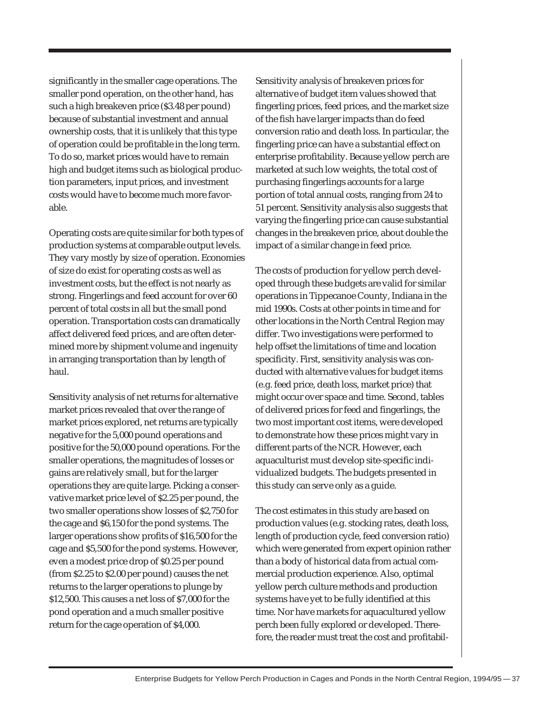significantly in the smaller cage operations. The smaller pond operation, on the other hand, has such a high breakeven price (\$3.48 per pound) because of substantial investment and annual ownership costs, that it is unlikely that this type of operation could be profitable in the long term. To do so, market prices would have to remain high and budget items such as biological production parameters, input prices, and investment costs would have to become much more favorable.

Operating costs are quite similar for both types of production systems at comparable output levels. They vary mostly by size of operation. Economies of size do exist for operating costs as well as investment costs, but the effect is not nearly as strong. Fingerlings and feed account for over 60 percent of total costs in all but the small pond operation. Transportation costs can dramatically affect delivered feed prices, and are often determined more by shipment volume and ingenuity in arranging transportation than by length of haul.

Sensitivity analysis of net returns for alternative market prices revealed that over the range of market prices explored, net returns are typically negative for the 5,000 pound operations and positive for the 50,000 pound operations. For the smaller operations, the magnitudes of losses or gains are relatively small, but for the larger operations they are quite large. Picking a conservative market price level of \$2.25 per pound, the two smaller operations show losses of \$2,750 for the cage and \$6,150 for the pond systems. The larger operations show profits of \$16,500 for the cage and \$5,500 for the pond systems. However, even a modest price drop of \$0.25 per pound (from \$2.25 to \$2.00 per pound) causes the net returns to the larger operations to plunge by \$12,500. This causes a net loss of \$7,000 for the pond operation and a much smaller positive return for the cage operation of \$4,000.

Sensitivity analysis of breakeven prices for alternative of budget item values showed that fingerling prices, feed prices, and the market size of the fish have larger impacts than do feed conversion ratio and death loss. In particular, the fingerling price can have a substantial effect on enterprise profitability. Because yellow perch are marketed at such low weights, the total cost of purchasing fingerlings accounts for a large portion of total annual costs, ranging from 24 to 51 percent. Sensitivity analysis also suggests that varying the fingerling price can cause substantial changes in the breakeven price, about double the impact of a similar change in feed price.

The costs of production for yellow perch developed through these budgets are valid for similar operations in Tippecanoe County, Indiana in the mid 1990s. Costs at other points in time and for other locations in the North Central Region may differ. Two investigations were performed to help offset the limitations of time and location specificity. First, sensitivity analysis was conducted with alternative values for budget items (e.g. feed price, death loss, market price) that might occur over space and time. Second, tables of delivered prices for feed and fingerlings, the two most important cost items, were developed to demonstrate how these prices might vary in different parts of the NCR. However, each aquaculturist must develop site-specific individualized budgets. The budgets presented in this study can serve only as a guide.

The cost estimates in this study are based on production values (e.g. stocking rates, death loss, length of production cycle, feed conversion ratio) which were generated from expert opinion rather than a body of historical data from actual commercial production experience. Also, optimal yellow perch culture methods and production systems have yet to be fully identified at this time. Nor have markets for aquacultured yellow perch been fully explored or developed. Therefore, the reader must treat the cost and profitabil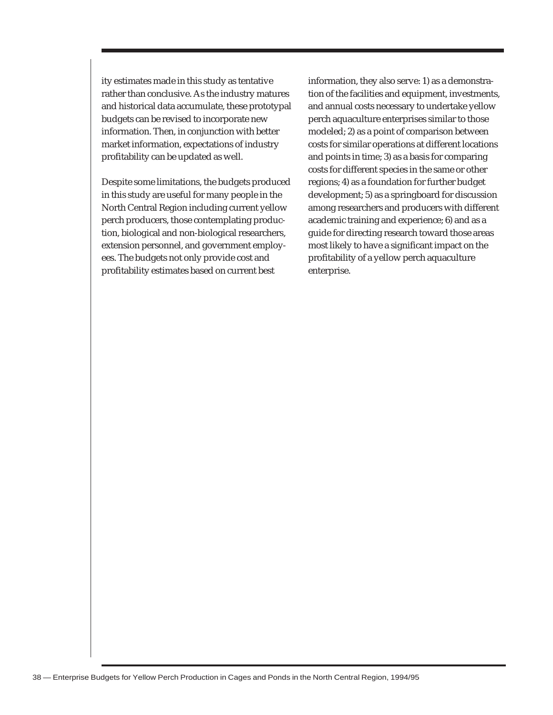ity estimates made in this study as tentative rather than conclusive. As the industry matures and historical data accumulate, these prototypal budgets can be revised to incorporate new information. Then, in conjunction with better market information, expectations of industry profitability can be updated as well.

Despite some limitations, the budgets produced in this study are useful for many people in the North Central Region including current yellow perch producers, those contemplating production, biological and non-biological researchers, extension personnel, and government employees. The budgets not only provide cost and profitability estimates based on current best

information, they also serve: 1) as a demonstration of the facilities and equipment, investments, and annual costs necessary to undertake yellow perch aquaculture enterprises similar to those modeled; 2) as a point of comparison between costs for similar operations at different locations and points in time; 3) as a basis for comparing costs for different species in the same or other regions; 4) as a foundation for further budget development; 5) as a springboard for discussion among researchers and producers with different academic training and experience; 6) and as a guide for directing research toward those areas most likely to have a significant impact on the profitability of a yellow perch aquaculture enterprise.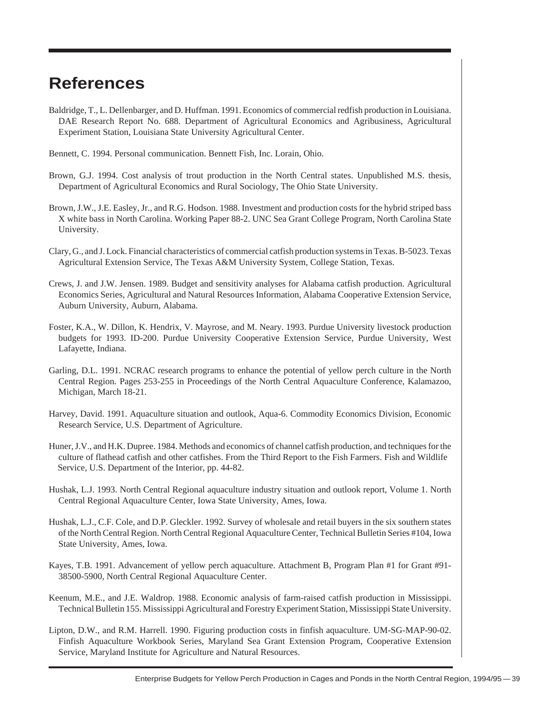### **References**

- Baldridge, T., L. Dellenbarger, and D. Huffman. 1991. Economics of commercial redfish production in Louisiana. DAE Research Report No. 688. Department of Agricultural Economics and Agribusiness, Agricultural Experiment Station, Louisiana State University Agricultural Center.
- Bennett, C. 1994. Personal communication. Bennett Fish, Inc. Lorain, Ohio.
- Brown, G.J. 1994. Cost analysis of trout production in the North Central states. Unpublished M.S. thesis, Department of Agricultural Economics and Rural Sociology, The Ohio State University.
- Brown, J.W., J.E. Easley, Jr., and R.G. Hodson. 1988. Investment and production costs for the hybrid striped bass X white bass in North Carolina. Working Paper 88-2. UNC Sea Grant College Program, North Carolina State University.
- Clary, G., and J. Lock. Financial characteristics of commercial catfish production systems in Texas. B-5023. Texas Agricultural Extension Service, The Texas A&M University System, College Station, Texas.
- Crews, J. and J.W. Jensen. 1989. Budget and sensitivity analyses for Alabama catfish production. Agricultural Economics Series, Agricultural and Natural Resources Information, Alabama Cooperative Extension Service, Auburn University, Auburn, Alabama.
- Foster, K.A., W. Dillon, K. Hendrix, V. Mayrose, and M. Neary. 1993. Purdue University livestock production budgets for 1993. ID-200. Purdue University Cooperative Extension Service, Purdue University, West Lafayette, Indiana.
- Garling, D.L. 1991. NCRAC research programs to enhance the potential of yellow perch culture in the North Central Region. Pages 253-255 in Proceedings of the North Central Aquaculture Conference, Kalamazoo, Michigan, March 18-21.
- Harvey, David. 1991. Aquaculture situation and outlook, Aqua-6. Commodity Economics Division, Economic Research Service, U.S. Department of Agriculture.
- Huner, J.V., and H.K. Dupree. 1984. Methods and economics of channel catfish production, and techniques for the culture of flathead catfish and other catfishes. From the Third Report to the Fish Farmers. Fish and Wildlife Service, U.S. Department of the Interior, pp. 44-82.
- Hushak, L.J. 1993. North Central Regional aquaculture industry situation and outlook report, Volume 1. North Central Regional Aquaculture Center, Iowa State University, Ames, Iowa.
- Hushak, L.J., C.F. Cole, and D.P. Gleckler. 1992. Survey of wholesale and retail buyers in the six southern states of the North Central Region. North Central Regional Aquaculture Center, Technical Bulletin Series #104, Iowa State University, Ames, Iowa.
- Kayes, T.B. 1991. Advancement of yellow perch aquaculture. Attachment B, Program Plan #1 for Grant #91- 38500-5900, North Central Regional Aquaculture Center.
- Keenum, M.E., and J.E. Waldrop. 1988. Economic analysis of farm-raised catfish production in Mississippi. Technical Bulletin 155. Mississippi Agricultural and Forestry Experiment Station, Mississippi State University.
- Lipton, D.W., and R.M. Harrell. 1990. Figuring production costs in finfish aquaculture. UM-SG-MAP-90-02. Finfish Aquaculture Workbook Series, Maryland Sea Grant Extension Program, Cooperative Extension Service, Maryland Institute for Agriculture and Natural Resources.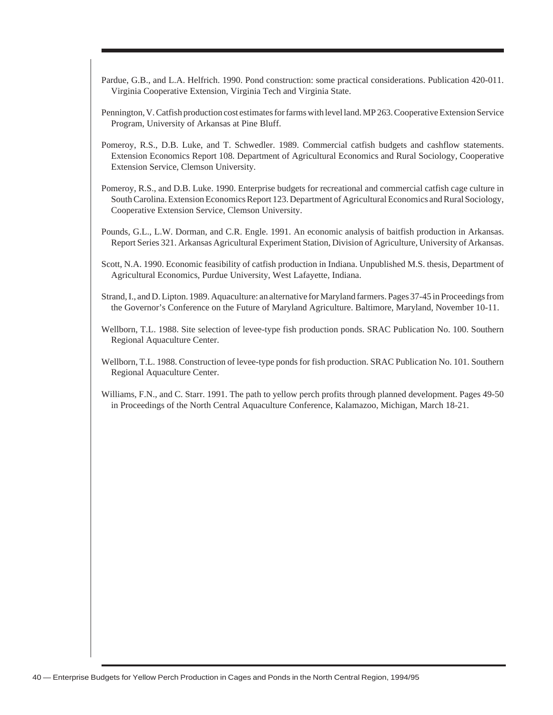- Pardue, G.B., and L.A. Helfrich. 1990. Pond construction: some practical considerations. Publication 420-011. Virginia Cooperative Extension, Virginia Tech and Virginia State.
- Pennington, V. Catfish production cost estimates for farms with level land. MP 263. Cooperative Extension Service Program, University of Arkansas at Pine Bluff.
- Pomeroy, R.S., D.B. Luke, and T. Schwedler. 1989. Commercial catfish budgets and cashflow statements. Extension Economics Report 108. Department of Agricultural Economics and Rural Sociology, Cooperative Extension Service, Clemson University.
- Pomeroy, R.S., and D.B. Luke. 1990. Enterprise budgets for recreational and commercial catfish cage culture in South Carolina. Extension Economics Report 123. Department of Agricultural Economics and Rural Sociology, Cooperative Extension Service, Clemson University.
- Pounds, G.L., L.W. Dorman, and C.R. Engle. 1991. An economic analysis of baitfish production in Arkansas. Report Series 321. Arkansas Agricultural Experiment Station, Division of Agriculture, University of Arkansas.
- Scott, N.A. 1990. Economic feasibility of catfish production in Indiana. Unpublished M.S. thesis, Department of Agricultural Economics, Purdue University, West Lafayette, Indiana.
- Strand, I., and D. Lipton. 1989. Aquaculture: an alternative for Maryland farmers. Pages 37-45 in Proceedings from the Governor's Conference on the Future of Maryland Agriculture. Baltimore, Maryland, November 10-11.
- Wellborn, T.L. 1988. Site selection of levee-type fish production ponds. SRAC Publication No. 100. Southern Regional Aquaculture Center.
- Wellborn, T.L. 1988. Construction of levee-type ponds for fish production. SRAC Publication No. 101. Southern Regional Aquaculture Center.
- Williams, F.N., and C. Starr. 1991. The path to yellow perch profits through planned development. Pages 49-50 in Proceedings of the North Central Aquaculture Conference, Kalamazoo, Michigan, March 18-21.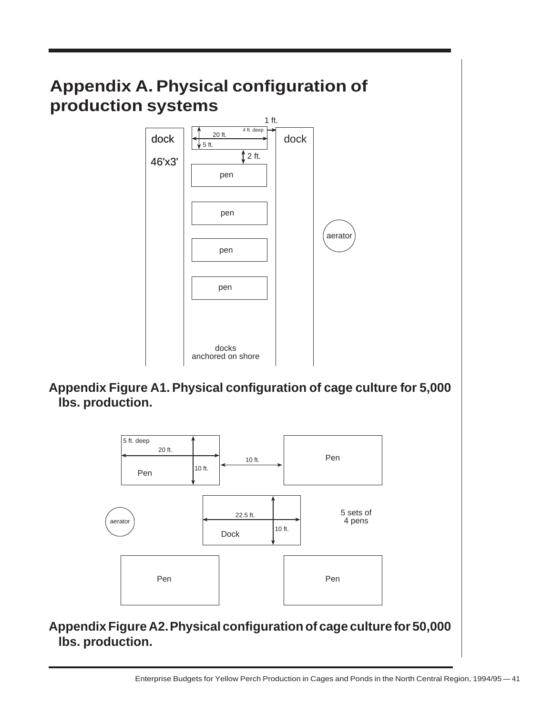

**Appendix Figure A2. Physical configuration of cage culture for 50,000 lbs. production.**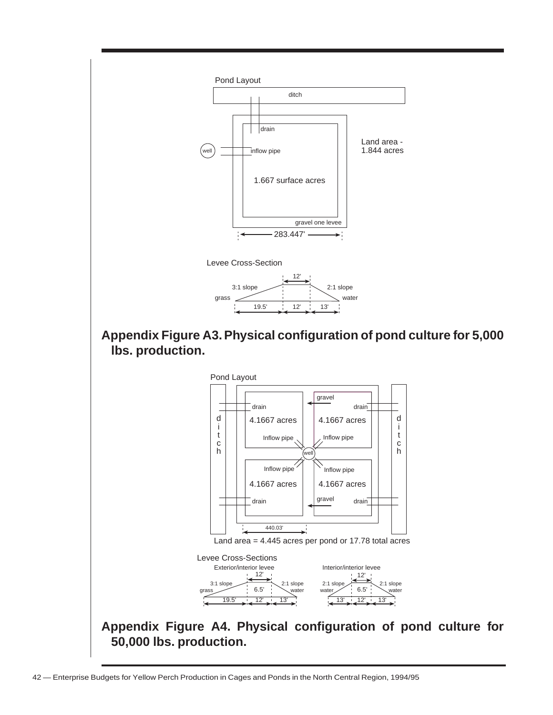

42 — Enterprise Budgets for Yellow Perch Production in Cages and Ponds in the North Central Region, 1994/95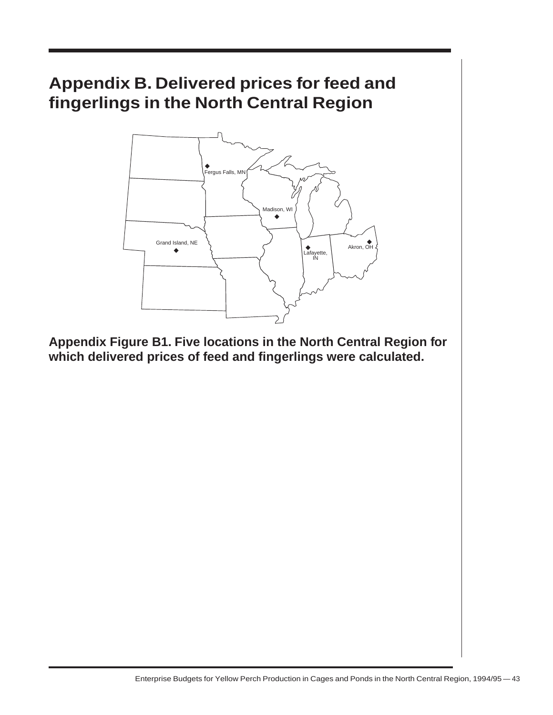### **Appendix B. Delivered prices for feed and fingerlings in the North Central Region**



**Appendix Figure B1. Five locations in the North Central Region for which delivered prices of feed and fingerlings were calculated.**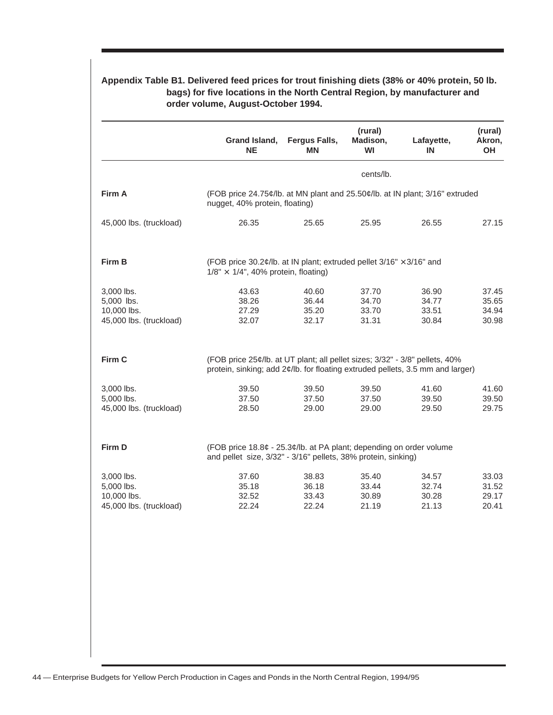|                                                                    | Grand Island,<br><b>NE</b>                                                                                                                                    | Fergus Falls,<br>ΜN              | (rural)<br>Madison,<br>WI        | Lafayette,<br>IN                 | (rural)<br>Akron,<br>OH          |  |  |
|--------------------------------------------------------------------|---------------------------------------------------------------------------------------------------------------------------------------------------------------|----------------------------------|----------------------------------|----------------------------------|----------------------------------|--|--|
|                                                                    |                                                                                                                                                               |                                  | cents/lb.                        |                                  |                                  |  |  |
| Firm A                                                             | (FOB price 24.75¢/lb. at MN plant and 25.50¢/lb. at IN plant; 3/16" extruded<br>nugget, 40% protein, floating)                                                |                                  |                                  |                                  |                                  |  |  |
| 45,000 lbs. (truckload)                                            | 26.35                                                                                                                                                         | 25.65                            | 25.95                            | 26.55                            | 27.15                            |  |  |
| Firm B                                                             | (FOB price 30.2¢/lb. at IN plant; extruded pellet 3/16" × 3/16" and<br>$1/8" \times 1/4"$ , 40% protein, floating)                                            |                                  |                                  |                                  |                                  |  |  |
| 3,000 lbs.<br>5,000 lbs.<br>10,000 lbs.<br>45,000 lbs. (truckload) | 43.63<br>38.26<br>27.29<br>32.07                                                                                                                              | 40.60<br>36.44<br>35.20<br>32.17 | 37.70<br>34.70<br>33.70<br>31.31 | 36.90<br>34.77<br>33.51<br>30.84 | 37.45<br>35.65<br>34.94<br>30.98 |  |  |
| Firm C                                                             | (FOB price 25¢/lb. at UT plant; all pellet sizes; 3/32" - 3/8" pellets, 40%<br>protein, sinking; add 2¢/lb. for floating extruded pellets, 3.5 mm and larger) |                                  |                                  |                                  |                                  |  |  |
| 3,000 lbs.<br>5,000 lbs.<br>45,000 lbs. (truckload)                | 39.50<br>37.50<br>28.50                                                                                                                                       | 39.50<br>37.50<br>29.00          | 39.50<br>37.50<br>29.00          | 41.60<br>39.50<br>29.50          | 41.60<br>39.50<br>29.75          |  |  |
| Firm D                                                             | (FOB price 18.8¢ - 25.3¢/lb. at PA plant; depending on order volume<br>and pellet size, 3/32" - 3/16" pellets, 38% protein, sinking)                          |                                  |                                  |                                  |                                  |  |  |
| 3,000 lbs.<br>5,000 lbs.<br>10,000 lbs.<br>45,000 lbs. (truckload) | 37.60<br>35.18<br>32.52<br>22.24                                                                                                                              | 38.83<br>36.18<br>33.43<br>22.24 | 35.40<br>33.44<br>30.89<br>21.19 | 34.57<br>32.74<br>30.28<br>21.13 | 33.03<br>31.52<br>29.17<br>20.41 |  |  |
|                                                                    |                                                                                                                                                               |                                  |                                  |                                  |                                  |  |  |
|                                                                    |                                                                                                                                                               |                                  |                                  |                                  |                                  |  |  |
|                                                                    |                                                                                                                                                               |                                  |                                  |                                  |                                  |  |  |

#### **Appendix Table B1. Delivered feed prices for trout finishing diets (38% or 40% protein, 50 lb. bags) for five locations in the North Central Region, by manufacturer and order volume, August-October 1994.**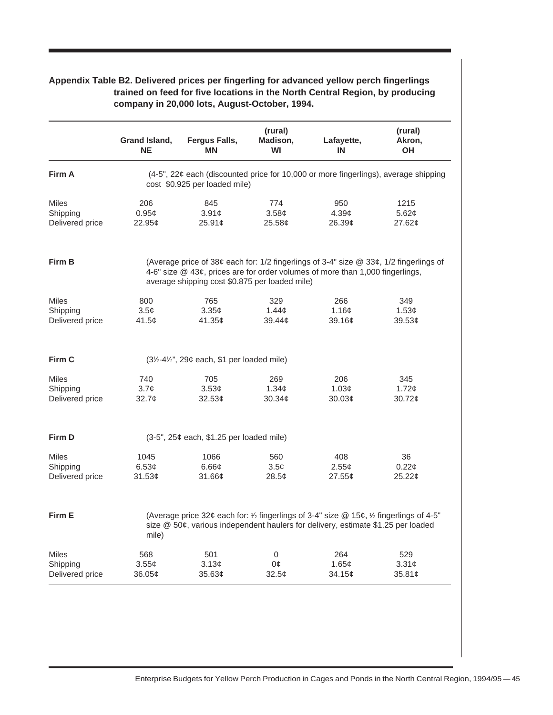|                                             | Grand Island,<br><b>NE</b>                                                                                                                                                                                                | Fergus Falls,<br><b>MN</b> | (rural)<br>Madison,<br>WI | Lafayette,<br>IN       | (rural)<br>Akron,<br>OH |  |  |  |  |
|---------------------------------------------|---------------------------------------------------------------------------------------------------------------------------------------------------------------------------------------------------------------------------|----------------------------|---------------------------|------------------------|-------------------------|--|--|--|--|
| Firm A                                      | (4-5", 22¢ each (discounted price for 10,000 or more fingerlings), average shipping<br>cost \$0.925 per loaded mile)                                                                                                      |                            |                           |                        |                         |  |  |  |  |
| <b>Miles</b><br>Shipping<br>Delivered price | 206<br>0.95¢<br>22.95¢                                                                                                                                                                                                    | 845<br>3.91¢<br>25.91¢     | 774<br>3.58¢<br>25.58¢    | 950<br>4.39¢<br>26.39¢ | 1215<br>5.62¢<br>27.62¢ |  |  |  |  |
| Firm B                                      | (Average price of 38¢ each for: 1/2 fingerlings of 3-4" size @ 33¢, 1/2 fingerlings of<br>4-6" size @ 43¢, prices are for order volumes of more than 1,000 fingerlings,<br>average shipping cost \$0.875 per loaded mile) |                            |                           |                        |                         |  |  |  |  |
| <b>Miles</b>                                | 800                                                                                                                                                                                                                       | 765                        | 329                       | 266                    | 349                     |  |  |  |  |
| Shipping                                    | 3.5¢                                                                                                                                                                                                                      | 3.35¢                      | 1.44 <sub>c</sub>         | 1.16¢                  | 1.53¢                   |  |  |  |  |
| Delivered price                             | 41.5¢                                                                                                                                                                                                                     | 41.35¢                     | 39.44¢                    | 39.16¢                 | 39.53¢                  |  |  |  |  |
| Firm C                                      | (3½-4½", 29¢ each, \$1 per loaded mile)                                                                                                                                                                                   |                            |                           |                        |                         |  |  |  |  |
| <b>Miles</b>                                | 740                                                                                                                                                                                                                       | 705                        | 269                       | 206                    | 345                     |  |  |  |  |
| Shipping                                    | 3.7¢                                                                                                                                                                                                                      | 3.53¢                      | 1.34¢                     | 1.03¢                  | 1.72¢                   |  |  |  |  |
| Delivered price                             | 32.7¢                                                                                                                                                                                                                     | 32.53¢                     | 30.34¢                    | 30.03¢                 | 30.72¢                  |  |  |  |  |
| Firm D                                      | (3-5", 25¢ each, \$1.25 per loaded mile)                                                                                                                                                                                  |                            |                           |                        |                         |  |  |  |  |
| <b>Miles</b>                                | 1045                                                                                                                                                                                                                      | 1066                       | 560                       | 408                    | 36                      |  |  |  |  |
| Shipping                                    | 6.53¢                                                                                                                                                                                                                     | 6.66¢                      | 3.5¢                      | 2.55¢                  | 0.22¢                   |  |  |  |  |
| Delivered price                             | 31.53¢                                                                                                                                                                                                                    | 31.66¢                     | 28.5¢                     | 27.55¢                 | 25.22¢                  |  |  |  |  |
| Firm E                                      | (Average price 32¢ each for: 1/2 fingerlings of 3-4" size @ 15¢, 1/2 fingerlings of 4-5"<br>size @ 50¢, various independent haulers for delivery, estimate \$1.25 per loaded<br>mile)                                     |                            |                           |                        |                         |  |  |  |  |
| <b>Miles</b>                                | 568                                                                                                                                                                                                                       | 501                        | 0                         | 264                    | 529                     |  |  |  |  |
| Shipping                                    | 3.55¢                                                                                                                                                                                                                     | 3.13¢                      | 0¢                        | 1.65¢                  | 3.31¢                   |  |  |  |  |
| Delivered price                             | 36.05¢                                                                                                                                                                                                                    | 35.63¢                     | 32.5¢                     | 34.15¢                 | 35.81¢                  |  |  |  |  |

#### **Appendix Table B2. Delivered prices per fingerling for advanced yellow perch fingerlings trained on feed for five locations in the North Central Region, by producing company in 20,000 lots, August-October, 1994.**